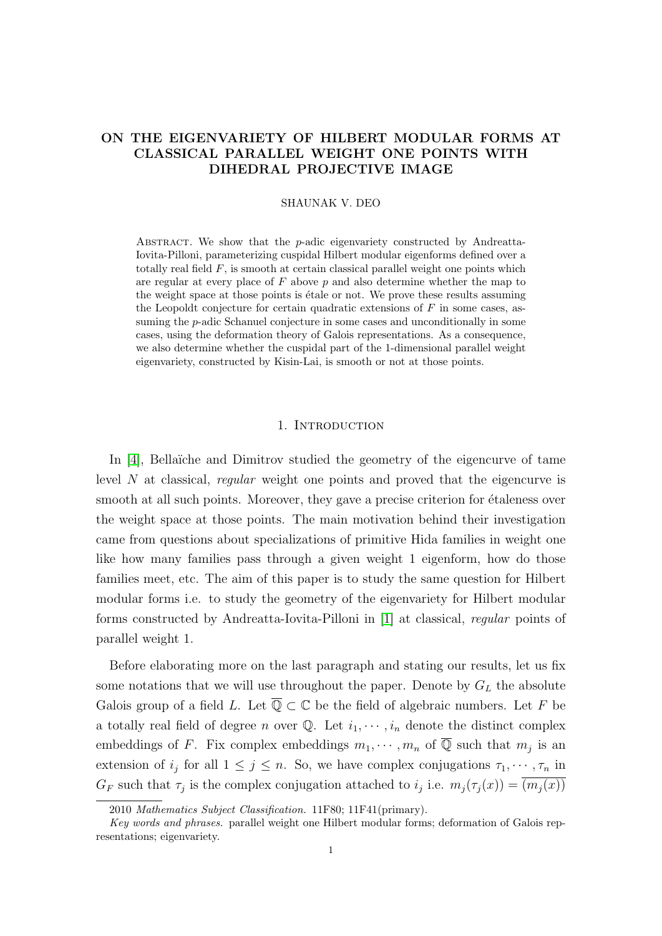# <span id="page-0-1"></span>ON THE EIGENVARIETY OF HILBERT MODULAR FORMS AT CLASSICAL PARALLEL WEIGHT ONE POINTS WITH DIHEDRAL PROJECTIVE IMAGE

## SHAUNAK V. DEO

ABSTRACT. We show that the  $p$ -adic eigenvariety constructed by Andreatta-Iovita-Pilloni, parameterizing cuspidal Hilbert modular eigenforms defined over a totally real field  $F$ , is smooth at certain classical parallel weight one points which are regular at every place of  $F$  above  $p$  and also determine whether the map to the weight space at those points is étale or not. We prove these results assuming the Leopoldt conjecture for certain quadratic extensions of  $F$  in some cases, assuming the p-adic Schanuel conjecture in some cases and unconditionally in some cases, using the deformation theory of Galois representations. As a consequence, we also determine whether the cuspidal part of the 1-dimensional parallel weight eigenvariety, constructed by Kisin-Lai, is smooth or not at those points.

#### 1. INTRODUCTION

<span id="page-0-0"></span>In  $[4]$ , Bellaïche and Dimitrov studied the geometry of the eigencurve of tame level N at classical, regular weight one points and proved that the eigencurve is smooth at all such points. Moreover, they gave a precise criterion for étaleness over the weight space at those points. The main motivation behind their investigation came from questions about specializations of primitive Hida families in weight one like how many families pass through a given weight 1 eigenform, how do those families meet, etc. The aim of this paper is to study the same question for Hilbert modular forms i.e. to study the geometry of the eigenvariety for Hilbert modular forms constructed by Andreatta-Iovita-Pilloni in [\[1\]](#page-31-1) at classical, regular points of parallel weight 1.

Before elaborating more on the last paragraph and stating our results, let us fix some notations that we will use throughout the paper. Denote by  $G_L$  the absolute Galois group of a field L. Let  $\overline{\mathbb{Q}} \subset \mathbb{C}$  be the field of algebraic numbers. Let F be a totally real field of degree n over  $\mathbb{Q}$ . Let  $i_1, \dots, i_n$  denote the distinct complex embeddings of F. Fix complex embeddings  $m_1, \dots, m_n$  of  $\overline{Q}$  such that  $m_j$  is an extension of  $i_j$  for all  $1 \leq j \leq n$ . So, we have complex conjugations  $\tau_1, \dots, \tau_n$  in  $G_F$  such that  $\tau_j$  is the complex conjugation attached to  $i_j$  i.e.  $m_j(\tau_j(x)) = (m_j(x))$ 

<sup>2010</sup> Mathematics Subject Classification. 11F80; 11F41(primary).

Key words and phrases. parallel weight one Hilbert modular forms; deformation of Galois representations; eigenvariety.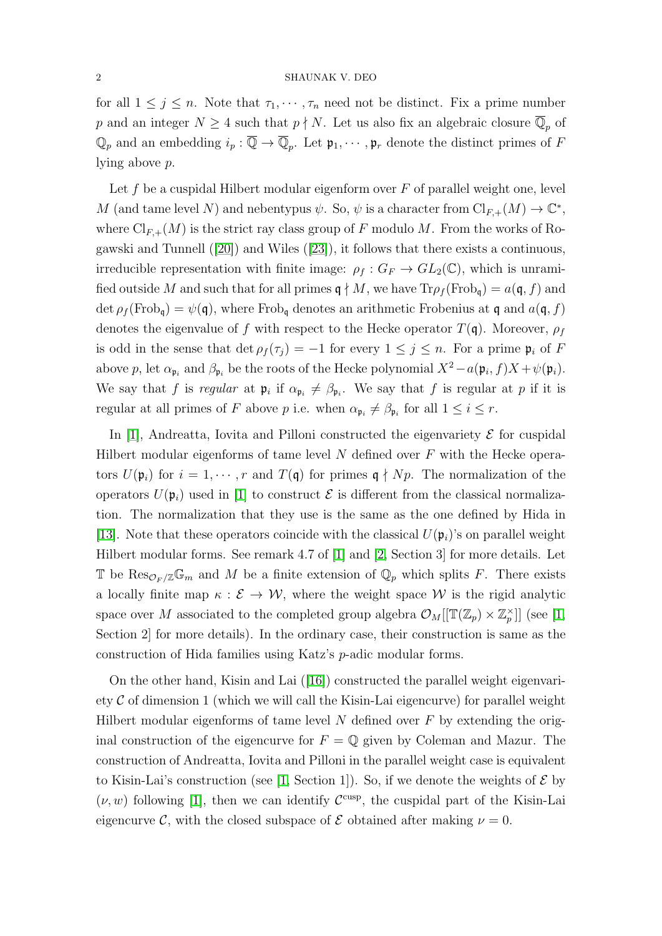#### 2 SHAUNAK V. DEO

for all  $1 \leq j \leq n$ . Note that  $\tau_1, \dots, \tau_n$  need not be distinct. Fix a prime number p and an integer  $N \geq 4$  such that  $p \nmid N$ . Let us also fix an algebraic closure  $\overline{\mathbb{Q}}_p$  of  $\mathbb{Q}_p$  and an embedding  $i_p : \overline{\mathbb{Q}} \to \overline{\mathbb{Q}}_p$ . Let  $\mathfrak{p}_1, \cdots, \mathfrak{p}_r$  denote the distinct primes of F lying above p.

Let f be a cuspidal Hilbert modular eigenform over  $F$  of parallel weight one, level M (and tame level N) and nebentypus  $\psi$ . So,  $\psi$  is a character from  $\text{Cl}_{F,+}(M) \to \mathbb{C}^*$ , where  $\text{Cl}_{F,+}(M)$  is the strict ray class group of F modulo M. From the works of Rogawski and Tunnell ([\[20\]](#page-32-0)) and Wiles ([\[23\]](#page-32-1)), it follows that there exists a continuous, irreducible representation with finite image:  $\rho_f : G_F \to GL_2(\mathbb{C})$ , which is unramified outside M and such that for all primes  $\mathfrak{q} \nmid M$ , we have  $\text{Tr} \rho_f(\text{Frob}_{\mathfrak{q}}) = a(\mathfrak{q}, f)$  and  $\det \rho_f(\text{Frob}_{\mathfrak{q}}) = \psi(\mathfrak{q})$ , where  $\text{Frob}_{\mathfrak{q}}$  denotes an arithmetic Frobenius at  $\mathfrak{q}$  and  $a(\mathfrak{q}, f)$ denotes the eigenvalue of f with respect to the Hecke operator  $T(\mathfrak{q})$ . Moreover,  $\rho_f$ is odd in the sense that  $\det \rho_f(\tau_i) = -1$  for every  $1 \leq j \leq n$ . For a prime  $\mathfrak{p}_i$  of F above p, let  $\alpha_{\mathfrak{p}_i}$  and  $\beta_{\mathfrak{p}_i}$  be the roots of the Hecke polynomial  $X^2 - a(\mathfrak{p}_i, f)X + \psi(\mathfrak{p}_i)$ . We say that f is regular at  $\mathfrak{p}_i$  if  $\alpha_{\mathfrak{p}_i} \neq \beta_{\mathfrak{p}_i}$ . We say that f is regular at p if it is regular at all primes of F above p i.e. when  $\alpha_{\mathfrak{p}_i} \neq \beta_{\mathfrak{p}_i}$  for all  $1 \leq i \leq r$ .

In [\[1\]](#page-31-1), Andreatta, Iovita and Pilloni constructed the eigenvariety  $\mathcal E$  for cuspidal Hilbert modular eigenforms of tame level  $N$  defined over  $F$  with the Hecke operators  $U(\mathfrak{p}_i)$  for  $i = 1, \dots, r$  and  $T(\mathfrak{q})$  for primes  $\mathfrak{q} \nmid Np$ . The normalization of the operators  $U(\mathfrak{p}_i)$  used in [\[1\]](#page-31-1) to construct  $\mathcal E$  is different from the classical normalization. The normalization that they use is the same as the one defined by Hida in [\[13\]](#page-31-2). Note that these operators coincide with the classical  $U(\mathfrak{p}_i)$ 's on parallel weight Hilbert modular forms. See remark 4.7 of [\[1\]](#page-31-1) and [\[2,](#page-31-3) Section 3] for more details. Let T be  $\text{Res}_{\mathcal{O}_F/\mathbb{Z}}\mathbb{G}_m$  and M be a finite extension of  $\mathbb{Q}_p$  which splits F. There exists a locally finite map  $\kappa : \mathcal{E} \to \mathcal{W}$ , where the weight space W is the rigid analytic space over M associated to the completed group algebra  $\mathcal{O}_M[[\mathbb{T}(\mathbb{Z}_p)\times \mathbb{Z}_p^{\times}]]$  (see [\[1,](#page-31-1) Section 2] for more details). In the ordinary case, their construction is same as the construction of Hida families using Katz's p-adic modular forms.

On the other hand, Kisin and Lai ([\[16\]](#page-31-4)) constructed the parallel weight eigenvariety  $\mathcal C$  of dimension 1 (which we will call the Kisin-Lai eigencurve) for parallel weight Hilbert modular eigenforms of tame level  $N$  defined over  $F$  by extending the original construction of the eigencurve for  $F = \mathbb{Q}$  given by Coleman and Mazur. The construction of Andreatta, Iovita and Pilloni in the parallel weight case is equivalent to Kisin-Lai's construction (see [\[1,](#page-31-1) Section 1]). So, if we denote the weights of  $\mathcal E$  by  $(\nu, w)$  following [\[1\]](#page-31-1), then we can identify  $\mathcal{C}^{\text{cusp}}$ , the cuspidal part of the Kisin-Lai eigencurve C, with the closed subspace of  $\mathcal E$  obtained after making  $\nu = 0$ .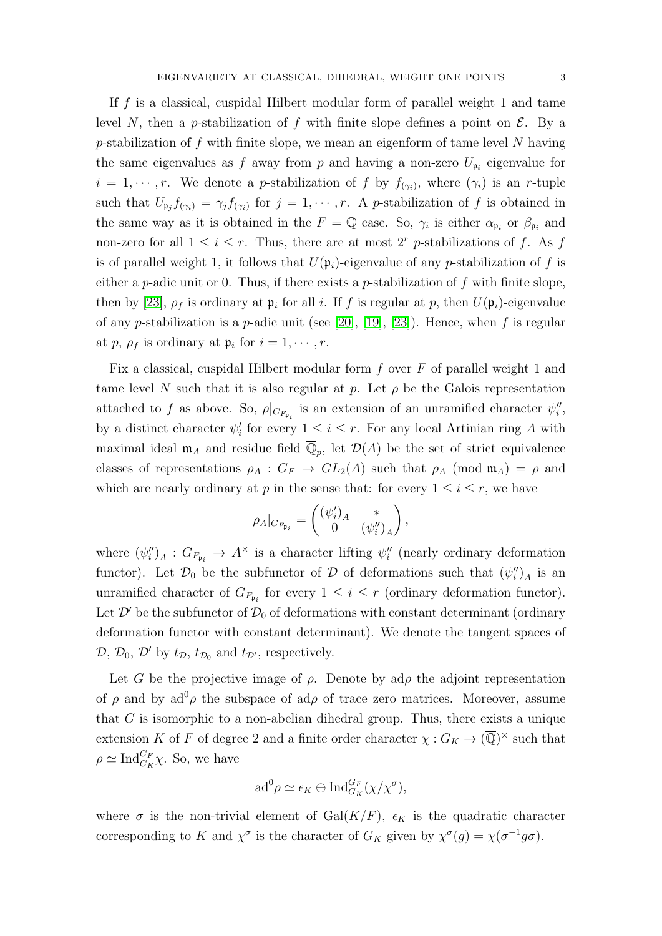If  $f$  is a classical, cuspidal Hilbert modular form of parallel weight 1 and tame level N, then a p-stabilization of f with finite slope defines a point on  $\mathcal{E}$ . By a p-stabilization of f with finite slope, we mean an eigenform of tame level  $N$  having the same eigenvalues as f away from p and having a non-zero  $U_{\mathfrak{p}_i}$  eigenvalue for  $i = 1, \dots, r$ . We denote a *p*-stabilization of f by  $f_{(\gamma_i)}$ , where  $(\gamma_i)$  is an r-tuple such that  $U_{\mathfrak{p}_j} f_{(\gamma_i)} = \gamma_j f_{(\gamma_i)}$  for  $j = 1, \dots, r$ . A p-stabilization of f is obtained in the same way as it is obtained in the  $F = \mathbb{Q}$  case. So,  $\gamma_i$  is either  $\alpha_{\mathfrak{p}_i}$  or  $\beta_{\mathfrak{p}_i}$  and non-zero for all  $1 \leq i \leq r$ . Thus, there are at most  $2^r$  p-stabilizations of f. As f is of parallel weight 1, it follows that  $U(\mathfrak{p}_i)$ -eigenvalue of any p-stabilization of f is either a p-adic unit or 0. Thus, if there exists a p-stabilization of  $f$  with finite slope, then by [\[23\]](#page-32-1),  $\rho_f$  is ordinary at  $\mathfrak{p}_i$  for all i. If f is regular at p, then  $U(\mathfrak{p}_i)$ -eigenvalue of any p-stabilization is a p-adic unit (see [\[20\]](#page-32-0), [\[19\]](#page-31-5), [\[23\]](#page-32-1)). Hence, when f is regular at p,  $\rho_f$  is ordinary at  $\mathfrak{p}_i$  for  $i = 1, \cdots, r$ .

Fix a classical, cuspidal Hilbert modular form  $f$  over  $F$  of parallel weight 1 and tame level N such that it is also regular at p. Let  $\rho$  be the Galois representation attached to f as above. So,  $\rho|_{G_{F_{\mathfrak{p}_i}}}$  is an extension of an unramified character  $\psi''_i$ , by a distinct character  $\psi'_i$  for every  $1 \leq i \leq r$ . For any local Artinian ring A with maximal ideal  $\mathfrak{m}_A$  and residue field  $\overline{\mathbb{Q}}_p$ , let  $\mathcal{D}(A)$  be the set of strict equivalence classes of representations  $\rho_A : G_F \to GL_2(A)$  such that  $\rho_A$  (mod  $\mathfrak{m}_A$ ) =  $\rho$  and which are nearly ordinary at p in the sense that: for every  $1 \leq i \leq r$ , we have

$$
\rho_A|_{G_{F_{\mathfrak{p}_i}}} = \begin{pmatrix} (\psi_i')_A & * \\ 0 & (\psi_i'')_A \end{pmatrix},
$$

where  $(\psi''_i)_A : G_{F_{\mathfrak{p}_i}} \to A^{\times}$  is a character lifting  $\psi''_i$  (nearly ordinary deformation functor). Let  $\mathcal{D}_0$  be the subfunctor of  $\mathcal D$  of deformations such that  $(\psi_i'')_A$  is an unramified character of  $G_{F_{\mathfrak{p}_i}}$  for every  $1 \leq i \leq r$  (ordinary deformation functor). Let  $\mathcal{D}'$  be the subfunctor of  $\mathcal{D}_0$  of deformations with constant determinant (ordinary deformation functor with constant determinant). We denote the tangent spaces of  $\mathcal{D}, \mathcal{D}_0, \mathcal{D}'$  by  $t_{\mathcal{D}}, t_{\mathcal{D}_0}$  and  $t_{\mathcal{D}'},$  respectively.

Let G be the projective image of  $\rho$ . Denote by ad $\rho$  the adjoint representation of  $\rho$  and by ad<sup>0</sup> $\rho$  the subspace of ad $\rho$  of trace zero matrices. Moreover, assume that  $G$  is isomorphic to a non-abelian dihedral group. Thus, there exists a unique extension K of F of degree 2 and a finite order character  $\chi: G_K \to (\overline{\mathbb{Q}})^{\times}$  such that  $\rho \simeq \text{Ind}_{G_K}^{G_F} \chi$ . So, we have

$$
\mathrm{ad}^0 \rho \simeq \epsilon_K \oplus \mathrm{Ind}_{G_K}^{G_F}(\chi/\chi^{\sigma}),
$$

where  $\sigma$  is the non-trivial element of Gal(K/F),  $\epsilon_K$  is the quadratic character corresponding to K and  $\chi^{\sigma}$  is the character of  $G_K$  given by  $\chi^{\sigma}(g) = \chi(\sigma^{-1}g\sigma)$ .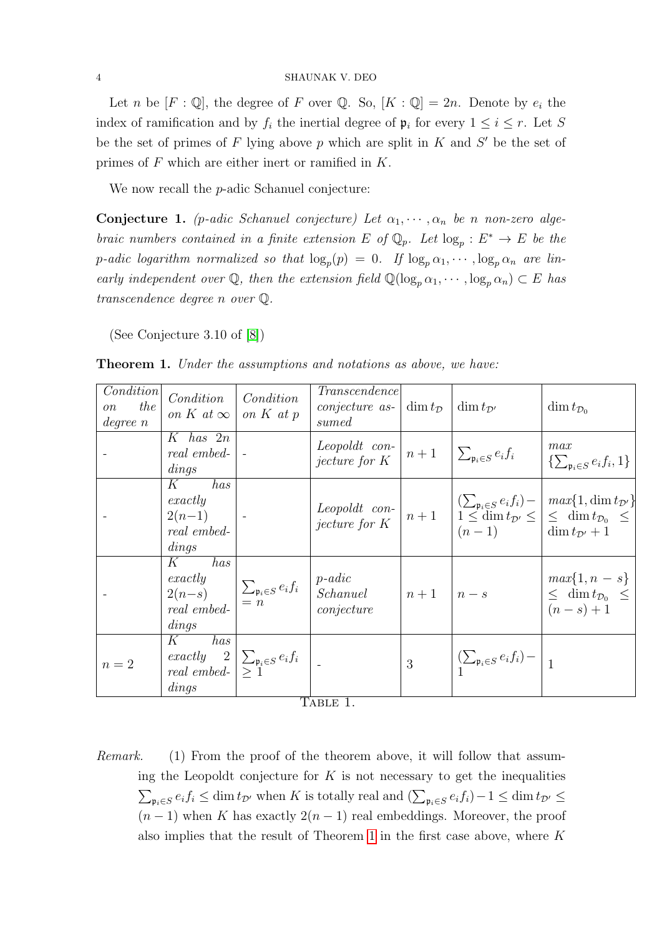Let n be  $[F: \mathbb{Q}]$ , the degree of F over  $\mathbb{Q}$ . So,  $[K: \mathbb{Q}] = 2n$ . Denote by  $e_i$  the index of ramification and by  $f_i$  the inertial degree of  $\mathfrak{p}_i$  for every  $1 \leq i \leq r$ . Let S be the set of primes of  $F$  lying above  $p$  which are split in  $K$  and  $S'$  be the set of primes of F which are either inert or ramified in K.

We now recall the *p*-adic Schanuel conjecture:

Conjecture 1. (p-adic Schanuel conjecture) Let  $\alpha_1, \dots, \alpha_n$  be n non-zero algebraic numbers contained in a finite extension E of  $\mathbb{Q}_p$ . Let  $\log_p : E^* \to E$  be the p-adic logarithm normalized so that  $\log_p(p) = 0$ . If  $\log_p \alpha_1, \dots, \log_p \alpha_n$  are linearly independent over  $\mathbb{Q}$ , then the extension field  $\mathbb{Q}(\log_p \alpha_1, \dots, \log_p \alpha_n) \subset E$  has transcendence degree n over Q.

(See Conjecture 3.10 of [\[8\]](#page-31-6))

| Condition<br>the<br>$\overline{on}$<br>degree n | Condition<br>on K at $\infty$                                                    | Condition                                                           | Transcendence<br><i>conjecture as-</i> $\dim t_{\mathcal{D}}$<br>sumed                                    |                | $\dim t_{\mathcal{D}}$                     | $\dim t_{\mathcal{D}_0}$                                                                                                                                                                                                                                                                                                                                        |
|-------------------------------------------------|----------------------------------------------------------------------------------|---------------------------------------------------------------------|-----------------------------------------------------------------------------------------------------------|----------------|--------------------------------------------|-----------------------------------------------------------------------------------------------------------------------------------------------------------------------------------------------------------------------------------------------------------------------------------------------------------------------------------------------------------------|
|                                                 | $K$ has $2n$<br>real embed-<br>dings                                             |                                                                     | <i>Leopoldt con-</i> $\left  n+1 \right  \sum_{\mathfrak{p}_i \in S} e_i f_i$                             |                |                                            | max<br>$\{\sum_{\mathfrak{v}_i \in S} e_i f_i, 1\}$                                                                                                                                                                                                                                                                                                             |
|                                                 | has<br>$K_{\parallel}$<br>exactly<br>$2(n-1)$  -<br>real embed-<br>dings         |                                                                     |                                                                                                           |                |                                            | Leopoldt con-<br>jecture for $K$ $\begin{array}{ l} n+1 & \begin{array}{l} \left( \sum_{\mathfrak{p}_i \in S} e_i f_i \right) - \ f_i \leq \dim t_{\mathcal{D}'} \leq \end{array} \end{array} \begin{array}{ l} \text{max}\{1, \dim t_{\mathcal{D}'}\} \\ \text{dim} \ t_{\mathcal{D}'} \leq \dim t_{\mathcal{D}_0} \leq \dim t_{\mathcal{D}'} + 1 \end{array}$ |
|                                                 | has<br>$K_{\rm}$<br>$\mathop{\mathit{real}}$ $\mathop{\mathit{embed-}}$<br>dings |                                                                     | exactly<br>$2(n-s)$<br>$\sum_{p_i\in S} e_i f_i$ $p\cdot adic$<br>$Schanuel$<br>$n+1$ $n-s$<br>conjecture |                |                                            | $max{1, n - s}$<br>$\leq$ dim $t_{\mathcal{D}_0} \leq$<br>$(n - s) + 1$                                                                                                                                                                                                                                                                                         |
| $n=2$                                           | has<br>$K_{\parallel}$<br>dings                                                  | exactly $2\sum_{\mathfrak{p}_i\in S}e_if_i$<br>real embed- $\geq 1$ | ThntE <sub>1</sub>                                                                                        | 3 <sup>1</sup> | $\left \sum_{i\in S}e_if_i\right -\right $ |                                                                                                                                                                                                                                                                                                                                                                 |

<span id="page-3-0"></span>

| <b>Theorem 1.</b> Under the assumptions and notations as above, we have: |  |
|--------------------------------------------------------------------------|--|
|--------------------------------------------------------------------------|--|

Table 1.

Remark. (1) From the proof of the theorem above, it will follow that assuming the Leopoldt conjecture for  $K$  is not necessary to get the inequalities  $\sum_{\mathfrak{p}_i \in S} e_i f_i \leq \dim t_{\mathcal{D}'}$  when K is totally real and  $(\sum_{\mathfrak{p}_i \in S} e_i f_i) - 1 \leq \dim t_{\mathcal{D}'} \leq$  $(n-1)$  when K has exactly  $2(n-1)$  real embeddings. Moreover, the proof also implies that the result of Theorem [1](#page-3-0) in the first case above, where K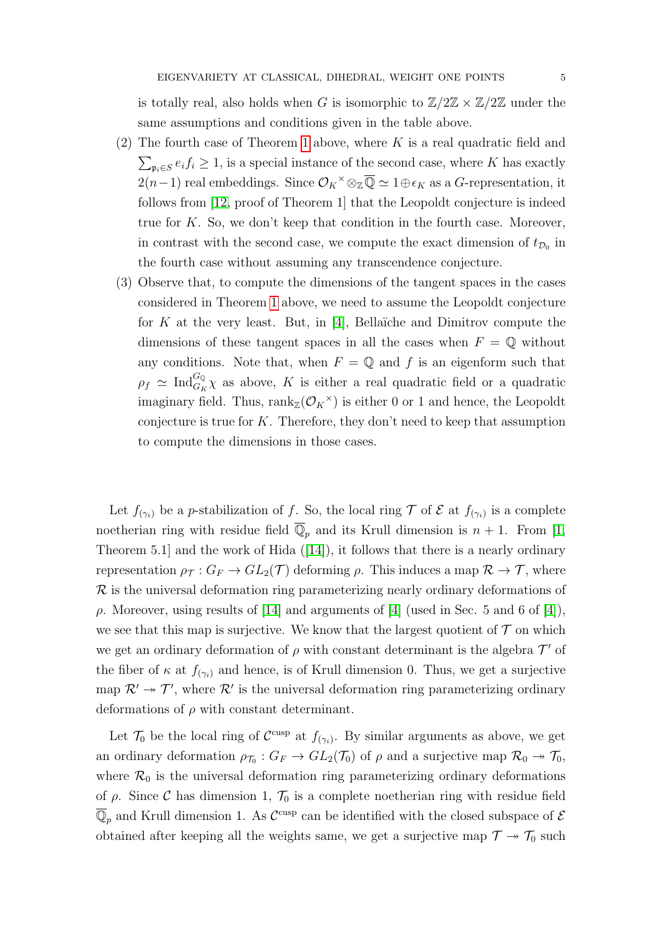is totally real, also holds when G is isomorphic to  $\mathbb{Z}/2\mathbb{Z} \times \mathbb{Z}/2\mathbb{Z}$  under the same assumptions and conditions given in the table above.

- (2) The fourth case of Theorem [1](#page-3-0) above, where  $K$  is a real quadratic field and  $\sum_{\mathfrak{p}_i \in S} e_i f_i \geq 1$ , is a special instance of the second case, where K has exactly 2(n-1) real embeddings. Since  $\mathcal{O}_K$ <sup>×</sup> ⊗<sub>Z</sub> $\overline{\mathbb{Q}}$  ≈ 1⊕ $\epsilon_K$  as a G-representation, it follows from [\[12,](#page-31-7) proof of Theorem 1] that the Leopoldt conjecture is indeed true for  $K$ . So, we don't keep that condition in the fourth case. Moreover, in contrast with the second case, we compute the exact dimension of  $t_{\mathcal{D}_0}$  in the fourth case without assuming any transcendence conjecture.
- (3) Observe that, to compute the dimensions of the tangent spaces in the cases considered in Theorem [1](#page-3-0) above, we need to assume the Leopoldt conjecture for K at the very least. But, in [\[4\]](#page-31-0), Bellaïche and Dimitrov compute the dimensions of these tangent spaces in all the cases when  $F = \mathbb{Q}$  without any conditions. Note that, when  $F = \mathbb{Q}$  and f is an eigenform such that  $\rho_f \simeq \text{Ind}_{G_K}^{G_Q} \chi$  as above, K is either a real quadratic field or a quadratic imaginary field. Thus,  $rank_{\mathbb{Z}}(\mathcal{O}_K^{\times})$  is either 0 or 1 and hence, the Leopoldt conjecture is true for  $K$ . Therefore, they don't need to keep that assumption to compute the dimensions in those cases.

Let  $f_{(\gamma_i)}$  be a *p*-stabilization of f. So, the local ring  $\mathcal T$  of  $\mathcal E$  at  $f_{(\gamma_i)}$  is a complete noetherian ring with residue field  $\overline{\mathbb{Q}}_n$  and its Krull dimension is  $n + 1$ . From [\[1,](#page-31-1) Theorem 5.1 and the work of Hida  $([14])$  $([14])$  $([14])$ , it follows that there is a nearly ordinary representation  $\rho_{\mathcal{T}} : G_F \to GL_2(\mathcal{T})$  deforming  $\rho$ . This induces a map  $\mathcal{R} \to \mathcal{T}$ , where  $\mathcal R$  is the universal deformation ring parameterizing nearly ordinary deformations of ρ. Moreover, using results of [\[14\]](#page-31-8) and arguments of [\[4\]](#page-31-0) (used in Sec. 5 and 6 of [\[4\]](#page-31-0)), we see that this map is surjective. We know that the largest quotient of  $\mathcal T$  on which we get an ordinary deformation of  $\rho$  with constant determinant is the algebra  $\mathcal{T}'$  of the fiber of  $\kappa$  at  $f_{(\gamma_i)}$  and hence, is of Krull dimension 0. Thus, we get a surjective map  $\mathcal{R}' \to \mathcal{T}'$ , where  $\mathcal{R}'$  is the universal deformation ring parameterizing ordinary deformations of  $\rho$  with constant determinant.

Let  $\mathcal{T}_0$  be the local ring of  $\mathcal{C}^{\text{cusp}}$  at  $f_{(\gamma_i)}$ . By similar arguments as above, we get an ordinary deformation  $\rho_{\mathcal{T}_0}: G_F \to GL_2(\mathcal{T}_0)$  of  $\rho$  and a surjective map  $\mathcal{R}_0 \to \mathcal{T}_0$ , where  $\mathcal{R}_0$  is the universal deformation ring parameterizing ordinary deformations of  $\rho$ . Since C has dimension 1,  $\mathcal{T}_0$  is a complete noetherian ring with residue field  $\overline{\mathbb{Q}}_p$  and Krull dimension 1. As  $\mathcal{C}^{\text{cusp}}$  can be identified with the closed subspace of  $\mathcal E$ obtained after keeping all the weights same, we get a surjective map  $\mathcal{T} \twoheadrightarrow \mathcal{T}_0$  such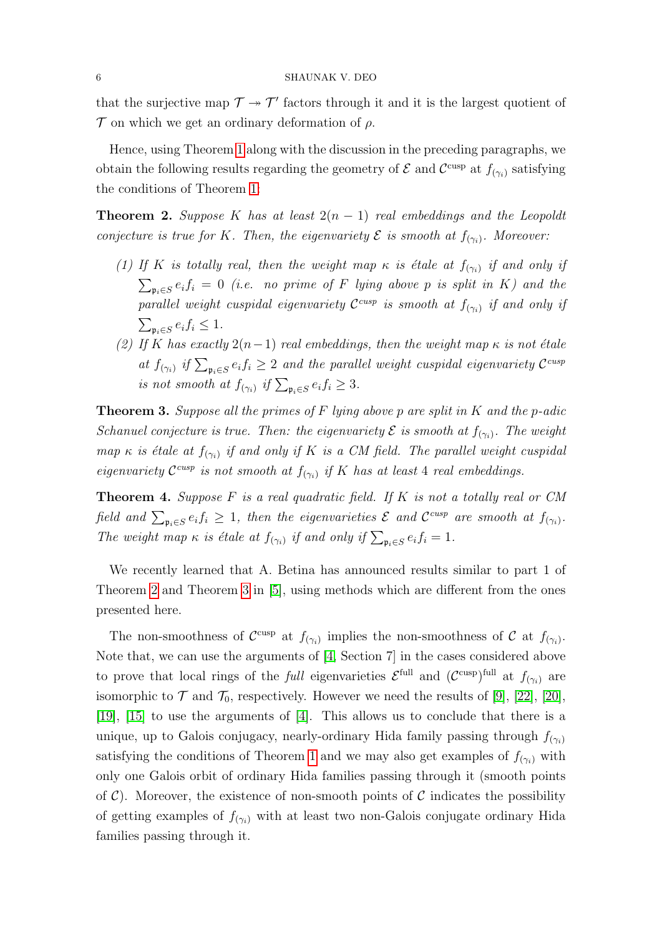that the surjective map  $\mathcal{T} \rightarrow \mathcal{T}'$  factors through it and it is the largest quotient of  $\mathcal T$  on which we get an ordinary deformation of  $\rho$ .

Hence, using Theorem [1](#page-3-0) along with the discussion in the preceding paragraphs, we obtain the following results regarding the geometry of  $\mathcal E$  and  $\mathcal C^{\text{cusp}}$  at  $f_{(\gamma_i)}$  satisfying the conditions of Theorem [1:](#page-3-0)

<span id="page-5-0"></span>**Theorem 2.** Suppose K has at least  $2(n - 1)$  real embeddings and the Leopoldt conjecture is true for K. Then, the eigenvariety  $\mathcal E$  is smooth at  $f_{(\gamma_i)}$ . Moreover:

- (1) If K is totally real, then the weight map  $\kappa$  is étale at  $f_{(\gamma_i)}$  if and only if  $\sum_{\mathfrak{p}_i \in S} e_i f_i = 0$  (i.e. no prime of F lying above p is split in K) and the parallel weight cuspidal eigenvariety  $\mathcal{C}^{cusp}$  is smooth at  $f_{(\gamma_i)}$  if and only if  $\sum_{\mathfrak{p}_i \in S} e_i f_i \leq 1.$
- (2) If K has exactly  $2(n-1)$  real embeddings, then the weight map  $\kappa$  is not étale at  $f_{(\gamma_i)}$  if  $\sum_{\mathfrak{p}_i \in S} e_i f_i \geq 2$  and the parallel weight cuspidal eigenvariety  $\mathcal{C}^{cusp}$ is not smooth at  $f_{(\gamma_i)}$  if  $\sum_{\mathfrak{p}_i \in S} e_i f_i \geq 3$ .

<span id="page-5-1"></span>**Theorem 3.** Suppose all the primes of F lying above p are split in K and the p-adic Schanuel conjecture is true. Then: the eigenvariety  $\mathcal E$  is smooth at  $f_{(\gamma_i)}$ . The weight map  $\kappa$  is étale at  $f_{(\gamma_i)}$  if and only if K is a CM field. The parallel weight cuspidal eigenvariety  $\mathcal{C}^{cusp}$  is not smooth at  $f_{(\gamma_i)}$  if K has at least 4 real embeddings.

<span id="page-5-2"></span>**Theorem 4.** Suppose  $F$  is a real quadratic field. If  $K$  is not a totally real or  $CM$ field and  $\sum_{\mathfrak{p}_i \in S} e_i f_i \geq 1$ , then the eigenvarieties  $\mathcal E$  and  $\mathcal C^{cusp}$  are smooth at  $f_{(\gamma_i)}$ . The weight map  $\kappa$  is étale at  $f_{(\gamma_i)}$  if and only if  $\sum_{\mathfrak{p}_i \in S} e_i f_i = 1$ .

We recently learned that A. Betina has announced results similar to part 1 of Theorem [2](#page-5-0) and Theorem [3](#page-5-1) in [\[5\]](#page-31-9), using methods which are different from the ones presented here.

The non-smoothness of  $\mathcal{C}^{\text{cusp}}$  at  $f_{(\gamma_i)}$  implies the non-smoothness of  $\mathcal{C}$  at  $f_{(\gamma_i)}$ . Note that, we can use the arguments of [\[4,](#page-31-0) Section 7] in the cases considered above to prove that local rings of the *full* eigenvarieties  $\mathcal{E}^{\text{full}}$  and  $(\mathcal{C}^{\text{cusp}})^{\text{full}}$  at  $f_{(\gamma_i)}$  are isomorphic to  $\mathcal T$  and  $\mathcal T_0$ , respectively. However we need the results of [\[9\]](#page-31-10), [\[22\]](#page-32-2), [\[20\]](#page-32-0), [\[19\]](#page-31-5), [\[15\]](#page-31-11) to use the arguments of [\[4\]](#page-31-0). This allows us to conclude that there is a unique, up to Galois conjugacy, nearly-ordinary Hida family passing through  $f_{(\gamma_i)}$ satisfying the conditions of Theorem [1](#page-3-0) and we may also get examples of  $f_{(\gamma_i)}$  with only one Galois orbit of ordinary Hida families passing through it (smooth points of  $\mathcal{C}$ ). Moreover, the existence of non-smooth points of  $\mathcal{C}$  indicates the possibility of getting examples of  $f_{(\gamma_i)}$  with at least two non-Galois conjugate ordinary Hida families passing through it.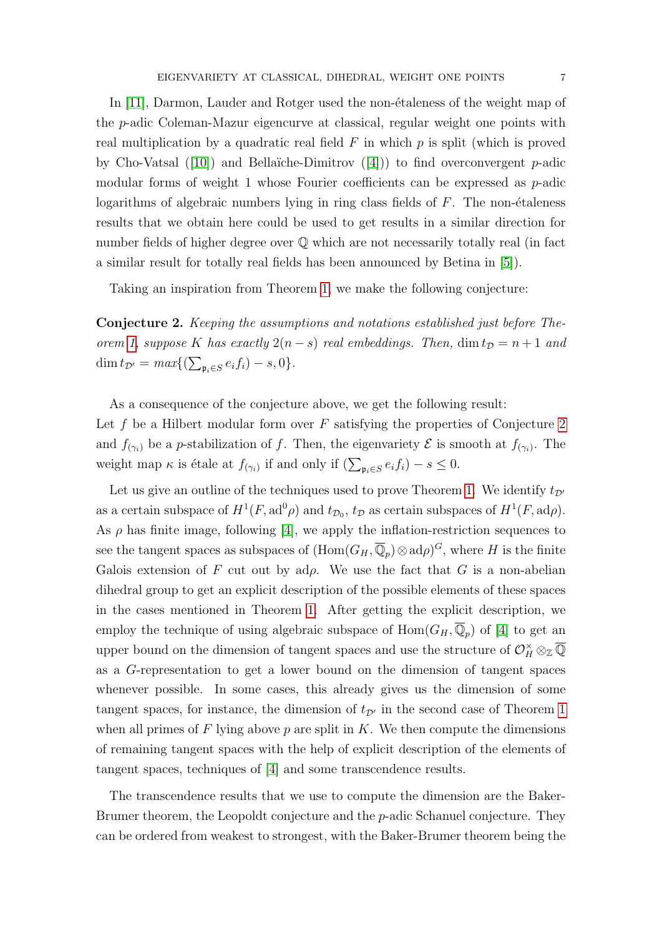In [\[11\]](#page-31-12), Darmon, Lauder and Rotger used the non-étaleness of the weight map of the p-adic Coleman-Mazur eigencurve at classical, regular weight one points with real multiplication by a quadratic real field  $F$  in which  $p$  is split (which is proved by Cho-Vatsal ([\[10\]](#page-31-13)) and Bellaïche-Dimitrov ([\[4\]](#page-31-0))) to find overconvergent  $p$ -adic modular forms of weight 1 whose Fourier coefficients can be expressed as  $p$ -adic logarithms of algebraic numbers lying in ring class fields of  $F$ . The non- $\acute{e}t$  algebraic results that we obtain here could be used to get results in a similar direction for number fields of higher degree over  $\mathbb Q$  which are not necessarily totally real (in fact a similar result for totally real fields has been announced by Betina in [\[5\]](#page-31-9)).

Taking an inspiration from Theorem [1,](#page-3-0) we make the following conjecture:

<span id="page-6-0"></span>Conjecture 2. Keeping the assumptions and notations established just before The-orem [1,](#page-3-0) suppose K has exactly  $2(n - s)$  real embeddings. Then,  $\dim t_{\mathcal{D}} = n + 1$  and  $\dim t_{\mathcal{D}'} = max\{(\sum_{\mathfrak{p}_i \in S} e_i f_i) - s, 0\}.$ 

As a consequence of the conjecture above, we get the following result:

Let f be a Hilbert modular form over  $F$  satisfying the properties of Conjecture [2](#page-6-0) and  $f_{(\gamma_i)}$  be a p-stabilization of f. Then, the eigenvariety  $\mathcal E$  is smooth at  $f_{(\gamma_i)}$ . The weight map  $\kappa$  is étale at  $f_{(\gamma_i)}$  if and only if  $(\sum_{\mathfrak{p}_i \in S} e_i f_i) - s \leq 0$ .

Let us give an outline of the techniques used to prove Theorem [1.](#page-3-0) We identify  $t_{\mathcal{D}}$ as a certain subspace of  $H^1(F, \text{ad}^0\rho)$  and  $t_{\mathcal{D}_0}$ ,  $t_{\mathcal{D}}$  as certain subspaces of  $H^1(F, \text{ad}\rho)$ . As  $\rho$  has finite image, following [\[4\]](#page-31-0), we apply the inflation-restriction sequences to see the tangent spaces as subspaces of  $(\text{Hom}(G_H, \overline{\mathbb{Q}}_p) \otimes \text{ad}\rho)^G$ , where H is the finite Galois extension of F cut out by  $\alpha d\rho$ . We use the fact that G is a non-abelian dihedral group to get an explicit description of the possible elements of these spaces in the cases mentioned in Theorem [1.](#page-3-0) After getting the explicit description, we employ the technique of using algebraic subspace of  $\text{Hom}(G_H, \overline{\mathbb{Q}}_p)$  of [\[4\]](#page-31-0) to get an upper bound on the dimension of tangent spaces and use the structure of  $\mathcal{O}_H^{\times} \otimes_{\mathbb{Z}} \overline{\mathbb{Q}}$ as a G-representation to get a lower bound on the dimension of tangent spaces whenever possible. In some cases, this already gives us the dimension of some tangent spaces, for instance, the dimension of  $t_{\mathcal{D}}$  in the second case of Theorem [1](#page-3-0) when all primes of  $F$  lying above  $p$  are split in  $K$ . We then compute the dimensions of remaining tangent spaces with the help of explicit description of the elements of tangent spaces, techniques of [\[4\]](#page-31-0) and some transcendence results.

The transcendence results that we use to compute the dimension are the Baker-Brumer theorem, the Leopoldt conjecture and the p-adic Schanuel conjecture. They can be ordered from weakest to strongest, with the Baker-Brumer theorem being the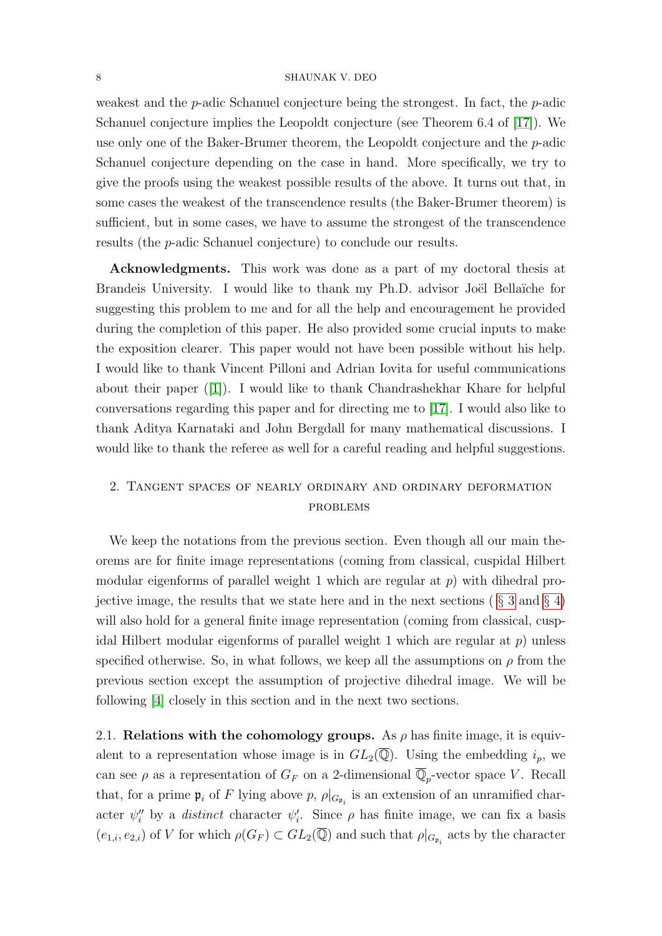#### 8 SHAUNAK V. DEO

weakest and the p-adic Schanuel conjecture being the strongest. In fact, the p-adic Schanuel conjecture implies the Leopoldt conjecture (see Theorem 6.4 of [\[17\]](#page-31-14)). We use only one of the Baker-Brumer theorem, the Leopoldt conjecture and the p-adic Schanuel conjecture depending on the case in hand. More specifically, we try to give the proofs using the weakest possible results of the above. It turns out that, in some cases the weakest of the transcendence results (the Baker-Brumer theorem) is sufficient, but in some cases, we have to assume the strongest of the transcendence results (the p-adic Schanuel conjecture) to conclude our results.

Acknowledgments. This work was done as a part of my doctoral thesis at Brandeis University. I would like to thank my Ph.D. advisor Joël Bellaïche for suggesting this problem to me and for all the help and encouragement he provided during the completion of this paper. He also provided some crucial inputs to make the exposition clearer. This paper would not have been possible without his help. I would like to thank Vincent Pilloni and Adrian Iovita for useful communications about their paper  $([1])$  $([1])$  $([1])$ . I would like to thank Chandrashekhar Khare for helpful conversations regarding this paper and for directing me to [\[17\]](#page-31-14). I would also like to thank Aditya Karnataki and John Bergdall for many mathematical discussions. I would like to thank the referee as well for a careful reading and helpful suggestions.

# 2. Tangent spaces of nearly ordinary and ordinary deformation problems

We keep the notations from the previous section. Even though all our main theorems are for finite image representations (coming from classical, cuspidal Hilbert modular eigenforms of parallel weight 1 which are regular at  $p$ ) with dihedral projective image, the results that we state here and in the next sections ( $\S 3$  $\S 3$  and  $\S 4$ ) will also hold for a general finite image representation (coming from classical, cuspidal Hilbert modular eigenforms of parallel weight 1 which are regular at  $p$ ) unless specified otherwise. So, in what follows, we keep all the assumptions on  $\rho$  from the previous section except the assumption of projective dihedral image. We will be following [\[4\]](#page-31-0) closely in this section and in the next two sections.

2.1. Relations with the cohomology groups. As  $\rho$  has finite image, it is equivalent to a representation whose image is in  $GL_2(\overline{\mathbb{Q}})$ . Using the embedding  $i_p$ , we can see  $\rho$  as a representation of  $G_F$  on a 2-dimensional  $\overline{\mathbb{Q}}_p$ -vector space V. Recall that, for a prime  $\mathfrak{p}_i$  of F lying above p,  $\rho|_{G_{\mathfrak{p}_i}}$  is an extension of an unramified character  $\psi''_i$  by a *distinct* character  $\psi'_i$ . Since  $\rho$  has finite image, we can fix a basis  $(e_{1,i}, e_{2,i})$  of V for which  $\rho(G_F) \subset GL_2(\overline{\mathbb{Q}})$  and such that  $\rho|_{G_{\mathfrak{p}_i}}$  acts by the character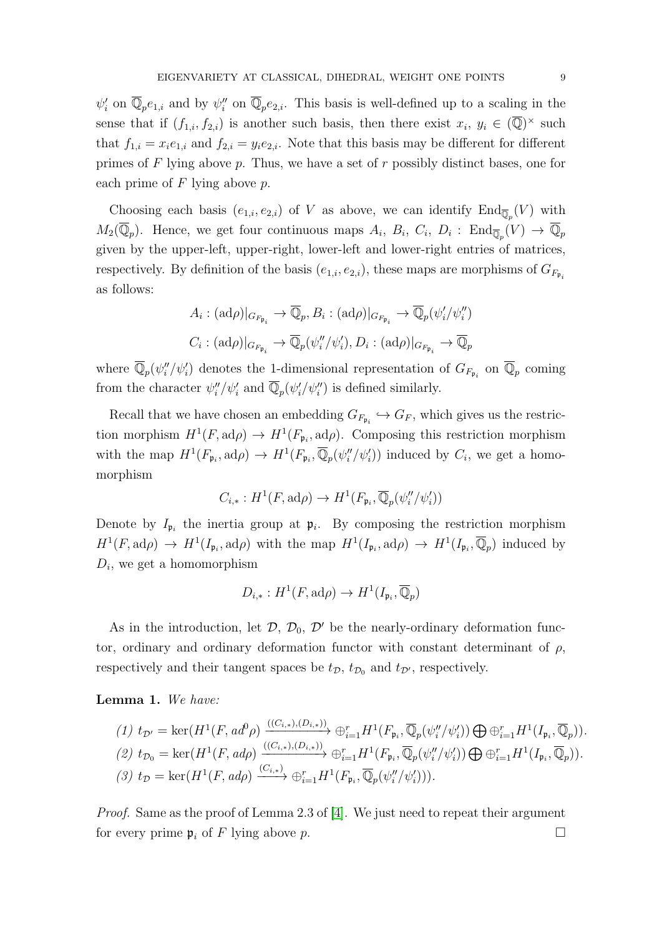$\psi'_i$  on  $\overline{\mathbb{Q}}_p e_{1,i}$  and by  $\psi''_i$  on  $\overline{\mathbb{Q}}_p e_{2,i}$ . This basis is well-defined up to a scaling in the sense that if  $(f_{1,i}, f_{2,i})$  is another such basis, then there exist  $x_i, y_i \in (\overline{Q})^{\times}$  such that  $f_{1,i} = x_i e_{1,i}$  and  $f_{2,i} = y_i e_{2,i}$ . Note that this basis may be different for different primes of  $F$  lying above  $p$ . Thus, we have a set of  $r$  possibly distinct bases, one for each prime of  $F$  lying above  $p$ .

Choosing each basis  $(e_{1,i}, e_{2,i})$  of V as above, we can identify  $\text{End}_{\overline{\mathbb{Q}}_p}(V)$  with  $M_2(\overline{\mathbb{Q}}_p)$ . Hence, we get four continuous maps  $A_i$ ,  $B_i$ ,  $C_i$ ,  $D_i$ :  $\text{End}_{\overline{\mathbb{Q}}_p}(V) \to \overline{\mathbb{Q}}_p$ given by the upper-left, upper-right, lower-left and lower-right entries of matrices, respectively. By definition of the basis  $(e_{1,i}, e_{2,i})$ , these maps are morphisms of  $G_{F_{\mathfrak{p}_i}}$ as follows:

$$
A_i : (\mathrm{ad}\rho)|_{G_{F_{\mathfrak{p}_i}}} \to \overline{\mathbb{Q}}_p, B_i : (\mathrm{ad}\rho)|_{G_{F_{\mathfrak{p}_i}}} \to \overline{\mathbb{Q}}_p(\psi'_i/\psi''_i)
$$
  

$$
C_i : (\mathrm{ad}\rho)|_{G_{F_{\mathfrak{p}_i}}} \to \overline{\mathbb{Q}}_p(\psi''_i/\psi'_i), D_i : (\mathrm{ad}\rho)|_{G_{F_{\mathfrak{p}_i}}} \to \overline{\mathbb{Q}}_p
$$

where  $\overline{\mathbb{Q}}_p(\psi''_i/\psi'_i)$  denotes the 1-dimensional representation of  $G_{F_{\mathfrak{p}_i}}$  on  $\overline{\mathbb{Q}}_p$  coming from the character  $\psi''_i/\psi'_i$  and  $\overline{\mathbb{Q}}_p(\psi'_i/\psi''_i)$  is defined similarly.

Recall that we have chosen an embedding  $G_{F_{\mathfrak{p}_i}} \hookrightarrow G_F$ , which gives us the restriction morphism  $H^1(F, \operatorname{ad}\rho) \to H^1(F_{\mathfrak{p}_i}, \operatorname{ad}\rho)$ . Composing this restriction morphism with the map  $H^1(F_{\mathfrak{p}_i},\mathrm{ad}\rho) \to H^1(F_{\mathfrak{p}_i},\overline{\mathbb{Q}}_p(\psi_i''/\psi_i'))$  induced by  $C_i$ , we get a homomorphism

$$
C_{i,*}:H^1(F,\mathrm{ad}\rho)\to H^1(F_{\mathfrak{p}_i},\overline{\mathbb{Q}}_p(\psi_i''/\psi_i'))
$$

Denote by  $I_{\mathfrak{p}_i}$  the inertia group at  $\mathfrak{p}_i$ . By composing the restriction morphism  $H^1(F, \operatorname{ad}\rho) \to H^1(I_{\mathfrak{p}_i}, \operatorname{ad}\rho)$  with the map  $H^1(I_{\mathfrak{p}_i}, \operatorname{ad}\rho) \to H^1(I_{\mathfrak{p}_i}, \overline{\mathbb{Q}}_p)$  induced by  $D_i$ , we get a homomorphism

$$
D_{i,*}:H^1(F,\mathrm{ad}\rho)\to H^1(I_{\mathfrak{p}_i},\overline{\mathbb{Q}}_p)
$$

As in the introduction, let  $\mathcal{D}, \mathcal{D}_0, \mathcal{D}'$  be the nearly-ordinary deformation functor, ordinary and ordinary deformation functor with constant determinant of  $\rho$ , respectively and their tangent spaces be  $t_{\mathcal{D}}$ ,  $t_{\mathcal{D}_0}$  and  $t_{\mathcal{D}'}$ , respectively.

Lemma 1. We have:

$$
(1) t_{\mathcal{D}'} = \ker(H^1(F, ad^0\rho) \xrightarrow{((C_{i,*}), (D_{i,*}))} \oplus_{i=1}^r H^1(F_{\mathfrak{p}_i}, \overline{\mathbb{Q}}_p(\psi_i''/\psi_i')) \bigoplus \oplus_{i=1}^r H^1(I_{\mathfrak{p}_i}, \overline{\mathbb{Q}}_p)).
$$
  
\n
$$
(2) t_{\mathcal{D}_0} = \ker(H^1(F, ad\rho) \xrightarrow{((C_{i,*}), (D_{i,*}))} \oplus_{i=1}^r H^1(F_{\mathfrak{p}_i}, \overline{\mathbb{Q}}_p(\psi_i''/\psi_i')) \bigoplus \oplus_{i=1}^r H^1(I_{\mathfrak{p}_i}, \overline{\mathbb{Q}}_p)).
$$
  
\n
$$
(3) t_{\mathcal{D}} = \ker(H^1(F, ad\rho) \xrightarrow{(C_{i,*})} \oplus_{i=1}^r H^1(F_{\mathfrak{p}_i}, \overline{\mathbb{Q}}_p(\psi_i''/\psi_i'))).
$$

*Proof.* Same as the proof of Lemma 2.3 of [\[4\]](#page-31-0). We just need to repeat their argument for every prime  $\mathfrak{p}_i$  of F lying above p.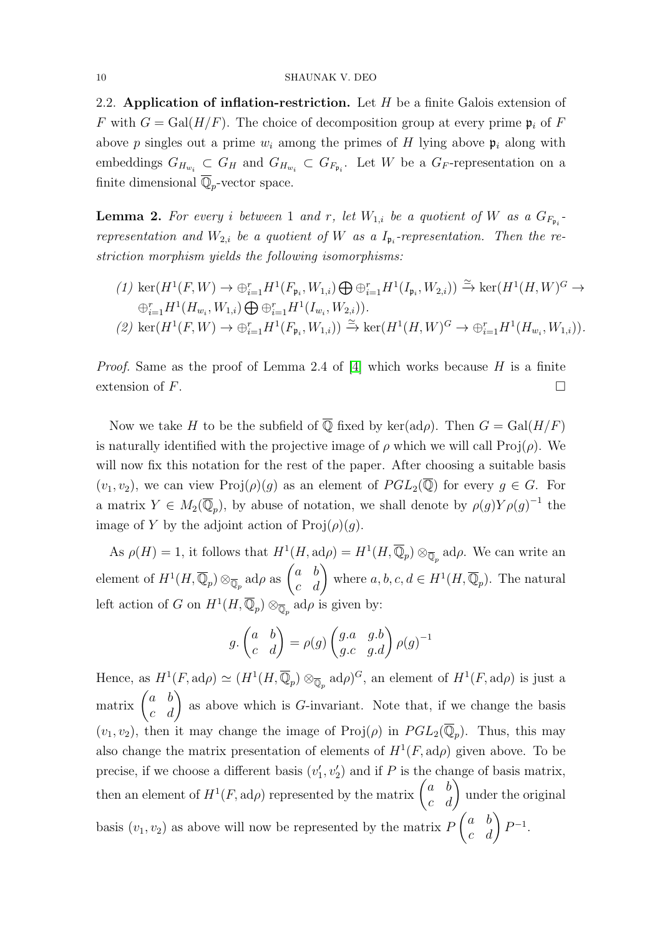2.2. Application of inflation-restriction. Let  $H$  be a finite Galois extension of F with  $G = \text{Gal}(H/F)$ . The choice of decomposition group at every prime  $\mathfrak{p}_i$  of F above p singles out a prime  $w_i$  among the primes of H lying above  $p_i$  along with embeddings  $G_{H_{w_i}} \subset G_H$  and  $G_{H_{w_i}} \subset G_{F_{\mathfrak{p}_i}}$ . Let W be a  $G_F$ -representation on a finite dimensional  $\overline{\mathbb{Q}}_p$ -vector space.

**Lemma 2.** For every i between 1 and r, let  $W_{1,i}$  be a quotient of W as a  $G_{F_{\mathfrak{p}_i}}$ . representation and  $W_{2,i}$  be a quotient of W as a  $I_{\mathfrak{p}_i}$ -representation. Then the restriction morphism yields the following isomorphisms:

- $(1) \operatorname{ker}(H^1(F,W) \to \bigoplus_{i=1}^r H^1(F_{\mathfrak{p}_i},W_{1,i}) \bigoplus \bigoplus_{i=1}^r H^1(I_{\mathfrak{p}_i},W_{2,i})) \xrightarrow{\simeq} \operatorname{ker}(H^1(H,W)^G \to$  $\bigoplus_{i=1}^r H^1(H_{w_i}, W_{1,i}) \bigoplus \bigoplus_{i=1}^r H^1(I_{w_i}, W_{2,i})).$
- $(2) \operatorname{ker}(H^1(F,W) \to \bigoplus_{i=1}^r H^1(F_{\mathfrak{p}_i},W_{1,i})) \xrightarrow{\simeq} \operatorname{ker}(H^1(H,W)^G \to \bigoplus_{i=1}^r H^1(H_{w_i},W_{1,i})).$

*Proof.* Same as the proof of Lemma 2.4 of [\[4\]](#page-31-0) which works because  $H$  is a finite extension of  $F$ .

Now we take H to be the subfield of  $\overline{Q}$  fixed by ker(ad $\rho$ ). Then  $G = \text{Gal}(H/F)$ is naturally identified with the projective image of  $\rho$  which we will call Proj( $\rho$ ). We will now fix this notation for the rest of the paper. After choosing a suitable basis  $(v_1, v_2)$ , we can view  $\text{Proj}(\rho)(g)$  as an element of  $PGL_2(\overline{\mathbb{Q}})$  for every  $g \in G$ . For a matrix  $Y \in M_2(\overline{\mathbb{Q}}_p)$ , by abuse of notation, we shall denote by  $\rho(g)Y\rho(g)^{-1}$  the image of Y by the adjoint action of  $\text{Proj}(\rho)(q)$ .

As  $\rho(H) = 1$ , it follows that  $H^1(H, \mathrm{ad}\rho) = H^1(H, \overline{\mathbb{Q}}_p) \otimes_{\overline{\mathbb{Q}}_p} \mathrm{ad}\rho$ . We can write an element of  $H^1(H, \overline{\mathbb{Q}}_p) \otimes_{\overline{\mathbb{Q}}_p} \text{ad}\rho$  as  $\begin{pmatrix} a & b \\ c & d \end{pmatrix}$  where  $a, b, c, d \in H^1(H, \overline{\mathbb{Q}}_p)$ . The natural left action of G on  $H^1(H, \overline{\mathbb{Q}}_p) \otimes_{\overline{\mathbb{Q}}_p} \text{ad}\rho$  is given by:

$$
g. \begin{pmatrix} a & b \\ c & d \end{pmatrix} = \rho(g) \begin{pmatrix} g.a & g.b \\ g.c & g.d \end{pmatrix} \rho(g)^{-1}
$$

Hence, as  $H^1(F, \operatorname{ad}\rho) \simeq (H^1(H, \overline{\mathbb{Q}}_p) \otimes_{\overline{\mathbb{Q}}_p} \operatorname{ad}\rho)^G$ , an element of  $H^1(F, \operatorname{ad}\rho)$  is just a matrix  $\begin{pmatrix} a & b \\ c & d \end{pmatrix}$  as above which is *G*-invariant. Note that, if we change the basis  $(v_1, v_2)$ , then it may change the image of Proj $(\rho)$  in  $PGL_2(\overline{\mathbb{Q}}_p)$ . Thus, this may also change the matrix presentation of elements of  $H^1(F, \operatorname{ad}\rho)$  given above. To be precise, if we choose a different basis  $(v'_1, v'_2)$  and if P is the change of basis matrix, then an element of  $H^1(F, \text{ad}\rho)$  represented by the matrix  $\begin{pmatrix} a & b \\ c & d \end{pmatrix}$  under the original basis  $(v_1, v_2)$  as above will now be represented by the matrix  $P$  $\begin{pmatrix} a & b \\ c & d \end{pmatrix} P^{-1}.$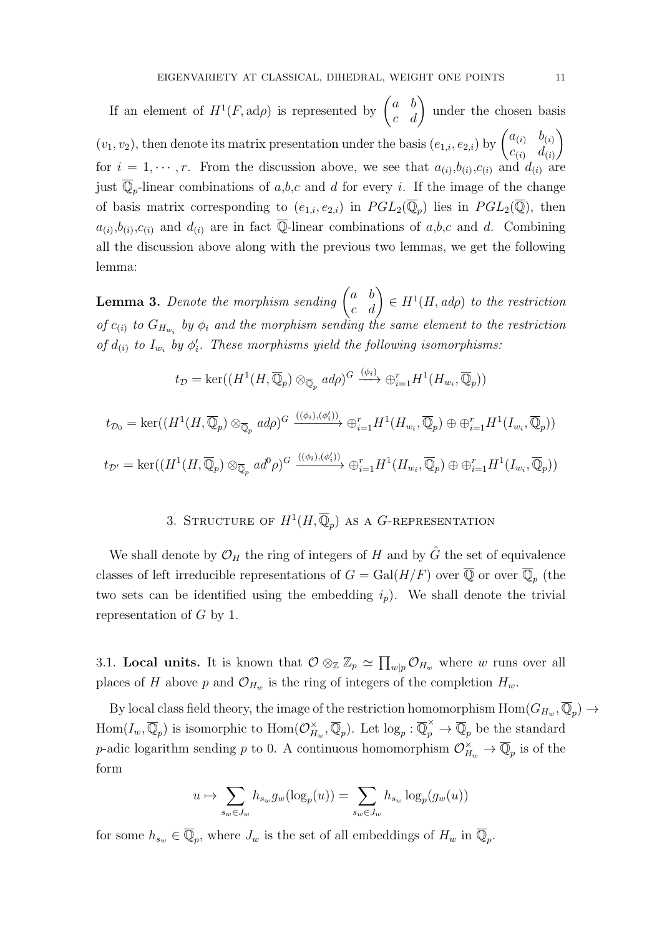If an element of  $H^1(F, \operatorname{ad}\rho)$  is represented by  $\begin{pmatrix} a & b \\ c & d \end{pmatrix}$  under the chosen basis  $(v_1, v_2)$ , then denote its matrix presentation under the basis  $(e_{1,i}, e_{2,i})$  by  $\begin{pmatrix} a_{(i)} & b_{(i)} \\ c_{(i)} & d_{(i)} \end{pmatrix}$  $c_{(i)}$   $d_{(i)}$  $\setminus$ for  $i = 1, \dots, r$ . From the discussion above, we see that  $a_{(i)}, b_{(i)}, c_{(i)}$  and  $d_{(i)}$  are just  $\overline{\mathbb{Q}}_p$ -linear combinations of a,b,c and d for every i. If the image of the change of basis matrix corresponding to  $(e_{1,i}, e_{2,i})$  in  $PGL_2(\overline{\mathbb{Q}}_p)$  lies in  $PGL_2(\overline{\mathbb{Q}})$ , then  $a_{(i)}$ ,  $b_{(i)}$ ,  $c_{(i)}$  and  $d_{(i)}$  are in fact  $\overline{\mathbb{Q}}$ -linear combinations of a, b, c and d. Combining all the discussion above along with the previous two lemmas, we get the following lemma:

<span id="page-10-1"></span>**Lemma 3.** Denote the morphism sending  $\begin{pmatrix} a & b \\ c & d \end{pmatrix} \in H^1(H, ad\rho)$  to the restriction of  $c_{(i)}$  to  $G_{H_{w_i}}$  by  $\phi_i$  and the morphism sending the same element to the restriction of  $d_{(i)}$  to  $I_{w_i}$  by  $\phi'_i$ . These morphisms yield the following isomorphisms:

$$
t_{\mathcal{D}} = \ker((H^1(H, \overline{\mathbb{Q}}_p) \otimes_{\overline{\mathbb{Q}}_p} ad\rho)^{G} \xrightarrow{(\phi_i)} \oplus_{i=1}^r H^1(H_{w_i}, \overline{\mathbb{Q}}_p))
$$

$$
t_{\mathcal{D}_0} = \ker((H^1(H, \overline{\mathbb{Q}}_p) \otimes_{\overline{\mathbb{Q}}_p} ad\rho)^G \xrightarrow{((\phi_i), (\phi'_i))} \oplus_{i=1}^r H^1(H_{w_i}, \overline{\mathbb{Q}}_p) \oplus \oplus_{i=1}^r H^1(I_{w_i}, \overline{\mathbb{Q}}_p))
$$
  

$$
t_{\mathcal{D}'} = \ker((H^1(H, \overline{\mathbb{Q}}_p) \otimes_{\overline{\mathbb{Q}}_p} ad^0\rho)^G \xrightarrow{((\phi_i), (\phi'_i))} \oplus_{i=1}^r H^1(H_{w_i}, \overline{\mathbb{Q}}_p) \oplus \oplus_{i=1}^r H^1(I_{w_i}, \overline{\mathbb{Q}}_p))
$$

# 3. STRUCTURE OF  $H^1(H,\overline{\mathbb{Q}}_p)$  as a G-representation

<span id="page-10-0"></span>We shall denote by  $\mathcal{O}_H$  the ring of integers of H and by  $\hat{G}$  the set of equivalence classes of left irreducible representations of  $G = \text{Gal}(H/F)$  over  $\overline{\mathbb{Q}}$  or over  $\overline{\mathbb{Q}}_p$  (the two sets can be identified using the embedding  $i_p$ ). We shall denote the trivial representation of G by 1.

3.1. Local units. It is known that  $\mathcal{O}\otimes_{\mathbb{Z}}\mathbb{Z}_p\simeq \prod_{w|p}\mathcal{O}_{H_w}$  where w runs over all places of H above p and  $\mathcal{O}_{H_w}$  is the ring of integers of the completion  $H_w$ .

By local class field theory, the image of the restriction homomorphism  $\text{Hom}(G_{H_w}, \overline{\mathbb{Q}}_p) \to$  $\text{Hom}(I_w, \overline{\mathbb{Q}}_p)$  is isomorphic to  $\text{Hom}(\mathcal{O}_H^{\times})$  $H_w$ ,  $\overline{\mathbb{Q}}_p$ . Let  $\log_p : \overline{\mathbb{Q}}_p^{\times} \to \overline{\mathbb{Q}}_p$  be the standard p-adic logarithm sending p to 0. A continuous homomorphism  $\mathcal{O}_{H_w}^{\times} \to \overline{\mathbb{Q}}_p$  is of the form

$$
u \mapsto \sum_{s_w \in J_w} h_{s_w} g_w(\log_p(u)) = \sum_{s_w \in J_w} h_{s_w} \log_p(g_w(u))
$$

for some  $h_{s_w} \in \overline{\mathbb{Q}}_p$ , where  $J_w$  is the set of all embeddings of  $H_w$  in  $\overline{\mathbb{Q}}_p$ .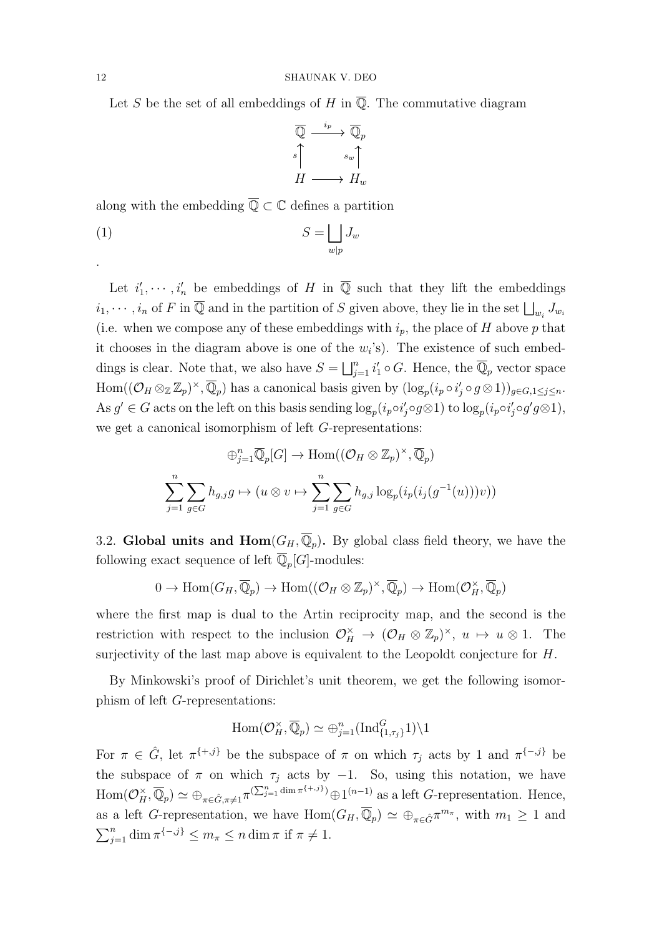Let S be the set of all embeddings of H in  $\overline{\mathbb{Q}}$ . The commutative diagram

<span id="page-11-0"></span>
$$
\overline{\mathbb{Q}} \xrightarrow{i_p} \overline{\mathbb{Q}}_p
$$
\n
$$
s \uparrow s_w \uparrow
$$
\n
$$
H \longrightarrow H_w
$$

along with the embedding  $\overline{\mathbb{Q}} \subset \mathbb{C}$  defines a partition

$$
S = \bigsqcup_{w|p} J_w
$$

Let  $i'_1, \dots, i'_n$  be embeddings of H in  $\overline{\mathbb{Q}}$  such that they lift the embeddings  $i_1, \dots, i_n$  of F in  $\overline{\mathbb{Q}}$  and in the partition of S given above, they lie in the set  $\bigsqcup_{w_i} J_{w_i}$ (i.e. when we compose any of these embeddings with  $i_p$ , the place of H above p that it chooses in the diagram above is one of the  $w_i$ 's). The existence of such embeddings is clear. Note that, we also have  $S = \bigsqcup_{j=1}^n i'_1 \circ G$ . Hence, the  $\overline{\mathbb{Q}}_p$  vector space  $\text{Hom}((\mathcal{O}_H \otimes_{\mathbb{Z}} \mathbb{Z}_p)^{\times}, \overline{\mathbb{Q}}_p)$  has a canonical basis given by  $(\log_p(i_p \circ i'_j \circ g \otimes 1))_{g \in G, 1 \leq j \leq n}$ . As  $g' \in G$  acts on the left on this basis sending  $log_p(i_p \circ i'_j \circ g \otimes 1)$  to  $log_p(i_p \circ i'_j \circ g' g \otimes 1)$ , we get a canonical isomorphism of left G-representations:

$$
\bigoplus_{j=1}^{n} \overline{\mathbb{Q}}_{p}[G] \to \text{Hom}((\mathcal{O}_{H} \otimes \mathbb{Z}_{p})^{\times}, \overline{\mathbb{Q}}_{p})
$$

$$
\sum_{j=1}^{n} \sum_{g \in G} h_{g,j}g \mapsto (u \otimes v \mapsto \sum_{j=1}^{n} \sum_{g \in G} h_{g,j} \log_{p}(i_{p}(i_{j}(g^{-1}(u)))v))
$$

3.2. Global units and  $\text{Hom}(G_H, \overline{\mathbb{Q}}_p)$ . By global class field theory, we have the following exact sequence of left  $\overline{\mathbb{Q}}_p[G]$ -modules:

$$
0 \to \text{Hom}(G_H, \overline{\mathbb{Q}}_p) \to \text{Hom}((\mathcal{O}_H \otimes \mathbb{Z}_p)^{\times}, \overline{\mathbb{Q}}_p) \to \text{Hom}(\mathcal{O}_H^{\times}, \overline{\mathbb{Q}}_p)
$$

where the first map is dual to the Artin reciprocity map, and the second is the restriction with respect to the inclusion  $\mathcal{O}_H^{\times} \to (\mathcal{O}_H \otimes \mathbb{Z}_p)^{\times}, u \mapsto u \otimes 1$ . The surjectivity of the last map above is equivalent to the Leopoldt conjecture for H.

By Minkowski's proof of Dirichlet's unit theorem, we get the following isomorphism of left G-representations:

$$
\operatorname{Hom}(\mathcal{O}_H^{\times}, \overline{\mathbb{Q}}_p) \simeq \oplus_{j=1}^n (\operatorname{Ind}_{\{1,\tau_j\}}^G 1) \backslash 1
$$

For  $\pi \in \hat{G}$ , let  $\pi^{\{\pm, j\}}$  be the subspace of  $\pi$  on which  $\tau_j$  acts by 1 and  $\pi^{\{\pm, j\}}$  be the subspace of  $\pi$  on which  $\tau_j$  acts by −1. So, using this notation, we have  $\text{Hom}(\mathcal{O}_H^{\times}, \overline{\mathbb{Q}}_p) \simeq \bigoplus_{\pi \in \hat{G}, \pi \neq 1} \pi^{(\sum_{j=1}^n \dim \pi^{\{+,j\}})} \oplus 1^{(n-1)}$  as a left *G*-representation. Hence, as a left G-representation, we have  $Hom(G_H, \overline{\mathbb{Q}}_p) \simeq \bigoplus_{\pi \in \hat{G}} \pi^{m_{\pi}},$  with  $m_1 \geq 1$  and  $\sum_{j=1}^n \dim \pi^{\{-,j\}} \leq m_\pi \leq n \dim \pi$  if  $\pi \neq 1$ .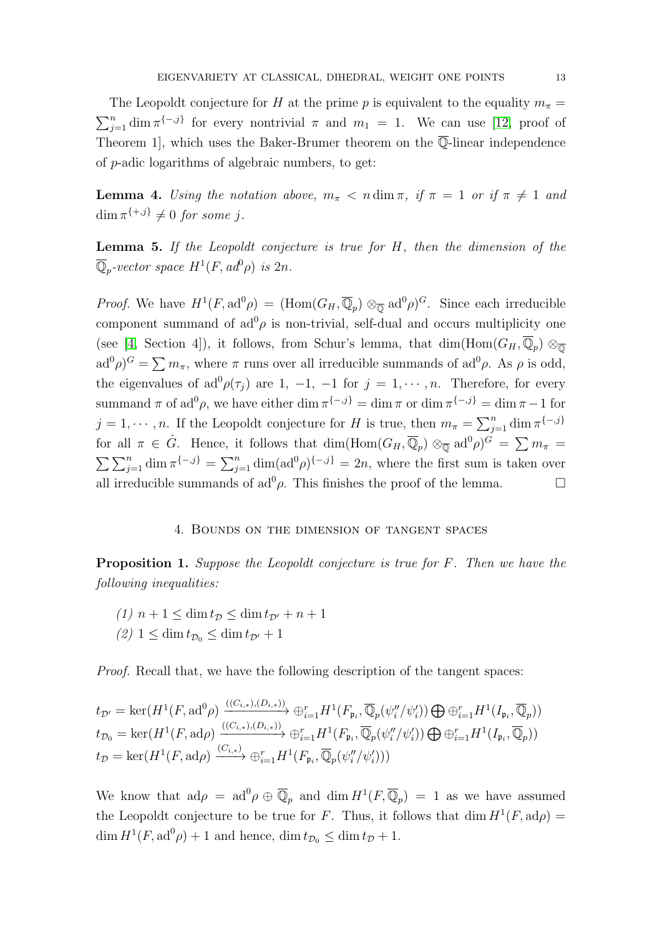The Leopoldt conjecture for H at the prime p is equivalent to the equality  $m_{\pi}$  =  $\sum_{j=1}^{n} \dim \pi^{\{-j\}}$  for every nontrivial  $\pi$  and  $m_1 = 1$ . We can use [\[12,](#page-31-7) proof of Theorem 1, which uses the Baker-Brumer theorem on the  $\overline{\mathbb{Q}}$ -linear independence of p-adic logarithms of algebraic numbers, to get:

<span id="page-12-3"></span>**Lemma 4.** Using the notation above,  $m_{\pi} < n \dim \pi$ , if  $\pi = 1$  or if  $\pi \neq 1$  and  $\dim \pi^{\{+,j\}} \neq 0$  for some j.

<span id="page-12-1"></span>**Lemma 5.** If the Leopoldt conjecture is true for  $H$ , then the dimension of the  $\overline{\mathbb{Q}}_p$ -vector space  $H^1(F, ad^0 \rho)$  is  $2n$ .

*Proof.* We have  $H^1(F, \text{ad}^0 \rho) = (\text{Hom}(G_H, \overline{\mathbb{Q}}_p) \otimes_{\overline{\mathbb{Q}}} \text{ad}^0 \rho)^G$ . Since each irreducible component summand of  $ad^0\rho$  is non-trivial, self-dual and occurs multiplicity one (see [\[4,](#page-31-0) Section 4]), it follows, from Schur's lemma, that  $\dim(\text{Hom}(G_H, \overline{\mathbb{Q}}_p) \otimes_{\overline{\mathbb{Q}}}$  $ad^0\rho$ <sup>G</sup> =  $\sum m_{\pi}$ , where  $\pi$  runs over all irreducible summands of  $ad^0\rho$ . As  $\rho$  is odd, the eigenvalues of  $ad^0\rho(\tau_j)$  are 1, -1, -1 for  $j = 1, \dots, n$ . Therefore, for every summand  $\pi$  of ad<sup>0</sup> $\rho$ , we have either dim  $\pi^{\{-,j\}} = \dim \pi$  or  $\dim \pi^{\{-,j\}} = \dim \pi - 1$  for  $j = 1, \dots, n$ . If the Leopoldt conjecture for H is true, then  $m_{\pi} = \sum_{j=1}^{n} \dim \pi^{\{-j\}}$ for all  $\pi \in \hat{G}$ . Hence, it follows that  $\dim(\text{Hom}(G_H, \overline{\mathbb{Q}}_p) \otimes_{\overline{\mathbb{Q}}} \text{ad}^0\rho)^G = \sum m_{\pi}$  $\sum \sum_{j=1}^n \dim \pi^{\{-,j\}} = \sum_{j=1}^n \dim(\text{ad}^0 \rho)^{\{-,j\}} = 2n$ , where the first sum is taken over all irreducible summands of ad<sup>0</sup> $\rho$ . This finishes the proof of the lemma.

# 4. Bounds on the dimension of tangent spaces

<span id="page-12-2"></span><span id="page-12-0"></span>Proposition 1. Suppose the Leopoldt conjecture is true for F. Then we have the following inequalities:

(1)  $n+1 \leq \dim t_{\mathcal{D}} \leq \dim t_{\mathcal{D}'} + n+1$  $(2)$  1  $\leq$  dim  $t_{\mathcal{D}_0} \leq$  dim  $t_{\mathcal{D}'} + 1$ 

Proof. Recall that, we have the following description of the tangent spaces:

$$
t_{\mathcal{D}'} = \ker(H^1(F, \mathrm{ad}^0 \rho) \xrightarrow{((C_{i,*}), (D_{i,*}))} \oplus_{i=1}^r H^1(F_{\mathfrak{p}_i}, \overline{\mathbb{Q}}_p(\psi_i''/\psi_i')) \bigoplus \oplus_{i=1}^r H^1(I_{\mathfrak{p}_i}, \overline{\mathbb{Q}}_p))
$$
  
\n
$$
t_{\mathcal{D}_0} = \ker(H^1(F, \mathrm{ad} \rho) \xrightarrow{((C_{i,*}), (D_{i,*}))} \oplus_{i=1}^r H^1(F_{\mathfrak{p}_i}, \overline{\mathbb{Q}}_p(\psi_i''/\psi_i')) \bigoplus \oplus_{i=1}^r H^1(I_{\mathfrak{p}_i}, \overline{\mathbb{Q}}_p))
$$
  
\n
$$
t_{\mathcal{D}} = \ker(H^1(F, \mathrm{ad} \rho) \xrightarrow{(C_{i,*})} \oplus_{i=1}^r H^1(F_{\mathfrak{p}_i}, \overline{\mathbb{Q}}_p(\psi_i''/\psi_i')))
$$

We know that  $ad\rho = ad^0\rho \oplus \overline{\mathbb{Q}}_p$  and  $\dim H^1(F, \overline{\mathbb{Q}}_p) = 1$  as we have assumed the Leopoldt conjecture to be true for F. Thus, it follows that  $\dim H^1(F, \operatorname{ad}\rho) =$  $\dim H^1(F, \mathrm{ad}^0 \rho) + 1$  and hence,  $\dim t_{\mathcal{D}_0} \leq \dim t_{\mathcal{D}} + 1$ .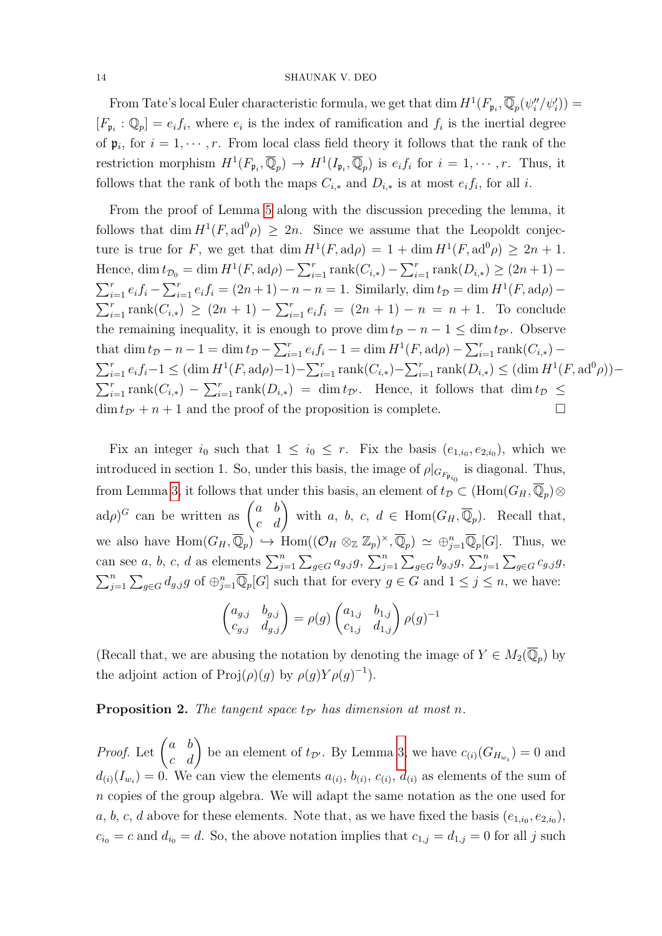From Tate's local Euler characteristic formula, we get that dim  $H^1(F_{\mathfrak{p}_i}, \overline{\mathbb{Q}}_p(\psi''_i/\psi'_i)) =$  $[F_{\mathfrak{p}_i} : \mathbb{Q}_p] = e_i f_i$ , where  $e_i$  is the index of ramification and  $f_i$  is the inertial degree of  $\mathfrak{p}_i$ , for  $i = 1, \dots, r$ . From local class field theory it follows that the rank of the restriction morphism  $H^1(F_{\mathfrak{p}_i}, \overline{\mathbb{Q}}_p) \to H^1(I_{\mathfrak{p}_i}, \overline{\mathbb{Q}}_p)$  is  $e_i f_i$  for  $i = 1, \cdots, r$ . Thus, it follows that the rank of both the maps  $C_{i,*}$  and  $D_{i,*}$  is at most  $e_i f_i$ , for all i.

From the proof of Lemma [5](#page-12-1) along with the discussion preceding the lemma, it follows that dim  $H^1(F, ad^0 \rho) \geq 2n$ . Since we assume that the Leopoldt conjecture is true for F, we get that  $\dim H^1(F, \mathrm{ad}\rho) = 1 + \dim H^1(F, \mathrm{ad}^0\rho) \geq 2n + 1$ . Hence, dim  $t_{\mathcal{D}_0} = \dim H^1(F, \operatorname{ad}\rho) - \sum_{i=1}^r \operatorname{rank}(C_{i,*}) - \sum_{i=1}^r \operatorname{rank}(D_{i,*}) \ge (2n+1) \sum_{i=1}^{r} e_i f_i - \sum_{i=1}^{r} e_i f_i = (2n+1) - n - n = 1$ . Similarly, dim  $t_{\mathcal{D}} = \dim H^1(F, \text{ad}\rho) \sum_{i=1}^r \text{rank}(C_{i,*}) \ge (2n+1) - \sum_{i=1}^r e_i f_i = (2n+1) - n = n+1$ . To conclude the remaining inequality, it is enough to prove dim  $t_D - n - 1 \le \dim t_{D'}$ . Observe that dim  $t_{\mathcal{D}} - n - 1 = \dim t_{\mathcal{D}} - \sum_{i=1}^r e_i f_i - 1 = \dim H^1(F, \operatorname{ad}\rho) - \sum_{i=1}^r \operatorname{rank}(C_{i,*})$  $\sum_{i=1}^r e_i f_i - 1 \leq (\dim H^1(F, \operatorname{ad}\rho) - 1) - \sum_{i=1}^r \operatorname{rank}(C_{i,*}) - \sum_{i=1}^r \operatorname{rank}(D_{i,*}) \leq (\dim H^1(F, \operatorname{ad}^0 \rho)) \sum_{i=1}^r \text{rank}(C_{i,*}) - \sum_{i=1}^r \text{rank}(D_{i,*}) = \dim t_{\mathcal{D}}$ . Hence, it follows that  $\dim t_{\mathcal{D}} \leq$  $\dim t_{\mathcal{D}}$  + n + 1 and the proof of the proposition is complete.

Fix an integer  $i_0$  such that  $1 \leq i_0 \leq r$ . Fix the basis  $(e_{1,i_0}, e_{2,i_0})$ , which we introduced in section 1. So, under this basis, the image of  $\rho|_{G_{F_{\mathfrak{p}_{i}}}}$  is diagonal. Thus, from Lemma [3,](#page-10-1) it follows that under this basis, an element of  $t_{\mathcal{D}} \subset (\text{Hom}(G_H, \overline{\mathbb{Q}}_p) \otimes$  $\text{ad}\rho$ <sup>G</sup> can be written as  $\begin{pmatrix} a & b \\ c & d \end{pmatrix}$  with a, b, c,  $d \in \text{Hom}(G_H, \overline{\mathbb{Q}}_p)$ . Recall that, we also have  $\text{Hom}(G_H, \overline{\mathbb{Q}}_p) \hookrightarrow \text{Hom}((\mathcal{O}_H \otimes_{\mathbb{Z}} \mathbb{Z}_p)^{\times}, \overline{\mathbb{Q}}_p) \simeq \bigoplus_{j=1}^n \overline{\mathbb{Q}}_p[G]$ . Thus, we can see a, b, c, d as elements  $\sum_{j=1}^{n} \sum_{g \in G} a_{g,j}g$ ,  $\sum_{j=1}^{n} \sum_{g \in G} b_{g,j}g$ ,  $\sum_{j=1}^{n} \sum_{g \in G} c_{g,j}g$ ,  $\sum_{j=1}^n \sum_{g \in G} d_{g,j}g$  of  $\bigoplus_{j=1}^n \overline{\mathbb{Q}}_p[G]$  such that for every  $g \in G$  and  $1 \leq j \leq n$ , we have:

$$
\begin{pmatrix} a_{g,j} & b_{g,j} \ c_{g,j} & d_{g,j} \end{pmatrix} = \rho(g) \begin{pmatrix} a_{1,j} & b_{1,j} \ c_{1,j} & d_{1,j} \end{pmatrix} \rho(g)^{-1}
$$

(Recall that, we are abusing the notation by denoting the image of  $Y \in M_2(\overline{\mathbb{Q}}_p)$  by the adjoint action of  $\text{Proj}(\rho)(g)$  by  $\rho(g)Y\rho(g)^{-1}$ .

<span id="page-13-0"></span>**Proposition 2.** The tangent space  $t_{\mathcal{D}}$  has dimension at most n.

*Proof.* Let  $\begin{pmatrix} a & b \\ c & d \end{pmatrix}$  be an element of  $t_{\mathcal{D}}$ . By Lemma [3,](#page-10-1) we have  $c_{(i)}(G_{H_{w_i}})=0$  and  $d_{(i)}(I_{w_i})=0$ . We can view the elements  $a_{(i)}$ ,  $b_{(i)}$ ,  $c_{(i)}$ ,  $d_{(i)}$  as elements of the sum of n copies of the group algebra. We will adapt the same notation as the one used for a, b, c, d above for these elements. Note that, as we have fixed the basis  $(e_{1,i_0}, e_{2,i_0})$ ,  $c_{i_0} = c$  and  $d_{i_0} = d$ . So, the above notation implies that  $c_{1,j} = d_{1,j} = 0$  for all j such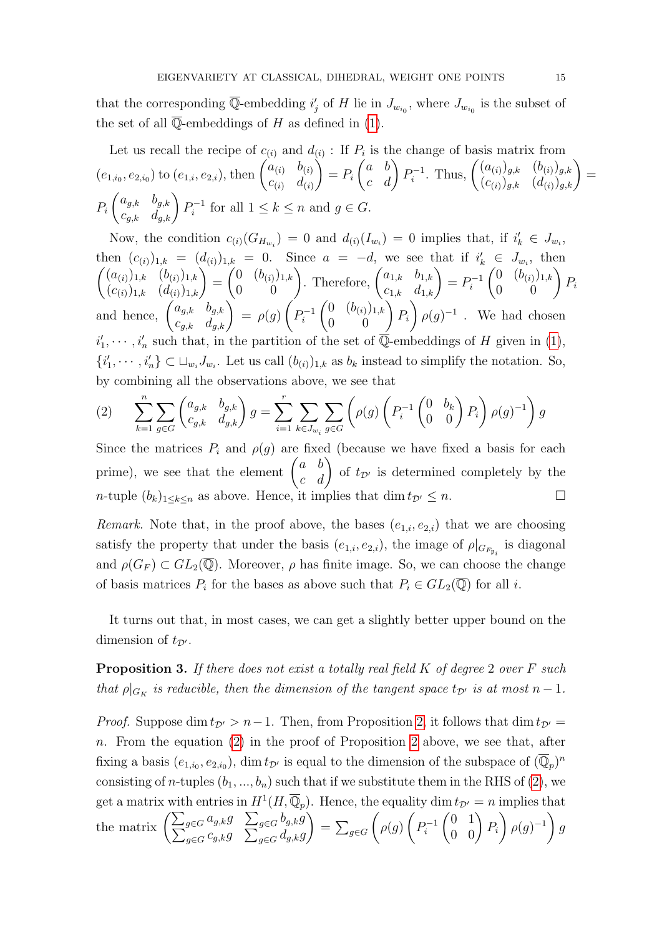that the corresponding  $\overline{\mathbb{Q}}$ -embedding  $i'_j$  of H lie in  $J_{w_{i_0}}$ , where  $J_{w_{i_0}}$  is the subset of the set of all  $\overline{\mathbb{Q}}$ -embeddings of H as defined in [\(1\)](#page-11-0).

Let us recall the recipe of  $c_{(i)}$  and  $d_{(i)}$ : If  $P_i$  is the change of basis matrix from  $(e_{1,i_0},e_{2,i_0})$  to  $(e_{1,i},e_{2,i})$ , then  $\begin{pmatrix} a_{(i)} & b_{(i)} \\ c_{(i)} & d_{(i)} \end{pmatrix}$  $c_{(i)}$   $d_{(i)}$  $\setminus$  $= P_i$  $\begin{pmatrix} a & b \\ c & d \end{pmatrix} P_i^{-1}$  $\hat{b}_i^{-1}$ . Thus,  $\begin{pmatrix} (a_{(i)})_{g,k} & (b_{(i)})_{g,k} \\ (c_{(i)})_{g,k} & (d_{(i)})_{g,k} \end{pmatrix} =$  $P_i$  $\begin{pmatrix} a_{g,k} & b_{g,k} \\ c_{g,k} & d_{g,k} \end{pmatrix} P_i^{-1}$  $P_i^{-1}$  for all  $1 \leq k \leq n$  and  $g \in G$ .

Now, the condition  $c_{(i)}(G_{H_{w_i}}) = 0$  and  $d_{(i)}(I_{w_i}) = 0$  implies that, if  $i'_k \in J_{w_i}$ , then  $(c_{(i)})_{1,k} = (d_{(i)})_{1,k} = 0$ . Since  $a = -d$ , we see that if  $i'_k \in J_{w_i}$ , then  $\begin{pmatrix} (a_{(i)})_{1,k} & (b_{(i)})_{1,k} \\ (c_{(i)})_{1,k} & (d_{(i)})_{1,k} \end{pmatrix} =$  $\begin{pmatrix} 0 & (b_{(i)})_{1,k} \\ 0 & 0 \end{pmatrix}$ . Therefore,  $\begin{pmatrix} a_{1,k} & b_{1,k} \\ c_{1,k} & d_{1,k} \end{pmatrix} = P_i^{-1}$ i  $\begin{pmatrix} 0 & (b_{(i)})_{1,k} \\ 0 & 0 \end{pmatrix} P_i$ and hence,  $\begin{pmatrix} a_{g,k} & b_{g,k} \\ c_{g,k} & d_{g,k} \end{pmatrix} = \rho(g)$  $\sqrt{ }$  $P_i^{-1}$ i  $\begin{pmatrix} 0 & (b_{(i)})_{1,k} \\ 0 & 0 \end{pmatrix} P_i$  $\setminus$  $\rho(g)^{-1}$ . We had chosen  $i'_1, \dots, i'_n$  such that, in the partition of the set of  $\overline{\mathbb{Q}}$ -embeddings of H given in [\(1\)](#page-11-0),  $\{i'_1, \dots, i'_n\} \subset \sqcup_{w_i} J_{w_i}$ . Let us call  $(b_{(i)})_{1,k}$  as  $b_k$  instead to simplify the notation. So, by combining all the observations above, we see that

<span id="page-14-0"></span>
$$
(2) \qquad \sum_{k=1}^{n} \sum_{g \in G} \begin{pmatrix} a_{g,k} & b_{g,k} \\ c_{g,k} & d_{g,k} \end{pmatrix} g = \sum_{i=1}^{r} \sum_{k \in J_{w_i}} \sum_{g \in G} \left( \rho(g) \begin{pmatrix} P_i^{-1} \begin{pmatrix} 0 & b_k \\ 0 & 0 \end{pmatrix} P_i \right) \rho(g)^{-1} \right) g
$$

Since the matrices  $P_i$  and  $\rho(g)$  are fixed (because we have fixed a basis for each prime), we see that the element  $\begin{pmatrix} a & b \\ c & d \end{pmatrix}$  of  $t_{\mathcal{D}}$  is determined completely by the n-tuple  $(b_k)_{1\leq k\leq n}$  as above. Hence, it implies that  $\dim t_{\mathcal{D}'} \leq n$ .

Remark. Note that, in the proof above, the bases  $(e_{1,i}, e_{2,i})$  that we are choosing satisfy the property that under the basis  $(e_{1,i}, e_{2,i})$ , the image of  $\rho|_{G_{F_{\mathfrak{p}_i}}}$  is diagonal and  $\rho(G_F) \subset GL_2(\overline{\mathbb{Q}})$ . Moreover,  $\rho$  has finite image. So, we can choose the change of basis matrices  $P_i$  for the bases as above such that  $P_i \in GL_2(\overline{\mathbb{Q}})$  for all i.

It turns out that, in most cases, we can get a slightly better upper bound on the dimension of  $t_{\mathcal{D}}$ .

<span id="page-14-1"></span>**Proposition 3.** If there does not exist a totally real field  $K$  of degree 2 over  $F$  such that  $\rho|_{G_K}$  is reducible, then the dimension of the tangent space  $t_{\mathcal{D}'}$  is at most  $n-1$ .

*Proof.* Suppose dim  $t_{\mathcal{D}} > n-1$ . Then, from Proposition [2,](#page-13-0) it follows that dim  $t_{\mathcal{D}} =$  $n.$  From the equation [\(2\)](#page-14-0) in the proof of Proposition [2](#page-13-0) above, we see that, after fixing a basis  $(e_{1,i_0}, e_{2,i_0})$ , dim  $t_{\mathcal{D}'}$  is equal to the dimension of the subspace of  $(\overline{\mathbb{Q}}_p)^n$ consisting of *n*-tuples  $(b_1, ..., b_n)$  such that if we substitute them in the RHS of [\(2\)](#page-14-0), we get a matrix with entries in  $H^1(H, \overline{\mathbb{Q}}_p)$ . Hence, the equality  $\dim t_{\mathcal{D}'} = n$  implies that the matrix  $\left( \sum_{g \in G} a_{g,k} g \right) \sum_{g \in G} c_{g,k} g$  $b_{g,k}g$  $\int_{g\in G} c_{g,k}g \quad \sum_{g\in G} d_{g,k}g$  $\setminus$  $= \sum_{g \in G}$  $\sqrt{ }$  $\rho(g)$  $\sqrt{ }$  $P_i^{-1}$ i  $\begin{pmatrix} 0 & 1 \\ 0 & 0 \end{pmatrix} P_i$  $\setminus$  $\rho(g)^{-1}$ g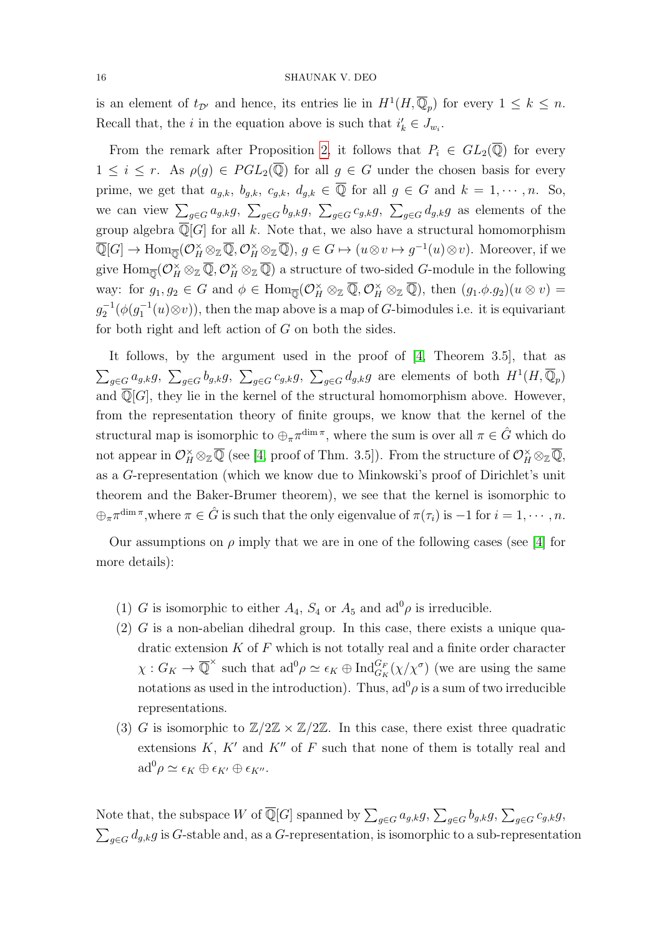is an element of  $t_{\mathcal{D}}$  and hence, its entries lie in  $H^1(H, \overline{\mathbb{Q}}_p)$  for every  $1 \leq k \leq n$ . Recall that, the *i* in the equation above is such that  $i'_{k} \in J_{w_{i}}$ .

From the remark after Proposition [2,](#page-13-0) it follows that  $P_i \in GL_2(\mathbb{Q})$  for every  $1 \leq i \leq r$ . As  $\rho(g) \in PGL_2(\overline{\mathbb{Q}})$  for all  $g \in G$  under the chosen basis for every prime, we get that  $a_{g,k}$ ,  $b_{g,k}$ ,  $c_{g,k}$ ,  $d_{g,k} \in \overline{\mathbb{Q}}$  for all  $g \in G$  and  $k = 1, \dots, n$ . So, we can view  $\sum_{g\in G}a_{g,k}g$ ,  $\sum_{g\in G}b_{g,k}g$ ,  $\sum_{g\in G}c_{g,k}g$ ,  $\sum_{g\in G}d_{g,k}g$  as elements of the group algebra  $\overline{\mathbb{Q}}[G]$  for all k. Note that, we also have a structural homomorphism  $\overline{\mathbb{Q}}[G] \to \text{Hom}_{\overline{\mathbb{Q}}}(\mathcal{O}_H^{\times} \otimes_{\mathbb{Z}} \overline{\mathbb{Q}}, \mathcal{O}_H^{\times} \otimes_{\mathbb{Z}} \overline{\mathbb{Q}}), g \in G \mapsto (u \otimes v \mapsto g^{-1}(u) \otimes v)$ . Moreover, if we give  $\operatorname{Hom}_{\overline{\mathbb Q}}(\mathcal O_H^\times\otimes_{\mathbb Z}\overline{\mathbb Q},\mathcal O_H^\times\otimes_{\mathbb Z}\overline{\mathbb Q})$  a structure of two-sided *G*-module in the following way: for  $g_1, g_2 \in G$  and  $\phi \in \text{Hom}_{\overline{\mathbb{Q}}}(\mathcal{O}_H^{\times} \otimes_{\mathbb{Z}} \overline{\mathbb{Q}}, \mathcal{O}_H^{\times} \otimes_{\mathbb{Z}} \overline{\mathbb{Q}})$ , then  $(g_1. \phi. g_2)(u \otimes v) =$  $g_2^{-1}(\phi(g_1^{-1}(u)\otimes v))$ , then the map above is a map of G-bimodules i.e. it is equivariant for both right and left action of G on both the sides.

It follows, by the argument used in the proof of [\[4,](#page-31-0) Theorem 3.5], that as  $\sum_{g\in G}a_{g,k}g$ ,  $\sum_{g\in G}b_{g,k}g$ ,  $\sum_{g\in G}c_{g,k}g$ ,  $\sum_{g\in G}d_{g,k}g$  are elements of both  $H^1(H,\overline{\mathbb{Q}}_p)$ and  $\overline{\mathbb{Q}}[G]$ , they lie in the kernel of the structural homomorphism above. However, from the representation theory of finite groups, we know that the kernel of the structural map is isomorphic to  $\bigoplus_{\pi} \pi^{\dim \pi}$ , where the sum is over all  $\pi \in \hat{G}$  which do not appear in  $\mathcal{O}_H^{\times} \otimes_{\mathbb{Z}} \overline{\mathbb{Q}}$  (see [\[4,](#page-31-0) proof of Thm. 3.5]). From the structure of  $\mathcal{O}_H^{\times} \otimes_{\mathbb{Z}} \overline{\mathbb{Q}}$ , as a G-representation (which we know due to Minkowski's proof of Dirichlet's unit theorem and the Baker-Brumer theorem), we see that the kernel is isomorphic to  $\bigoplus_{\pi} \pi^{\dim \pi}$ , where  $\pi \in \hat{G}$  is such that the only eigenvalue of  $\pi(\tau_i)$  is  $-1$  for  $i = 1, \cdots, n$ .

Our assumptions on  $\rho$  imply that we are in one of the following cases (see [\[4\]](#page-31-0) for more details):

- (1) G is isomorphic to either  $A_4$ ,  $S_4$  or  $A_5$  and  $ad^0\rho$  is irreducible.
- $(2)$  G is a non-abelian dihedral group. In this case, there exists a unique quadratic extension  $K$  of  $F$  which is not totally real and a finite order character  $\chi: G_K \to \overline{\mathbb{Q}}^\times$  such that  $\mathrm{ad}^0 \rho \simeq \epsilon_K \oplus \mathrm{Ind}_{G_K}^{G_F}(\chi/\chi^{\sigma})$  (we are using the same notations as used in the introduction). Thus,  $ad^0 \rho$  is a sum of two irreducible representations.
- (3) G is isomorphic to  $\mathbb{Z}/2\mathbb{Z} \times \mathbb{Z}/2\mathbb{Z}$ . In this case, there exist three quadratic extensions  $K, K'$  and  $K''$  of F such that none of them is totally real and  $\mathrm{ad}^0 \rho \simeq \epsilon_K \oplus \epsilon_{K'} \oplus \epsilon_{K''}.$

Note that, the subspace W of  $\overline{\mathbb{Q}}[G]$  spanned by  $\sum_{g\in G} a_{g,k}g$ ,  $\sum_{g\in G} b_{g,k}g$ ,  $\sum_{g\in G} c_{g,k}g$ ,  $\sum_{g \in G} d_{g,k} g$  is G-stable and, as a G-representation, is isomorphic to a sub-representation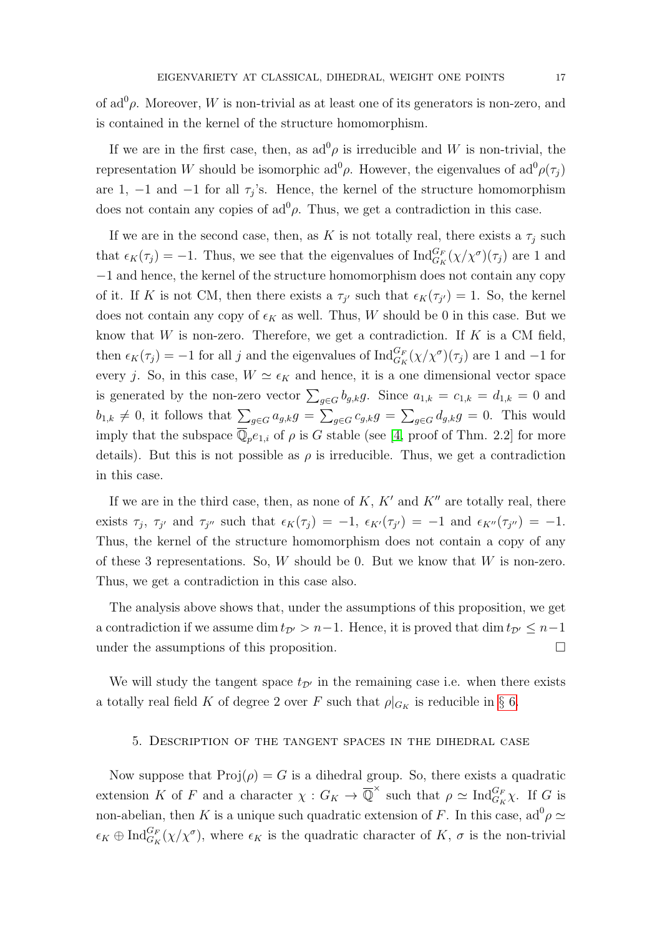of ad<sup>0</sup> $\rho$ . Moreover, W is non-trivial as at least one of its generators is non-zero, and is contained in the kernel of the structure homomorphism.

If we are in the first case, then, as  $\mathrm{ad}^0\rho$  is irreducible and W is non-trivial, the representation W should be isomorphic ad<sup>0</sup> $\rho$ . However, the eigenvalues of ad<sup>0</sup> $\rho(\tau_j)$ are 1, -1 and -1 for all  $\tau_j$ 's. Hence, the kernel of the structure homomorphism does not contain any copies of  $ad^0 \rho$ . Thus, we get a contradiction in this case.

If we are in the second case, then, as K is not totally real, there exists a  $\tau_i$  such that  $\epsilon_K(\tau_j) = -1$ . Thus, we see that the eigenvalues of  $\text{Ind}_{G_K}^{G_F}(\chi/\chi^{\sigma})(\tau_j)$  are 1 and −1 and hence, the kernel of the structure homomorphism does not contain any copy of it. If K is not CM, then there exists a  $\tau_{j'}$  such that  $\epsilon_K(\tau_{j'}) = 1$ . So, the kernel does not contain any copy of  $\epsilon_K$  as well. Thus, W should be 0 in this case. But we know that  $W$  is non-zero. Therefore, we get a contradiction. If  $K$  is a CM field, then  $\epsilon_K(\tau_j) = -1$  for all j and the eigenvalues of  $\text{Ind}_{G_K}^{G_F}(\chi/\chi^{\sigma})(\tau_j)$  are 1 and -1 for every j. So, in this case,  $W \simeq \epsilon_K$  and hence, it is a one dimensional vector space is generated by the non-zero vector  $\sum_{g \in G} b_{g,k} g$ . Since  $a_{1,k} = c_{1,k} = d_{1,k} = 0$  and  $b_{1,k} \neq 0$ , it follows that  $\sum_{g \in G} a_{g,k}g = \sum_{g \in G} c_{g,k}g = \sum_{g \in G} d_{g,k}g = 0$ . This would imply that the subspace  $\overline{\mathbb{Q}}_p e_{1,i}$  of  $\rho$  is G stable (see [\[4,](#page-31-0) proof of Thm. 2.2] for more details). But this is not possible as  $\rho$  is irreducible. Thus, we get a contradiction in this case.

If we are in the third case, then, as none of  $K$ ,  $K'$  and  $K''$  are totally real, there exists  $\tau_j$ ,  $\tau_{j'}$  and  $\tau_{j''}$  such that  $\epsilon_K(\tau_j) = -1$ ,  $\epsilon_{K'}(\tau_{j'}) = -1$  and  $\epsilon_{K''}(\tau_{j''}) = -1$ . Thus, the kernel of the structure homomorphism does not contain a copy of any of these 3 representations. So,  $W$  should be 0. But we know that  $W$  is non-zero. Thus, we get a contradiction in this case also.

The analysis above shows that, under the assumptions of this proposition, we get a contradiction if we assume dim  $t_{\mathcal{D}'} > n-1$ . Hence, it is proved that dim  $t_{\mathcal{D}'} \leq n-1$ under the assumptions of this proposition.

We will study the tangent space  $t_{\mathcal{D}}$  in the remaining case i.e. when there exists a totally real field K of degree 2 over F such that  $\rho|_{G_K}$  is reducible in § [6.](#page-19-0)

# 5. Description of the tangent spaces in the dihedral case

Now suppose that  $\text{Proj}(\rho) = G$  is a dihedral group. So, there exists a quadratic extension K of F and a character  $\chi: G_K \to \overline{\mathbb{Q}}^{\times}$  such that  $\rho \simeq \text{Ind}_{G_K}^{G_F} \chi$ . If G is non-abelian, then K is a unique such quadratic extension of F. In this case,  $ad^0 \rho \simeq$  $\epsilon_K \oplus \text{Ind}_{G_K}^{G_F}(\chi/\chi^{\sigma})$ , where  $\epsilon_K$  is the quadratic character of K,  $\sigma$  is the non-trivial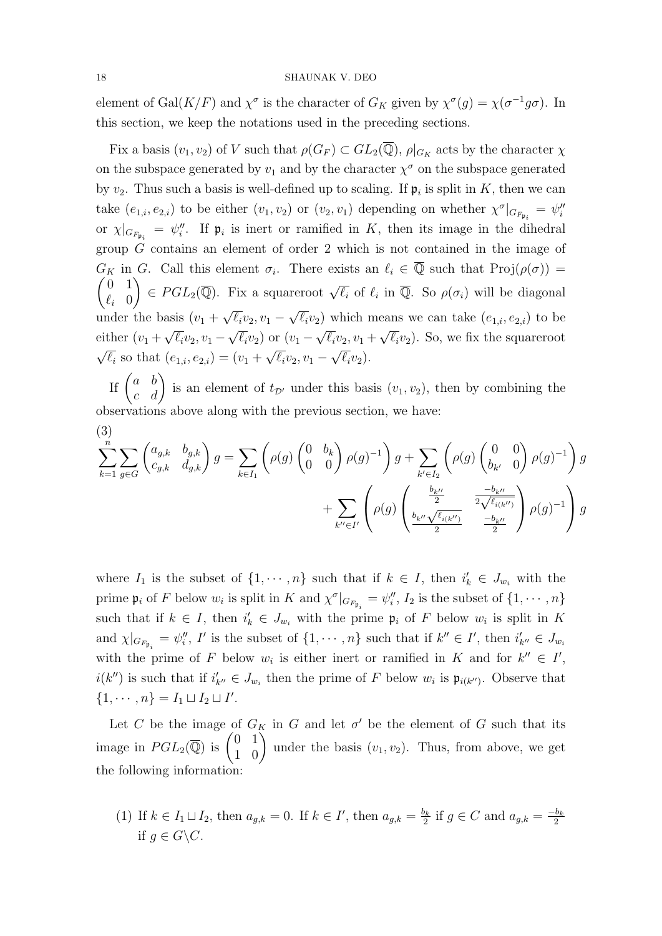element of Gal $(K/F)$  and  $\chi^{\sigma}$  is the character of  $G_K$  given by  $\chi^{\sigma}(g) = \chi(\sigma^{-1}g\sigma)$ . In this section, we keep the notations used in the preceding sections.

Fix a basis  $(v_1, v_2)$  of V such that  $\rho(G_F) \subset GL_2(\overline{\mathbb{Q}}), \rho|_{G_K}$  acts by the character  $\chi$ on the subspace generated by  $v_1$  and by the character  $\chi^{\sigma}$  on the subspace generated by  $v_2$ . Thus such a basis is well-defined up to scaling. If  $\mathfrak{p}_i$  is split in K, then we can take  $(e_{1,i}, e_{2,i})$  to be either  $(v_1, v_2)$  or  $(v_2, v_1)$  depending on whether  $\chi^{\sigma}|_{G_{F_{\mathfrak{p}_i}}} = \psi_i^{\prime\prime}$ or  $\chi|_{G_{F_{\mathfrak{p}_i}}} = \psi_i''$ . If  $\mathfrak{p}_i$  is inert or ramified in K, then its image in the dihedral group G contains an element of order 2 which is not contained in the image of  $G_K$  in G. Call this element  $\sigma_i$ . There exists an  $\ell_i \in \overline{Q}$  such that  $\text{Proj}(\rho(\sigma)) =$  $\begin{pmatrix} 0 & 1 \end{pmatrix}$  $\ell_i$  0  $\Big\} \in PGL_2(\overline{\mathbb{Q}})$ . Fix a squareroot  $\sqrt{\ell_i}$  of  $\ell_i$  in  $\overline{\mathbb{Q}}$ . So  $\rho(\sigma_i)$  will be diagonal under the basis  $(v_1 +$ √  $\overline{\ell_i}v_2, v_1$  – √ asis  $(v_1 + \sqrt{\ell_i} v_2, v_1 - \sqrt{\ell_i} v_2)$  which means we can take  $(e_{1,i}, e_{2,i})$  to be either  $(v_1 + \sqrt{\ell_i}v_2, v_1 - \sqrt{\ell_i}v_2)$  or  $(v_1 - \sqrt{\ell_i}v_2, v_1 + \sqrt{\ell_i}v_2)$ . So, we fix the squareroot √  $\overline{\ell_i}$  so that  $(e_{1,i}, e_{2,i}) = (v_1 +$ √  $\overline{\ell_i}v_2, v_1$  – √  $\overline{\ell_i}v_2$ ).

If  $\begin{pmatrix} a & b \\ c & d \end{pmatrix}$  is an element of  $t_{\mathcal{D}}$  under this basis  $(v_1, v_2)$ , then by combining the observations above along with the previous section, we have:

$$
(3)
$$
\n
$$
\sum_{k=1}^{n} \sum_{g \in G} \begin{pmatrix} a_{g,k} & b_{g,k} \\ c_{g,k} & d_{g,k} \end{pmatrix} g = \sum_{k \in I_1} \left( \rho(g) \begin{pmatrix} 0 & b_k \\ 0 & 0 \end{pmatrix} \rho(g)^{-1} \right) g + \sum_{k' \in I_2} \left( \rho(g) \begin{pmatrix} 0 & 0 \\ b_{k'} & 0 \end{pmatrix} \rho(g)^{-1} \right) g + \sum_{k' \in I_2} \left( \rho(g) \begin{pmatrix} \frac{b_{k''}}{2} & \frac{-b_{k''}}{2\sqrt{\ell_{i(k'')}}} \\ \frac{b_{k''}}{2} & \frac{-b_{k''}}{2} \end{pmatrix} \rho(g)^{-1} \right) g + \sum_{k'' \in I'} \left( \rho(g) \begin{pmatrix} \frac{b_{k''}}{2} & \frac{-b_{k''}}{2} \\ \frac{b_{k''}}{2} & \frac{-b_{k''}}{2} \end{pmatrix} \rho(g)^{-1} \right) g
$$

where  $I_1$  is the subset of  $\{1, \dots, n\}$  such that if  $k \in I$ , then  $i'_k \in J_{w_i}$  with the prime  $\mathfrak{p}_i$  of F below  $w_i$  is split in K and  $\chi^{\sigma}|_{G_{F_{\mathfrak{p}_i}}} = \psi_i''$ ,  $I_2$  is the subset of  $\{1, \cdots, n\}$ such that if  $k \in I$ , then  $i'_{k} \in J_{w_{i}}$  with the prime  $\mathfrak{p}_{i}$  of F below  $w_{i}$  is split in K and  $\chi|_{G_{F_{\mathfrak{p}_i}}} = \psi_i''$ , I' is the subset of  $\{1, \dots, n\}$  such that if  $k'' \in I'$ , then  $i'_{k''} \in J_{w_i}$ with the prime of F below  $w_i$  is either inert or ramified in K and for  $k'' \in I'$ ,  $i(k'')$  is such that if  $i'_{k''} \in J_{w_i}$  then the prime of F below  $w_i$  is  $\mathfrak{p}_{i(k'')}$ . Observe that  $\{1, \cdots, n\} = I_1 \sqcup I_2 \sqcup I'.$ 

Let C be the image of  $G_K$  in G and let  $\sigma'$  be the element of G such that its image in  $PGL_2(\overline{\mathbb{Q}})$  is  $\begin{pmatrix} 0 & 1 \\ 1 & 0 \end{pmatrix}$  under the basis  $(v_1, v_2)$ . Thus, from above, we get the following information:

(1) If  $k \in I_1 \sqcup I_2$ , then  $a_{g,k} = 0$ . If  $k \in I'$ , then  $a_{g,k} = \frac{b_k}{2}$  $\frac{b_k}{2}$  if  $g \in C$  and  $a_{g,k} = \frac{-b_k}{2}$ 2 if  $q \in G \backslash C$ .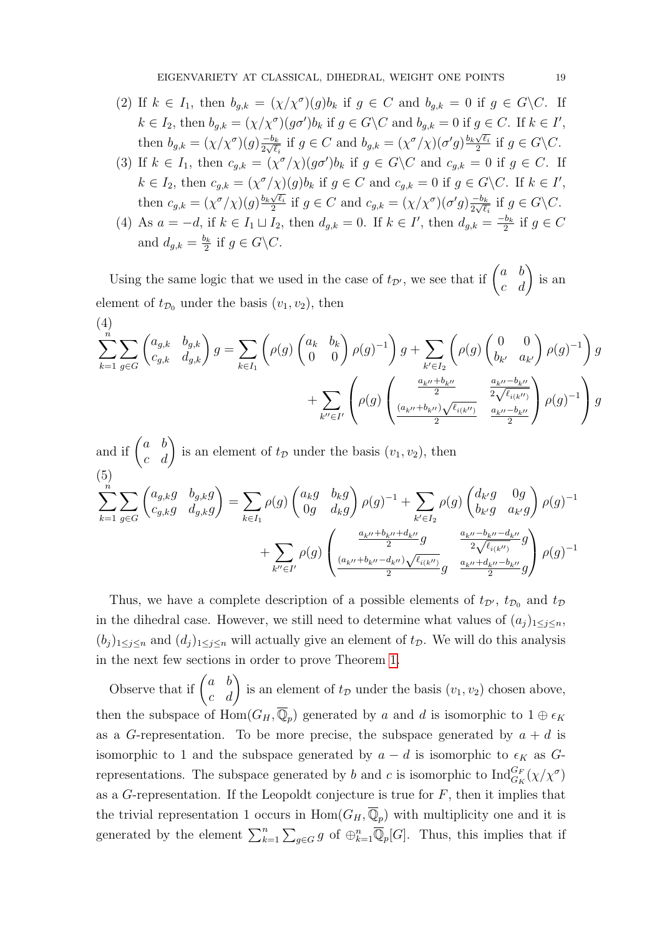- (2) If  $k \in I_1$ , then  $b_{g,k} = (\chi/\chi^{\sigma})(g)b_k$  if  $g \in C$  and  $b_{g,k} = 0$  if  $g \in G \backslash C$ . If  $k \in I_2$ , then  $b_{g,k} = (\chi/\chi^{\sigma})(g\sigma')b_k$  if  $g \in G \backslash C$  and  $b_{g,k} = 0$  if  $g \in C$ . If  $k \in I'$ , then  $b_{g,k} = (\chi/\chi^{\sigma})(g) \frac{-b_k}{2\sqrt{\ell}}$  $\frac{-b_k}{2\sqrt{\ell_i}}$  if  $g \in C$  and  $b_{g,k} = (\chi^{\sigma}/\chi)(\sigma'g) \frac{b_k\sqrt{\ell_i}}{2}$  $\frac{\sqrt{\ell_i}}{2}$  if  $g \in G \backslash C$ .
- (3) If  $k \in I_1$ , then  $c_{g,k} = (\chi^{\sigma}/\chi)(g\sigma')b_k$  if  $g \in G \backslash C$  and  $c_{g,k} = 0$  if  $g \in C$ . If  $k \in I_2$ , then  $c_{g,k} = (\chi^{\sigma}/\chi)(g) b_k$  if  $g \in C$  and  $c_{g,k} = 0$  if  $g \in G \backslash C$ . If  $k \in I'$ , then  $c_{g,k} = (\chi^{\sigma}/\chi)(g) \frac{b_k \sqrt{\ell_i}}{2}$  $\frac{\sqrt{\ell_i}}{2}$  if  $g \in C$  and  $c_{g,k} = (\chi/\chi^{\sigma})(\sigma'g) \frac{-b_k}{2\sqrt{\ell}}$  $\frac{-b_k}{2\sqrt{\ell_i}}$  if  $g \in G \backslash C$ .
- (4) As  $a = -d$ , if  $k \in I_1 \sqcup I_2$ , then  $d_{g,k} = 0$ . If  $k \in I'$ , then  $d_{g,k} = \frac{-b_k}{2}$  $\frac{b_k}{2}$  if  $g \in C$ and  $d_{g,k} = \frac{b_k}{2}$  $\frac{\partial_k}{2}$  if  $g \in G \backslash C$ .

Using the same logic that we used in the case of  $t_{\mathcal{D}}$ , we see that if  $\begin{pmatrix} a & b \\ c & d \end{pmatrix}$  is an element of  $t_{\mathcal{D}_0}$  under the basis  $(v_1, v_2)$ , then

<span id="page-18-1"></span>
$$
(4)
$$
\n
$$
\sum_{k=1}^{n} \sum_{g \in G} \begin{pmatrix} a_{g,k} & b_{g,k} \\ c_{g,k} & d_{g,k} \end{pmatrix} g = \sum_{k \in I_1} \left( \rho(g) \begin{pmatrix} a_k & b_k \\ 0 & 0 \end{pmatrix} \rho(g)^{-1} \right) g + \sum_{k' \in I_2} \left( \rho(g) \begin{pmatrix} 0 & 0 \\ b_{k'} & a_{k'} \end{pmatrix} \rho(g)^{-1} \right) g
$$
\n
$$
+ \sum_{k'' \in I'} \left( \rho(g) \begin{pmatrix} \frac{a_{k''} + b_{k''}}{2} & \frac{a_{k''} - b_{k''}}{2 \sqrt{\ell_{i(k'')}}} \\ \frac{(a_{k''} + b_{k''}) \sqrt{\ell_{i(k'')}}}{2} & \frac{a_{k''} - b_{k''}}{2} \end{pmatrix} \rho(g)^{-1} \right) g
$$

<span id="page-18-0"></span>and if 
$$
\begin{pmatrix} a & b \\ c & d \end{pmatrix}
$$
 is an element of  $t_{\mathcal{D}}$  under the basis  $(v_1, v_2)$ , then  
\n(5)  
\n
$$
\sum_{k=1}^{n} \sum_{g \in G} \begin{pmatrix} a_{g,k}g & b_{g,k}g \\ c_{g,k}g & d_{g,k}g \end{pmatrix} = \sum_{k \in I_1} \rho(g) \begin{pmatrix} a_kg & b_kg \\ 0g & d_kg \end{pmatrix} \rho(g)^{-1} + \sum_{k' \in I_2} \rho(g) \begin{pmatrix} d_{k'}g & 0g \\ b_{k'}g & a_{k'}g \end{pmatrix} \rho(g)^{-1} + \sum_{k' \in I_2} \rho(g) \begin{pmatrix} d_{k'}g & 0g \\ \frac{a_{k''} + b_{k''} + d_{k''}g}{2}g & \frac{a_{k''} - b_{k''} - d_{k''}g}{2\sqrt{\ell_{i(k'')}}g} \\ \frac{(a_{k''} + b_{k''} - d_{k''})\sqrt{\ell_{i(k'')}}{2}g & \frac{a_{k''} + d_{k''} - b_{k''}}{2}g \end{pmatrix} \rho(g)^{-1}
$$

Thus, we have a complete description of a possible elements of  $t_{\mathcal{D}}$ ,  $t_{\mathcal{D}_0}$  and  $t_{\mathcal{D}}$ in the dihedral case. However, we still need to determine what values of  $(a_j)_{1\leq j\leq n}$ ,  $(b_j)_{1\leq j\leq n}$  and  $(d_j)_{1\leq j\leq n}$  will actually give an element of  $t_{\mathcal{D}}$ . We will do this analysis in the next few sections in order to prove Theorem [1.](#page-3-0)

Observe that if  $\begin{pmatrix} a & b \\ c & d \end{pmatrix}$  is an element of  $t_{\mathcal{D}}$  under the basis  $(v_1, v_2)$  chosen above, then the subspace of  $\text{Hom}(G_H, \overline{\mathbb{Q}}_p)$  generated by a and d is isomorphic to  $1 \oplus \epsilon_K$ as a G-representation. To be more precise, the subspace generated by  $a + d$  is isomorphic to 1 and the subspace generated by  $a - d$  is isomorphic to  $\epsilon_K$  as Grepresentations. The subspace generated by b and c is isomorphic to  $\text{Ind}_{G_K}^{G_F}(\chi/\chi^{\sigma})$ as a  $G$ -representation. If the Leopoldt conjecture is true for  $F$ , then it implies that the trivial representation 1 occurs in  $\text{Hom}(G_H, \overline{\mathbb{Q}}_p)$  with multiplicity one and it is generated by the element  $\sum_{k=1}^n\sum_{g\in G}g$  of  $\bigoplus_{k=1}^n\overline{\mathbb{Q}}_p[G]$ . Thus, this implies that if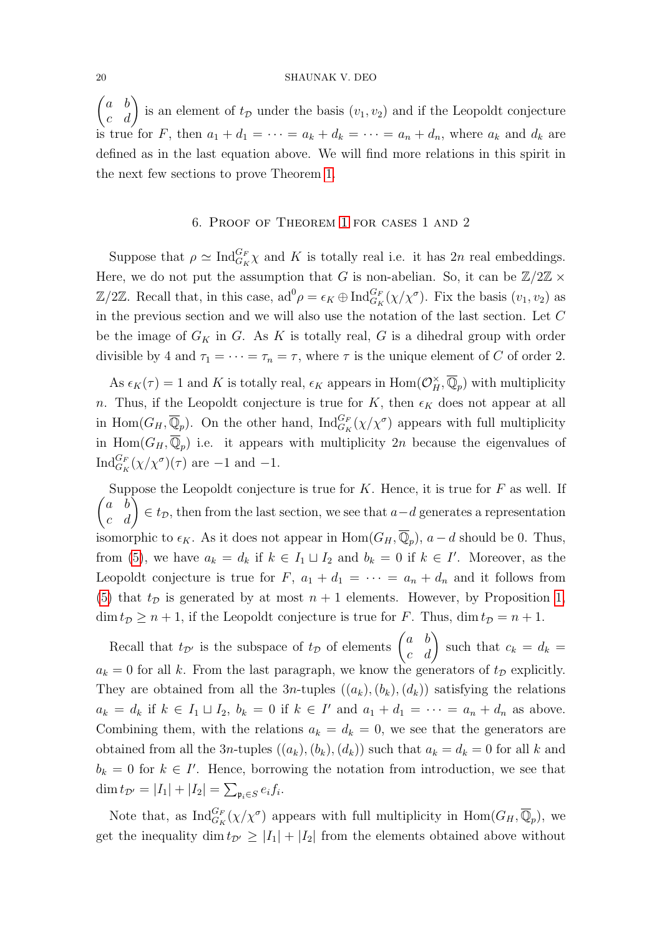$\begin{pmatrix} a & b \\ c & d \end{pmatrix}$  is an element of  $t_{\mathcal{D}}$  under the basis  $(v_1, v_2)$  and if the Leopoldt conjecture is true for F, then  $a_1 + d_1 = \cdots = a_k + d_k = \cdots = a_n + d_n$ , where  $a_k$  and  $d_k$  are defined as in the last equation above. We will find more relations in this spirit in the next few sections to prove Theorem [1.](#page-3-0)

## 6. Proof of Theorem [1](#page-3-0) for cases 1 and 2

<span id="page-19-0"></span>Suppose that  $\rho \simeq \text{Ind}_{G_K}^{G_F} \chi$  and K is totally real i.e. it has  $2n$  real embeddings. Here, we do not put the assumption that G is non-abelian. So, it can be  $\mathbb{Z}/2\mathbb{Z} \times$  $\mathbb{Z}/2\mathbb{Z}$ . Recall that, in this case,  $ad^0 \rho = \epsilon_K \oplus \text{Ind}_{G_K}^{G_F}(\chi/\chi^{\sigma})$ . Fix the basis  $(v_1, v_2)$  as in the previous section and we will also use the notation of the last section. Let  $C$ be the image of  $G_K$  in G. As K is totally real, G is a dihedral group with order divisible by 4 and  $\tau_1 = \cdots = \tau_n = \tau$ , where  $\tau$  is the unique element of C of order 2.

As  $\epsilon_K(\tau) = 1$  and K is totally real,  $\epsilon_K$  appears in  $\text{Hom}(\mathcal{O}_H^{\times}, \overline{\mathbb{Q}}_p)$  with multiplicity n. Thus, if the Leopoldt conjecture is true for K, then  $\epsilon_K$  does not appear at all in Hom $(G_H, \overline{\mathbb{Q}}_p)$ . On the other hand,  $\text{Ind}_{G_K}^{G_F}(\chi/\chi^{\sigma})$  appears with full multiplicity in Hom $(G_H, \overline{Q}_p)$  i.e. it appears with multiplicity 2n because the eigenvalues of  $\text{Ind}_{G_K}^{G_F}(\chi/\chi^{\sigma})(\tau)$  are -1 and -1.

 $\begin{pmatrix} a & b \\ c & d \end{pmatrix} \in t_{\mathcal{D}}$ , then from the last section, we see that  $a-d$  generates a representation Suppose the Leopoldt conjecture is true for  $K$ . Hence, it is true for  $F$  as well. If isomorphic to  $\epsilon_K$ . As it does not appear in  $\text{Hom}(G_H, \overline{\mathbb{Q}}_p)$ ,  $a - d$  should be 0. Thus, from [\(5\)](#page-18-0), we have  $a_k = d_k$  if  $k \in I_1 \sqcup I_2$  and  $b_k = 0$  if  $k \in I'$ . Moreover, as the Leopoldt conjecture is true for  $F$ ,  $a_1 + d_1 = \cdots = a_n + d_n$  and it follows from [\(5\)](#page-18-0) that  $t_{\mathcal{D}}$  is generated by at most  $n + 1$  elements. However, by Proposition [1,](#page-12-2)  $\dim t_{\mathcal{D}} \geq n+1$ , if the Leopoldt conjecture is true for F. Thus,  $\dim t_{\mathcal{D}} = n+1$ .

Recall that  $t_{\mathcal{D}}$  is the subspace of  $t_{\mathcal{D}}$  of elements  $\begin{pmatrix} a & b \\ c & d \end{pmatrix}$  such that  $c_k = d_k =$  $a_k = 0$  for all k. From the last paragraph, we know the generators of  $t_{\mathcal{D}}$  explicitly. They are obtained from all the 3n-tuples  $((a_k),(b_k),(d_k))$  satisfying the relations  $a_k = d_k$  if  $k \in I_1 \sqcup I_2$ ,  $b_k = 0$  if  $k \in I'$  and  $a_1 + d_1 = \cdots = a_n + d_n$  as above. Combining them, with the relations  $a_k = d_k = 0$ , we see that the generators are obtained from all the 3n-tuples  $((a_k),(b_k),(d_k))$  such that  $a_k = d_k = 0$  for all k and  $b_k = 0$  for  $k \in I'$ . Hence, borrowing the notation from introduction, we see that  $\dim t_{\mathcal{D}'} = |I_1| + |I_2| = \sum_{\mathfrak{p}_i \in S} e_i f_i.$ 

Note that, as  $\text{Ind}_{G_K}^{G_F}(\chi/\chi^{\sigma})$  appears with full multiplicity in  $\text{Hom}(G_H, \overline{\mathbb{Q}}_p)$ , we get the inequality dim  $t_{\mathcal{D}} \geq |I_1| + |I_2|$  from the elements obtained above without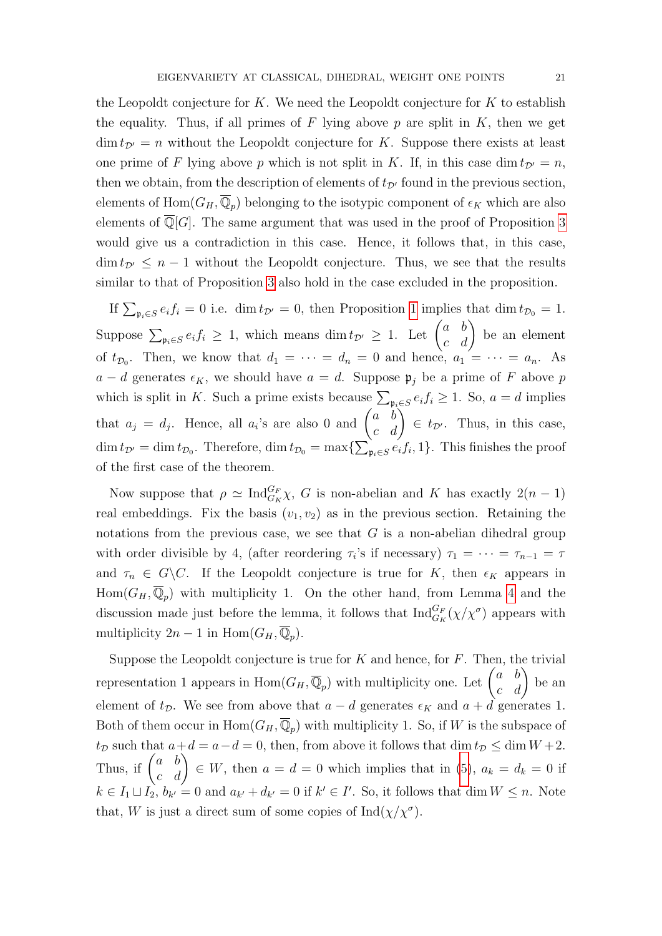the Leopoldt conjecture for  $K$ . We need the Leopoldt conjecture for  $K$  to establish the equality. Thus, if all primes of F lying above p are split in  $K$ , then we get  $\dim t_{\mathcal{D}'} = n$  without the Leopoldt conjecture for K. Suppose there exists at least one prime of F lying above p which is not split in K. If, in this case dim  $t_{\mathcal{D}'} = n$ , then we obtain, from the description of elements of  $t_{\mathcal{D}}$  found in the previous section, elements of  $\text{Hom}(G_H, \overline{\mathbb{Q}}_p)$  belonging to the isotypic component of  $\epsilon_K$  which are also elements of  $\mathbb{Q}[G]$ . The same argument that was used in the proof of Proposition [3](#page-14-1) would give us a contradiction in this case. Hence, it follows that, in this case,  $\dim t_{\mathcal{D}'} \leq n-1$  without the Leopoldt conjecture. Thus, we see that the results similar to that of Proposition [3](#page-14-1) also hold in the case excluded in the proposition.

If  $\sum_{\mathfrak{p}_i \in S} e_i f_i = 0$  i.e. dim  $t_{\mathcal{D}'} = 0$ , then Proposition [1](#page-12-2) implies that dim  $t_{\mathcal{D}_0} = 1$ . Suppose  $\sum_{\mathfrak{p}_i \in S} e_i f_i \geq 1$ , which means  $\dim t_{\mathcal{D}'} \geq 1$ . Let  $\begin{pmatrix} a & b \\ c & d \end{pmatrix}$  be an element of  $t_{\mathcal{D}_0}$ . Then, we know that  $d_1 = \cdots = d_n = 0$  and hence,  $a_1 = \cdots = a_n$ . As  $a - d$  generates  $\epsilon_K$ , we should have  $a = d$ . Suppose  $\mathfrak{p}_j$  be a prime of F above p which is split in K. Such a prime exists because  $\sum_{\mathfrak{p}_i \in S} e_i f_i \geq 1$ . So,  $a = d$  implies that  $a_j = d_j$ . Hence, all  $a_i$ 's are also 0 and  $\begin{pmatrix} a & b \\ c & d \end{pmatrix} \in t_{\mathcal{D}}$ . Thus, in this case,  $\dim t_{\mathcal{D}} = \dim t_{\mathcal{D}_0}$ . Therefore,  $\dim t_{\mathcal{D}_0} = \max\{\sum_{\mathfrak{p}_i \in S} e_i f_i, 1\}$ . This finishes the proof of the first case of the theorem.

Now suppose that  $\rho \simeq \text{Ind}_{G_K}^{G_F} \chi$ , G is non-abelian and K has exactly  $2(n-1)$ real embeddings. Fix the basis  $(v_1, v_2)$  as in the previous section. Retaining the notations from the previous case, we see that  $G$  is a non-abelian dihedral group with order divisible by 4, (after reordering  $\tau_i$ 's if necessary)  $\tau_1 = \cdots = \tau_{n-1} = \tau$ and  $\tau_n \in G \backslash C$ . If the Leopoldt conjecture is true for K, then  $\epsilon_K$  appears in  $Hom(G_H, \overline{\mathbb{Q}}_p)$  with multiplicity 1. On the other hand, from Lemma [4](#page-12-3) and the discussion made just before the lemma, it follows that  $\text{Ind}_{G_K}^{G_F}(\chi/\chi^{\sigma})$  appears with multiplicity  $2n-1$  in Hom $(G_H, \overline{Q}_p)$ .

Suppose the Leopoldt conjecture is true for  $K$  and hence, for  $F$ . Then, the trivial representation 1 appears in  $\text{Hom}(G_H, \overline{\mathbb{Q}}_p)$  with multiplicity one. Let  $\begin{pmatrix} a & b \\ c & d \end{pmatrix}$  be an element of  $t_{\mathcal{D}}$ . We see from above that  $a - d$  generates  $\epsilon_K$  and  $a + d$  generates 1. Both of them occur in  $\text{Hom}(G_H, \overline{\mathbb{Q}}_p)$  with multiplicity 1. So, if W is the subspace of  $t_D$  such that  $a+d = a-d = 0$ , then, from above it follows that  $\dim t_D \leq \dim W + 2$ . Thus, if  $\begin{pmatrix} a & b \\ c & d \end{pmatrix} \in W$ , then  $a = d = 0$  which implies that in [\(5\)](#page-18-0),  $a_k = d_k = 0$  if  $k \in I_1 \sqcup I_2$ ,  $b_{k'} = 0$  and  $a_{k'} + d_{k'} = 0$  if  $k' \in I'$ . So, it follows that dim  $W \leq n$ . Note that, W is just a direct sum of some copies of  $\text{Ind}(\chi/\chi^{\sigma})$ .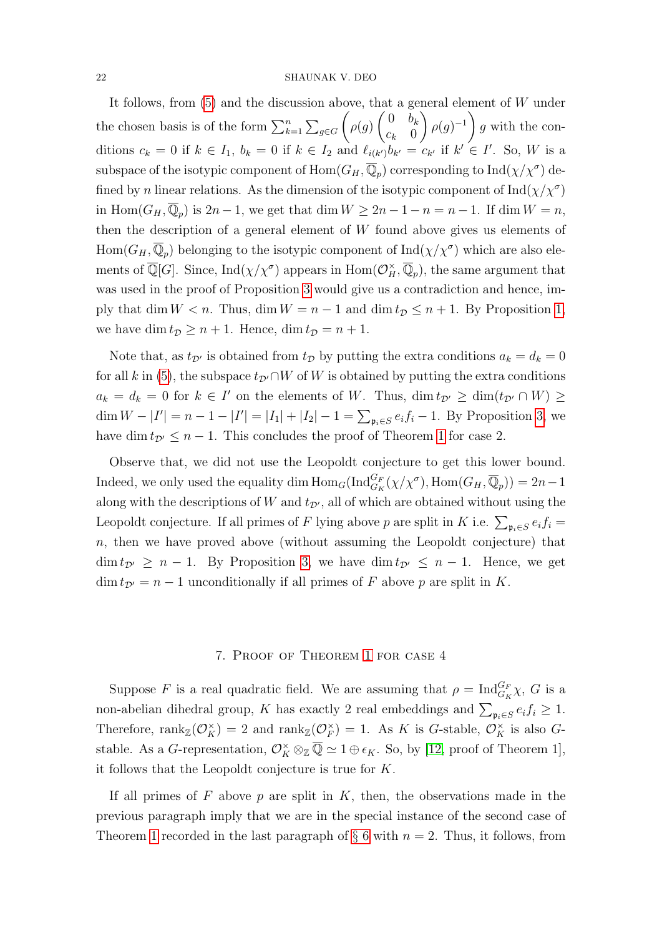It follows, from  $(5)$  and the discussion above, that a general element of W under the chosen basis is of the form  $\sum_{k=1}^{n} \sum_{g \in G}$  $\sqrt{ }$  $\rho(g)$  $\begin{pmatrix} 0 & b_k \end{pmatrix}$  $c_k$  0  $\setminus$  $\rho(g)^{-1}$ g with the conditions  $c_k = 0$  if  $k \in I_1$ ,  $b_k = 0$  if  $k \in I_2$  and  $\ell_{i(k)}$ ,  $b_{k'} = c_{k'}$  if  $k' \in I'$ . So, W is a subspace of the isotypic component of  $\mathrm{Hom}(G_H,\overline{\mathbb{Q}}_p)$  corresponding to  $\mathrm{Ind}(\chi/\chi^\sigma)$  defined by n linear relations. As the dimension of the isotypic component of  $\text{Ind}(\chi/\chi^{\sigma})$ in Hom $(G_H, \overline{Q}_p)$  is  $2n - 1$ , we get that dim  $W \ge 2n - 1 - n = n - 1$ . If dim  $W = n$ , then the description of a general element of  $W$  found above gives us elements of  $\text{Hom}(G_H,\overline{\mathbb{Q}}_p)$  belonging to the isotypic component of  $\text{Ind}(\chi/\chi^\sigma)$  which are also elements of  $\overline{\mathbb{Q}}[G]$ . Since,  $\text{Ind}(\chi/\chi^{\sigma})$  appears in  $\text{Hom}(\mathcal{O}_H^{\times}, \overline{\mathbb{Q}}_p)$ , the same argument that was used in the proof of Proposition [3](#page-14-1) would give us a contradiction and hence, imply that dim  $W < n$ . Thus, dim  $W = n - 1$  and dim  $t_{\mathcal{D}} \leq n + 1$ . By Proposition [1,](#page-12-2) we have dim  $t_{\mathcal{D}} \geq n + 1$ . Hence, dim  $t_{\mathcal{D}} = n + 1$ .

Note that, as  $t_{\mathcal{D}}$  is obtained from  $t_{\mathcal{D}}$  by putting the extra conditions  $a_k = d_k = 0$ for all k in [\(5\)](#page-18-0), the subspace  $t_{\mathcal{D}}\cap W$  of W is obtained by putting the extra conditions  $a_k = d_k = 0$  for  $k \in I'$  on the elements of W. Thus,  $\dim t_{\mathcal{D}'} \geq \dim(t_{\mathcal{D}'} \cap W) \geq$ dim  $W - |I'| = n - 1 - |I'| = |I_1| + |I_2| - 1 = \sum_{\mathfrak{p}_i \in S} e_i f_i - 1$ . By Proposition [3,](#page-14-1) we have dim  $t_{\mathcal{D}} \leq n - 1$  $t_{\mathcal{D}} \leq n - 1$ . This concludes the proof of Theorem 1 for case 2.

Observe that, we did not use the Leopoldt conjecture to get this lower bound. Indeed, we only used the equality dim  $\text{Hom}_G(\text{Ind}_{G_K}^{G_F}(\chi/\chi^\sigma), \text{Hom}(G_H, \overline{\mathbb{Q}}_p)) = 2n-1$ along with the descriptions of W and  $t_{\mathcal{D}}$ , all of which are obtained without using the Leopoldt conjecture. If all primes of F lying above p are split in K i.e.  $\sum_{\mathfrak{p}_i \in S} e_i f_i =$  $n$ , then we have proved above (without assuming the Leopoldt conjecture) that  $\dim t_{\mathcal{D}'} \geq n-1$ . By Proposition [3,](#page-14-1) we have  $\dim t_{\mathcal{D}'} \leq n-1$ . Hence, we get  $\dim t_{\mathcal{D}'} = n - 1$  unconditionally if all primes of F above p are split in K.

#### 7. Proof of Theorem [1](#page-3-0) for case 4

Suppose F is a real quadratic field. We are assuming that  $\rho = \text{Ind}_{G_K}^{G_F} \chi$ , G is a non-abelian dihedral group, K has exactly 2 real embeddings and  $\sum_{\mathfrak{p}_i \in S} e_i f_i \geq 1$ . Therefore,  $\text{rank}_{\mathbb{Z}}(\mathcal{O}_K^{\times}) = 2$  and  $\text{rank}_{\mathbb{Z}}(\mathcal{O}_F^{\times})$  $(F)$  = 1. As K is G-stable,  $\mathcal{O}_K^{\times}$  is also Gstable. As a *G*-representation,  $\mathcal{O}_K^{\times} \otimes_{\mathbb{Z}} \overline{\mathbb{Q}} \simeq 1 \oplus \epsilon_K$ . So, by [\[12,](#page-31-7) proof of Theorem 1], it follows that the Leopoldt conjecture is true for K.

If all primes of  $F$  above  $p$  are split in  $K$ , then, the observations made in the previous paragraph imply that we are in the special instance of the second case of Theorem [1](#page-3-0) recorded in the last paragraph of  $\S 6$  $\S 6$  with  $n = 2$ . Thus, it follows, from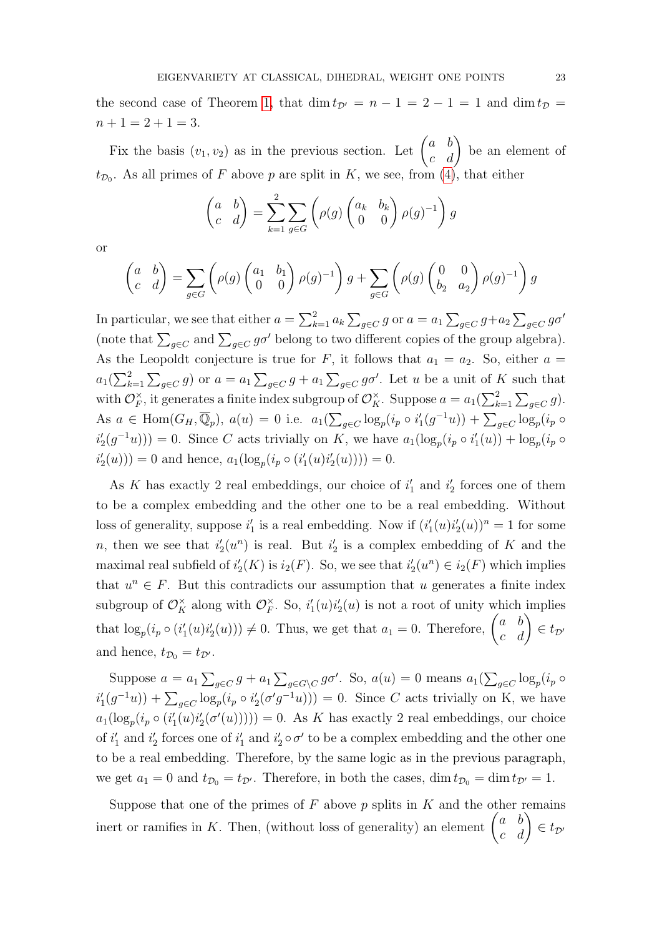the second case of Theorem [1,](#page-3-0) that dim  $t_{\mathcal{D}'} = n - 1 = 2 - 1 = 1$  and dim  $t_{\mathcal{D}} =$  $n + 1 = 2 + 1 = 3.$ 

Fix the basis  $(v_1, v_2)$  as in the previous section. Let  $\begin{pmatrix} a & b \\ c & d \end{pmatrix}$  be an element of  $t_{\mathcal{D}_0}$ . As all primes of F above p are split in K, we see, from [\(4\)](#page-18-1), that either

$$
\begin{pmatrix} a & b \ c & d \end{pmatrix} = \sum_{k=1}^{2} \sum_{g \in G} \left( \rho(g) \begin{pmatrix} a_k & b_k \ 0 & 0 \end{pmatrix} \rho(g)^{-1} \right) g
$$

or

$$
\begin{pmatrix} a & b \ c & d \end{pmatrix} = \sum_{g \in G} \left( \rho(g) \begin{pmatrix} a_1 & b_1 \ 0 & 0 \end{pmatrix} \rho(g)^{-1} \right) g + \sum_{g \in G} \left( \rho(g) \begin{pmatrix} 0 & 0 \ b_2 & a_2 \end{pmatrix} \rho(g)^{-1} \right) g
$$

In particular, we see that either  $a = \sum_{k=1}^{2} a_k \sum_{g \in C} g$  or  $a = a_1 \sum_{g \in C} g + a_2 \sum_{g \in C} g \sigma'$ (note that  $\sum_{g \in C}$  and  $\sum_{g \in C} g \sigma'$  belong to two different copies of the group algebra). As the Leopoldt conjecture is true for F, it follows that  $a_1 = a_2$ . So, either  $a =$  $a_1(\sum_{k=1}^2\sum_{g\in C} g)$  or  $a=a_1\sum_{g\in C} g+a_1\sum_{g\in C} g\sigma'$ . Let u be a unit of K such that with  $\mathcal{O}_F^{\times}$  $\check{F}$ , it generates a finite index subgroup of  $\mathcal{O}_K^{\times}$ . Suppose  $a = a_1(\sum_{k=1}^2 \sum_{g \in C} g)$ . As  $a \in \text{Hom}(G_H, \overline{\mathbb{Q}}_p)$ ,  $a(u) = 0$  i.e.  $a_1(\sum_{g \in C} \log_p(i_p \circ i_1'(g^{-1}u)) + \sum_{g \in C} \log_p(i_p \circ j_1'(g^{-1}u))$  $i'_2(g^{-1}u)) = 0$ . Since C acts trivially on K, we have  $a_1(\log_p(i_p \circ i'_1(u)) + \log_p(i_p \circ j'_1(u)))$  $i'_2(u)) = 0$  and hence,  $a_1(\log_p(i_p \circ (i'_1(u)i'_2(u)))) = 0.$ 

As K has exactly 2 real embeddings, our choice of  $i'_1$  and  $i'_2$  forces one of them to be a complex embedding and the other one to be a real embedding. Without loss of generality, suppose  $i'_1$  is a real embedding. Now if  $(i'_1(u)i'_2(u))^n = 1$  for some n, then we see that  $i_2'(u^n)$  is real. But  $i_2'$  is a complex embedding of K and the maximal real subfield of  $i'_{2}(K)$  is  $i_{2}(F)$ . So, we see that  $i'_{2}(u^{n}) \in i_{2}(F)$  which implies that  $u^n \in F$ . But this contradicts our assumption that u generates a finite index subgroup of  $\mathcal{O}_K^{\times}$  along with  $\mathcal{O}_F^{\times}$  $E_F^{\times}$ . So,  $i'_1(u)i'_2(u)$  is not a root of unity which implies that  $\log_p(i_p \circ (i'_1(u)i'_2(u))) \neq 0$ . Thus, we get that  $a_1 = 0$ . Therefore,  $\begin{pmatrix} a & b \\ c & d \end{pmatrix} \in t_{\mathcal{D}}$ and hence,  $t_{\mathcal{D}_0} = t_{\mathcal{D}}$ .

Suppose  $a = a_1 \sum_{g \in C} g + a_1 \sum_{g \in G \backslash C} g \sigma'$ . So,  $a(u) = 0$  means  $a_1(\sum_{g \in C} \log_p(i_p \circ$  $i'_1(g^{-1}u)$  +  $\sum_{g\in C} \log_p(i_p \circ i'_2(\sigma'g^{-1}u))$  = 0. Since C acts trivially on K, we have  $a_1(\log_p(i_p \circ (i'_1(u)i'_2(\sigma'(u)))) = 0$ . As K has exactly 2 real embeddings, our choice of  $i'_1$  and  $i'_2$  forces one of  $i'_1$  and  $i'_2 \circ \sigma'$  to be a complex embedding and the other one to be a real embedding. Therefore, by the same logic as in the previous paragraph, we get  $a_1 = 0$  and  $t_{\mathcal{D}_0} = t_{\mathcal{D}'}$ . Therefore, in both the cases, dim  $t_{\mathcal{D}_0} = \dim t_{\mathcal{D}'} = 1$ .

Suppose that one of the primes of  $F$  above  $p$  splits in  $K$  and the other remains inert or ramifies in K. Then, (without loss of generality) an element  $\begin{pmatrix} a & b \\ c & d \end{pmatrix} \in t_{\mathcal{D}}$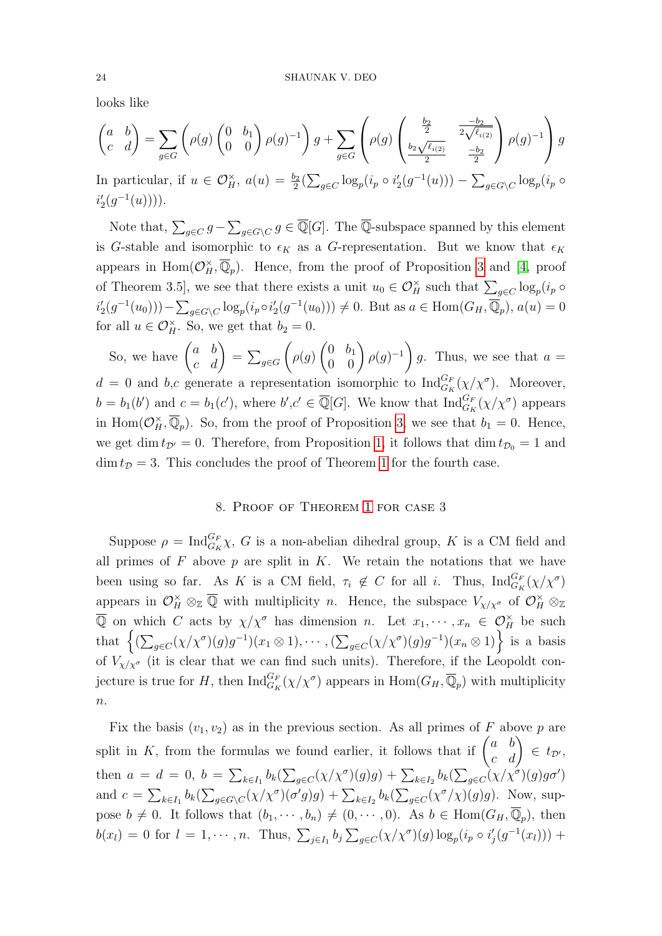looks like

$$
\begin{pmatrix} a & b \ c & d \end{pmatrix} = \sum_{g \in G} \left( \rho(g) \begin{pmatrix} 0 & b_1 \ 0 & 0 \end{pmatrix} \rho(g)^{-1} \right) g + \sum_{g \in G} \left( \rho(g) \begin{pmatrix} \frac{b_2}{2} & \frac{-b_2}{2\sqrt{\ell_{i(2)}}} \\ \frac{b_2\sqrt{\ell_{i(2)}}}{2} & \frac{-b_2}{2} \end{pmatrix} \rho(g)^{-1} \right) g
$$

In particular, if  $u \in \mathcal{O}_H^{\times}$ ,  $a(u) = \frac{b_2}{2} \left( \sum_{g \in C} \log_p(i_p \circ i_2'(g^{-1}(u)) \right) - \sum_{g \in G \setminus C} \log_p(i_p \circ f)$  $i'_2(g^{-1}(u)))$ .

Note that,  $\sum_{g \in C} g - \sum_{g \in G \setminus C} g \in \overline{\mathbb{Q}}[G]$ . The  $\overline{\mathbb{Q}}$ -subspace spanned by this element is G-stable and isomorphic to  $\epsilon_K$  as a G-representation. But we know that  $\epsilon_K$ appears in Hom $(\mathcal{O}_H^{\times}, \overline{\mathbb{Q}}_p)$ . Hence, from the proof of Proposition [3](#page-14-1) and [\[4,](#page-31-0) proof of Theorem 3.5, we see that there exists a unit  $u_0 \in \mathcal{O}_H^{\times}$  such that  $\sum_{g \in C} \log_p(i_p \circ$  $i'_2(g^{-1}(u_0))) - \sum_{g \in G \backslash C} \log_p(i_p \circ i'_2(g^{-1}(u_0))) \neq 0$ . But as  $a \in \text{Hom}(G_H, \overline{\mathbb{Q}}_p)$ ,  $a(u) = 0$ for all  $u \in \mathcal{O}_H^{\times}$ . So, we get that  $b_2 = 0$ .

So, we have  $\begin{pmatrix} a & b \\ c & d \end{pmatrix} = \sum_{g \in G}$  $\sqrt{ }$  $\rho(g)$  $\begin{pmatrix} 0 & b_1 \\ 0 & 0 \end{pmatrix} \rho(g)^{-1}$ g. Thus, we see that  $a =$  $d = 0$  and b,c generate a representation isomorphic to  $\text{Ind}_{G_K}^{G_F}(\chi/\chi^{\sigma})$ . Moreover,  $b = b_1(b')$  and  $c = b_1(c')$ , where  $b', c' \in \overline{\mathbb{Q}}[G]$ . We know that  $\text{Ind}_{G_K}^{G_F}(\chi/\chi^{\sigma})$  appears in Hom $(\mathcal{O}_H^{\times}, \overline{\mathbb{Q}}_p)$ . So, from the proof of Proposition [3,](#page-14-1) we see that  $b_1 = 0$ . Hence, we get dim  $t_{\mathcal{D}'} = 0$ . Therefore, from Proposition [1,](#page-12-2) it follows that dim  $t_{\mathcal{D}_0} = 1$  and  $\dim t_{\mathcal{D}} = 3$ . This concludes the proof of Theorem [1](#page-3-0) for the fourth case.

#### 8. Proof of Theorem [1](#page-3-0) for case 3

Suppose  $\rho = \text{Ind}_{G_K}^{G_F} \chi$ , G is a non-abelian dihedral group, K is a CM field and all primes of  $F$  above  $p$  are split in  $K$ . We retain the notations that we have been using so far. As K is a CM field,  $\tau_i \notin C$  for all i. Thus,  $\text{Ind}_{G_K}^{G_F}(\chi/\chi^{\sigma})$ appears in  $\mathcal{O}_H^{\times} \otimes_{\mathbb{Z}} \overline{\mathbb{Q}}$  with multiplicity *n*. Hence, the subspace  $V_{\chi/\chi^{\sigma}}$  of  $\mathcal{O}_H^{\times} \otimes_{\mathbb{Z}}$  $\overline{Q}$  on which C acts by  $\chi/\chi^{\sigma}$  has dimension n. Let  $x_1, \dots, x_n \in \mathcal{O}_H^{\times}$  be such that  $\left\{ (\sum_{g\in C} (\chi/\chi^{\sigma})(g)g^{-1})(x_1 \otimes 1), \cdots, (\sum_{g\in C} (\chi/\chi^{\sigma})(g)g^{-1})(x_n \otimes 1) \right\}$  is a basis of  $V_{\chi/\chi^{\sigma}}$  (it is clear that we can find such units). Therefore, if the Leopoldt conjecture is true for H, then  $\text{Ind}_{G_K}^{G_F}(\chi/\chi^{\sigma})$  appears in  $\text{Hom}(G_H, \overline{\mathbb{Q}}_p)$  with multiplicity  $\overline{n}$ .

Fix the basis  $(v_1, v_2)$  as in the previous section. As all primes of F above p are split in K, from the formulas we found earlier, it follows that if  $\begin{pmatrix} a & b \\ c & d \end{pmatrix} \in t_{\mathcal{D}}$ , then  $a = d = 0, b = \sum_{k \in I_1} b_k(\sum_{g \in C} (\chi/\chi^{\sigma})(g)g) + \sum_{k \in I_2} b_k(\sum_{g \in C} (\chi/\chi^{\sigma})(g)g\sigma')$ and  $c = \sum_{k \in I_1} b_k(\sum_{g \in G \setminus C} (\chi/\chi^{\sigma})(\sigma'g)g) + \sum_{k \in I_2} b_k(\sum_{g \in C} (\chi^{\sigma}/\chi)(g)g)$ . Now, suppose  $b \neq 0$ . It follows that  $(b_1, \dots, b_n) \neq (0, \dots, 0)$ . As  $b \in \text{Hom}(G_H, \overline{\mathbb{Q}}_p)$ , then  $b(x_l) = 0$  for  $l = 1, \dots, n$ . Thus,  $\sum_{j \in I_1} b_j \sum_{g \in C} (\chi/\chi^{\sigma})(g) \log_p(i_p \circ i'_j(g^{-1}(x_l)))$  +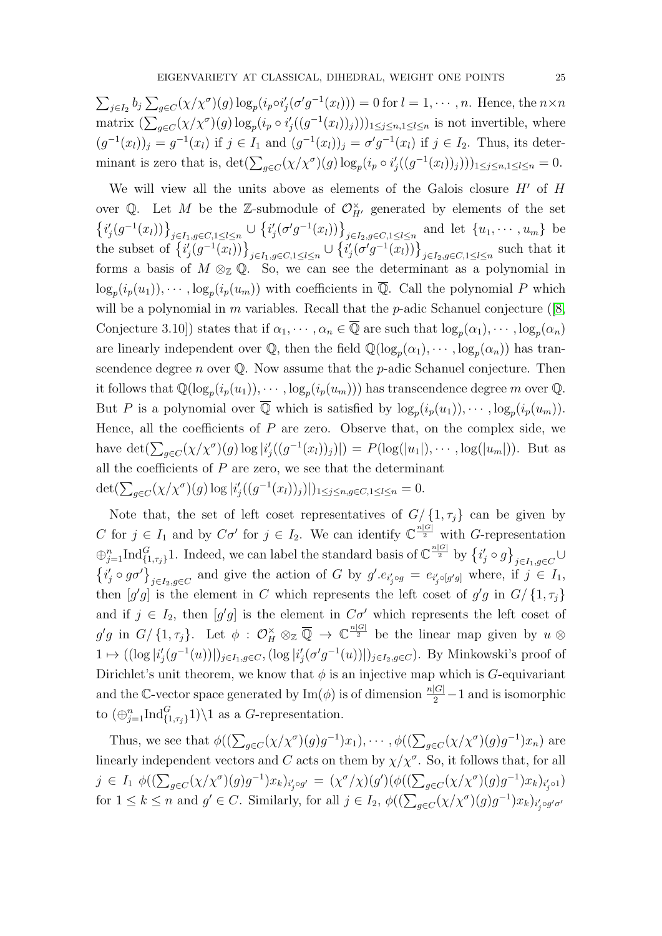$\sum_{j\in I_2} b_j \sum_{g\in C} (\chi/\chi^{\sigma})(g) \log_p(i_p \circ i'_j (\sigma' g^{-1}(x_l))) = 0$  for  $l = 1, \dots, n$ . Hence, the  $n \times n$ matrix  $(\sum_{g\in C}(\chi/\chi^{\sigma})(g) \log_p(i_p \circ i'_j((g^{-1}(x_l))_j)))_{1\leq j\leq n, 1\leq l\leq n}$  is not invertible, where  $(g^{-1}(x_l))_j = g^{-1}(x_l)$  if  $j \in I_1$  and  $(g^{-1}(x_l))_j = \sigma' g^{-1}(x_l)$  if  $j \in I_2$ . Thus, its determinant is zero that is,  $\det(\sum_{g \in C} (\chi/\chi^{\sigma})(g) \log_p(i_p \circ i'_j((g^{-1}(x_l))_j)))_{1 \leq j \leq n, 1 \leq l \leq n} = 0.$ 

We will view all the units above as elements of the Galois closure  $H'$  of  $H$ over Q. Let M be the Z-submodule of  $\mathcal{O}_{H'}^{\times}$  generated by elements of the set  $\{i'_j(g^{-1}(x_l))\}_{j\in I_1,g\in C,1\leq l\leq n}\cup \{i'_j(\sigma'g^{-1}(x_l))\}_{j\in I_2,g\in C,1\leq l\leq n}$  and let  $\{u_1,\dots,u_m\}$  be the subset of  $\left\{i'_j(g^{-1}(x_l))\right\}_{j\in I_1,g\in C,1\leq l\leq n}\cup\left\{i'_j(\sigma'g^{-1}(x_l))\right\}_{j\in I_2,g\in C,1\leq l\leq n}$  such that it forms a basis of  $M \otimes_{\mathbb{Z}} \mathbb{Q}$ . So, we can see the determinant as a polynomial in  $\log_p(i_p(u_1)), \cdots, \log_p(i_p(u_m))$  with coefficients in  $\overline{\mathbb{Q}}$ . Call the polynomial P which will be a polynomial in  $m$  variables. Recall that the  $p$ -adic Schanuel conjecture ([\[8,](#page-31-6) Conjecture 3.10]) states that if  $\alpha_1, \dots, \alpha_n \in \overline{\mathbb{Q}}$  are such that  $\log_p(\alpha_1), \dots, \log_p(\alpha_n)$ are linearly independent over  $\mathbb{Q}$ , then the field  $\mathbb{Q}(\log_p(\alpha_1), \cdots, \log_p(\alpha_n))$  has transcendence degree n over  $\mathbb Q$ . Now assume that the p-adic Schanuel conjecture. Then it follows that  $\mathbb{Q}(\log_p(i_p(u_1)), \dots, \log_p(i_p(u_m)))$  has transcendence degree m over  $\mathbb{Q}$ . But P is a polynomial over  $\overline{Q}$  which is satisfied by  $\log_p(i_p(u_1)), \cdots, \log_p(i_p(u_m)).$ Hence, all the coefficients of  $P$  are zero. Observe that, on the complex side, we have  $\det(\sum_{g\in C}(\chi/\chi^{\sigma})(g) \log |i'_{j}((g^{-1}(x_{l}))_{j})|) = P(\log(|u_{1}|), \cdots, \log(|u_{m}|)).$  But as all the coefficients of  $P$  are zero, we see that the determinant  $\det(\sum_{g \in C} (\chi/\chi^{\sigma})(g) \log |i'_{j}((g^{-1}(x_{l}))_{j})|)_{1 \leq j \leq n, g \in C, 1 \leq l \leq n} = 0.$ 

Note that, the set of left coset representatives of  $G/ \{1, \tau_j\}$  can be given by C for  $j \in I_1$  and by  $C\sigma'$  for  $j \in I_2$ . We can identify  $\mathbb{C}^{\frac{n|G|}{2}}$  with G-representation  $\oplus_{j=1}^n \text{Ind}_{\{1,\tau_j\}}^G$ 1. Indeed, we can label the standard basis of  $\mathbb{C}^{\frac{n|G|}{2}}$  by  $\left\{i'_j \circ g\right\}_{j\in I_1,g\in C}$  $\{i'_j \circ g \sigma'\}_{j \in I_2, g \in C}$  and give the action of G by  $g'.e_{i'_j \circ g} = e_{i'_j \circ [g'g]}$  where, if  $j \in I_1$ , then  $[g'g]$  is the element in C which represents the left coset of  $g'g$  in  $G/ \{1, \tau_j\}$ and if  $j \in I_2$ , then  $[g'g]$  is the element in  $C\sigma'$  which represents the left coset of  $g'g$  in  $G/\{1,\tau_j\}$ . Let  $\phi$  :  $\mathcal{O}_H^{\times} \otimes_{\mathbb{Z}} \overline{\mathbb{Q}} \to \mathbb{C}^{\frac{n|G|}{2}}$  be the linear map given by  $u \otimes$  $1 \mapsto ((\log |i'_j(g^{-1}(u))|)_{j\in I_1,g\in C}, (\log |i'_j(\sigma'g^{-1}(u))|)_{j\in I_2,g\in C})$ . By Minkowski's proof of Dirichlet's unit theorem, we know that  $\phi$  is an injective map which is G-equivariant and the C-vector space generated by  $\text{Im}(\phi)$  is of dimension  $\frac{n|G|}{2} - 1$  and is isomorphic to  $(\bigoplus_{j=1}^n \text{Ind}_{\{1,\tau_j\}}^G 1) \setminus 1$  as a G-representation.

Thus, we see that  $\phi((\sum_{g\in C}(\chi/\chi^{\sigma})(g)g^{-1})x_1),\cdots,\phi((\sum_{g\in C}(\chi/\chi^{\sigma})(g)g^{-1})x_n)$  are linearly independent vectors and C acts on them by  $\chi/\chi^{\sigma}$ . So, it follows that, for all  $j \in I_1 \phi((\sum_{g \in C} (\chi/\chi^{\sigma})(g)g^{-1})x_k)_{i'_j \circ g'} = (\chi^{\sigma}/\chi)(g')(\phi((\sum_{g \in C} (\chi/\chi^{\sigma})(g)g^{-1})x_k)_{i'_j \circ 1})$ for  $1 \leq k \leq n$  and  $g' \in C$ . Similarly, for all  $j \in I_2$ ,  $\phi((\sum_{g \in C} (\chi/\chi^{\sigma})(g)g^{-1})x_k)_{i'_j \circ g' \sigma'}$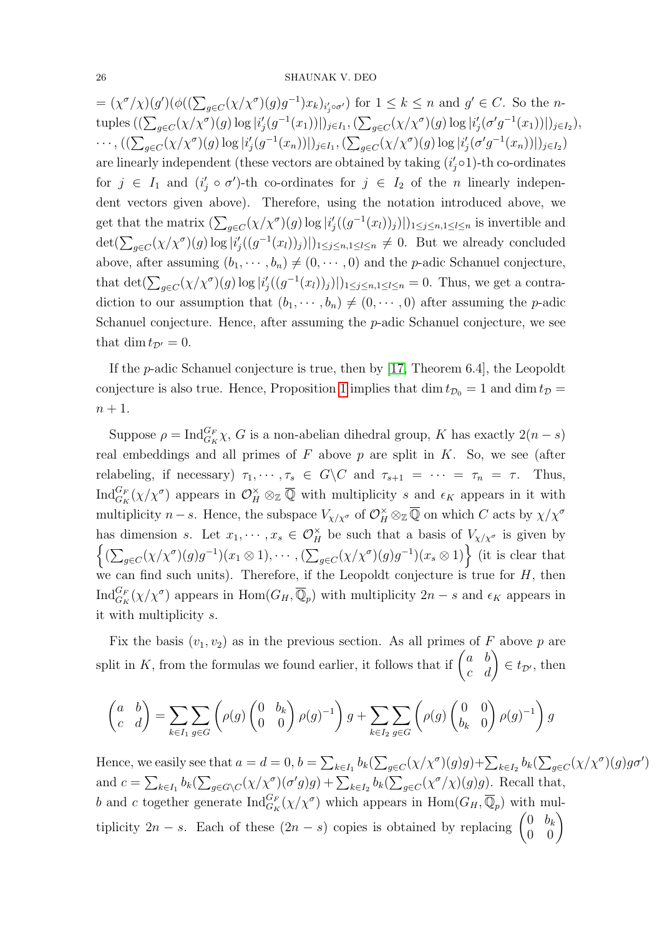$=(\chi^{\sigma}/\chi)(g')(\phi((\sum_{g\in C}(\chi/\chi^{\sigma})(g)g^{-1})x_k)_{i'_j\circ\sigma'})$  for  $1\leq k\leq n$  and  $g'\in C$ . So the ntuples  $((\sum_{g\in C}(\chi/\chi^\sigma)(g)\log|i'_j(g^{-1}(x_1))|)_{j\in I_1},(\sum_{g\in C}(\chi/\chi^\sigma)(g)\log|i'_j(\sigma'g^{-1}(x_1))|)_{j\in I_2}),$  $\cdots$ ,  $((\sum_{g\in C}(\chi/\chi^\sigma)(g)\log|i'_j(g^{-1}(x_n))|)_{j\in I_1}, (\sum_{g\in C}(\chi/\chi^\sigma)(g)\log|i'_j(\sigma'g^{-1}(x_n))|)_{j\in I_2})$ are linearly independent (these vectors are obtained by taking  $(i'_j \circ 1)$ -th co-ordinates for  $j \in I_1$  and  $(i'_j \circ \sigma')$ -th co-ordinates for  $j \in I_2$  of the *n* linearly independent vectors given above). Therefore, using the notation introduced above, we get that the matrix  $(\sum_{g\in C} (\chi/\chi^{\sigma})(g) \log |i'_j((g^{-1}(x_l))_j)|)_{1\leq j\leq n, 1\leq l\leq n}$  is invertible and  $\det(\sum_{g\in C}(\chi/\chi^{\sigma})(g)\log|i'_{j}((g^{-1}(x_{l}))_{j})|)_{1\leq j\leq n,1\leq l\leq n}\neq 0$ . But we already concluded above, after assuming  $(b_1, \dots, b_n) \neq (0, \dots, 0)$  and the *p*-adic Schanuel conjecture, that  $\det(\sum_{g\in C} (\chi/\chi^{\sigma})(g) \log |i'_j((g^{-1}(x_l))_j)|)_{1\leq j\leq n,1\leq l\leq n} = 0$ . Thus, we get a contradiction to our assumption that  $(b_1, \dots, b_n) \neq (0, \dots, 0)$  after assuming the *p*-adic Schanuel conjecture. Hence, after assuming the p-adic Schanuel conjecture, we see that dim  $t_{\mathcal{D}'} = 0$ .

If the p-adic Schanuel conjecture is true, then by [\[17,](#page-31-14) Theorem 6.4], the Leopoldt conjecture is also true. Hence, Proposition [1](#page-12-2) implies that dim  $t_{\mathcal{D}_0} = 1$  and dim  $t_{\mathcal{D}} =$  $n+1$ .

Suppose  $\rho = \text{Ind}_{G_K}^{G_F} \chi$ , G is a non-abelian dihedral group, K has exactly  $2(n-s)$ real embeddings and all primes of  $F$  above  $p$  are split in  $K$ . So, we see (after relabeling, if necessary)  $\tau_1, \dots, \tau_s \in G \backslash C$  and  $\tau_{s+1} = \dots = \tau_n = \tau$ . Thus,  $\text{Ind}_{G_K}^{G_F}(\chi/\chi^\sigma)$  appears in  $\mathcal{O}_H^{\times} \otimes_{\mathbb{Z}} \overline{\mathbb{Q}}$  with multiplicity s and  $\epsilon_K$  appears in it with multiplicity  $n-s$ . Hence, the subspace  $V_{\chi/\chi^{\sigma}}$  of  $\mathcal{O}_H^{\times} \otimes_{\mathbb{Z}} \overline{\mathbb{Q}}$  on which C acts by  $\chi/\chi^{\sigma}$ has dimension s. Let  $x_1, \dots, x_s \in \mathcal{O}_H^{\times}$  be such that a basis of  $V_{\chi/\chi^{\sigma}}$  is given by  $\left\{ (\sum_{g\in C} (\chi/\chi^{\sigma})(g)g^{-1})(x_1\otimes 1), \cdots, (\sum_{g\in C} (\chi/\chi^{\sigma})(g)g^{-1})(x_s\otimes 1) \right\}$  (it is clear that we can find such units). Therefore, if the Leopoldt conjecture is true for  $H$ , then  $\text{Ind}_{G_K}^{G_F}(\chi/\chi^\sigma)$  appears in  $\text{Hom}(G_H,\overline{\mathbb{Q}}_p)$  with multiplicity  $2n-s$  and  $\epsilon_K$  appears in it with multiplicity s.

Fix the basis  $(v_1, v_2)$  as in the previous section. As all primes of F above p are split in K, from the formulas we found earlier, it follows that if  $\begin{pmatrix} a & b \\ c & d \end{pmatrix} \in t_{\mathcal{D}}$ , then

$$
\begin{pmatrix} a & b \ c & d \end{pmatrix} = \sum_{k \in I_1} \sum_{g \in G} \left( \rho(g) \begin{pmatrix} 0 & b_k \ 0 & 0 \end{pmatrix} \rho(g)^{-1} \right) g + \sum_{k \in I_2} \sum_{g \in G} \left( \rho(g) \begin{pmatrix} 0 & 0 \ b_k & 0 \end{pmatrix} \rho(g)^{-1} \right) g
$$

Hence, we easily see that  $a=d=0$ ,  $b=\sum_{k\in I_1}b_k(\sum_{g\in C}(\chi/\chi^\sigma)(g)g)+\sum_{k\in I_2}b_k(\sum_{g\in C}(\chi/\chi^\sigma)(g)g\sigma')$ and  $c = \sum_{k \in I_1} b_k(\sum_{g \in G \setminus C} (\chi/\chi^{\sigma})(\sigma'g)g) + \sum_{k \in I_2} b_k(\sum_{g \in C} (\chi^{\sigma}/\chi)(g)g)$ . Recall that, b and c together generate  $\text{Ind}_{G_K}^{G_F}(\chi/\chi^\sigma)$  which appears in  $\text{Hom}(G_H, \overline{\mathbb{Q}}_p)$  with multiplicity 2n − s. Each of these  $(2n - s)$  copies is obtained by replacing  $\begin{pmatrix} 0 & b_k \\ 0 & 0 \end{pmatrix}$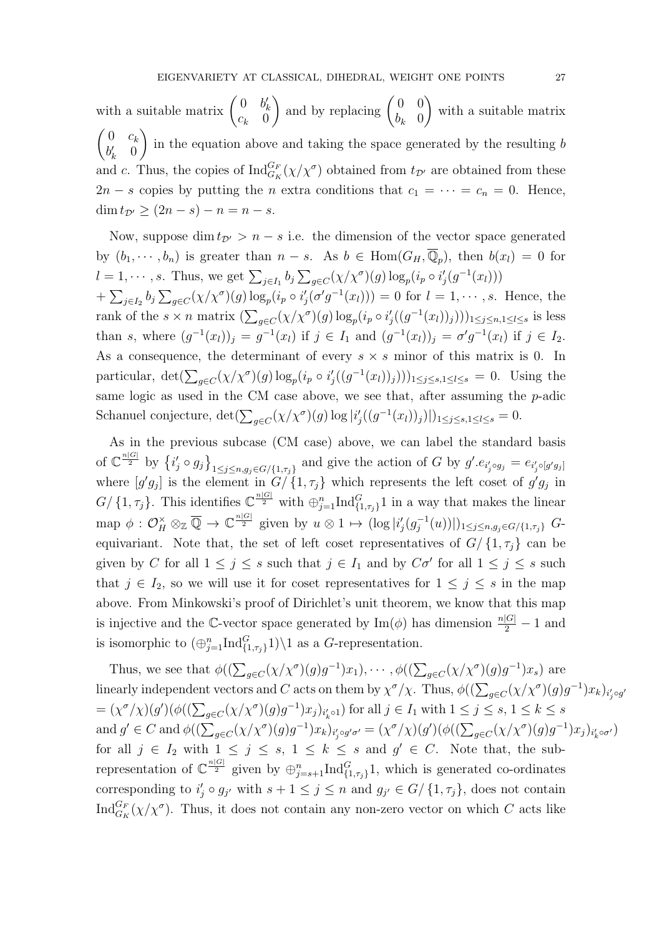with a suitable matrix  $\begin{pmatrix} 0 & b'_k \\ c_k & 0 \end{pmatrix}$ ) and by replacing  $\begin{pmatrix} 0 & 0 \\ b & 0 \end{pmatrix}$  $b_k$  0  $\setminus$ with a suitable matrix  $\begin{pmatrix} 0 & c_k \end{pmatrix}$  $b'_k$  0  $\setminus$ in the equation above and taking the space generated by the resulting  $b$ and c. Thus, the copies of  $\text{Ind}_{G_K}^{G_F}(\chi/\chi^{\sigma})$  obtained from  $t_{\mathcal{D}'}$  are obtained from these  $2n - s$  copies by putting the *n* extra conditions that  $c_1 = \cdots = c_n = 0$ . Hence,  $\dim t_{\mathcal{D}'} \geq (2n - s) - n = n - s.$ 

Now, suppose dim  $t_{\mathcal{D}'} > n - s$  i.e. the dimension of the vector space generated by  $(b_1, \dots, b_n)$  is greater than  $n - s$ . As  $b \in \text{Hom}(G_H, \overline{\mathbb{Q}}_p)$ , then  $b(x_l) = 0$  for  $l = 1, \dots, s$ . Thus, we get  $\sum_{j \in I_1} b_j \sum_{g \in C} (\chi/\chi^{\sigma})(g) \log_p(i_p \circ i'_j(g^{-1}(x_l)))$  $+\sum_{j\in I_2} b_j \sum_{g\in C} (\chi/\chi^{\sigma})(g) \log_p(i_p \circ i'_j(\sigma' g^{-1}(x_l))) = 0$  for  $l = 1, \dots, s$ . Hence, the rank of the  $s \times n$  matrix  $\left(\sum_{g \in C} (\chi/\chi^{\sigma})(g) \log_p(i_p \circ i'_j((g^{-1}(x_l))_j))\right)_{1 \leq j \leq n, 1 \leq l \leq s}$  is less than s, where  $(g^{-1}(x_l))_j = g^{-1}(x_l)$  if  $j \in I_1$  and  $(g^{-1}(x_l))_j = \sigma' g^{-1}(x_l)$  if  $j \in I_2$ . As a consequence, the determinant of every  $s \times s$  minor of this matrix is 0. In particular,  $\det(\sum_{g \in C} (\chi/\chi^{\sigma})(g) \log_p(i_p \circ i'_j((g^{-1}(x_l))_j)))_{1 \leq j \leq s, 1 \leq l \leq s} = 0$ . Using the same logic as used in the CM case above, we see that, after assuming the p-adic Schanuel conjecture,  $\det(\sum_{g \in C} (\chi/\chi^{\sigma})(g) \log |i'_j((g^{-1}(x_l))_j)|)|_{1 \leq j \leq s, 1 \leq l \leq s} = 0.$ 

As in the previous subcase (CM case) above, we can label the standard basis of  $\mathbb{C}^{\frac{n|G|}{2}}$  by  $\{i'_j \circ g_j\}_{1 \leq j \leq n, g_j \in G/\{1, \tau_j\}}$  and give the action of G by  $g'.e_{i'_j \circ g_j} = e_{i'_j \circ [g'g_j]}$ where  $[g'g_j]$  is the element in  $G/\{1,\tau_j\}$  which represents the left coset of  $g'g_j$  in  $G/\{1,\tau_j\}$ . This identifies  $\mathbb{C}^{\frac{n|G|}{2}}$  with  $\bigoplus_{j=1}^n \text{Ind}_{\{1,\tau_j\}}^G 1$  in a way that makes the linear map  $\phi: \mathcal{O}_H^{\times} \otimes_{\mathbb{Z}} \overline{\mathbb{Q}} \to \mathbb{C}^{\frac{n|G|}{2}}$  given by  $u \otimes 1 \mapsto (\log |i'_j(g_j^{-1}))$  $\langle G_j^{-1}(u))|)_{1\leq j\leq n, g_j\in G/\{1,\tau_j\}}$   $G$ equivariant. Note that, the set of left coset representatives of  $G/\{1,\tau_i\}$  can be given by C for all  $1 \leq j \leq s$  such that  $j \in I_1$  and by  $C\sigma'$  for all  $1 \leq j \leq s$  such that  $j \in I_2$ , so we will use it for coset representatives for  $1 \leq j \leq s$  in the map above. From Minkowski's proof of Dirichlet's unit theorem, we know that this map is injective and the C-vector space generated by  $\text{Im}(\phi)$  has dimension  $\frac{n|G|}{2} - 1$  and is isomorphic to  $(\bigoplus_{j=1}^n \text{Ind}_{\{1,\tau_j\}}^G 1) \setminus 1$  as a G-representation.

Thus, we see that  $\phi((\sum_{g\in C}(\chi/\chi^{\sigma})(g)g^{-1})x_1),\cdots,\phi((\sum_{g\in C}(\chi/\chi^{\sigma})(g)g^{-1})x_s)$  are linearly independent vectors and C acts on them by  $\chi^{\sigma}/\chi$ . Thus,  $\phi((\sum_{g\in C}(\chi/\chi^{\sigma})(g)g^{-1})x_k)_{i'_j\circ g'}$  $=(\chi^{\sigma}/\chi)(g')(\phi((\sum_{g\in C}(\chi/\chi^{\sigma})(g)g^{-1})x_j)_{i'_k\circ 1})$  for all  $j\in I_1$  with  $1\leq j\leq s, 1\leq k\leq s$ and  $g' \in C$  and  $\phi((\sum_{g \in C} (\chi/\chi^{\sigma})(g)g^{-1})x_k)_{i'_j \circ g' \sigma'} = (\chi^{\sigma}/\chi)(g')(\phi((\sum_{g \in C} (\chi/\chi^{\sigma})(g)g^{-1})x_j)_{i'_k \circ \sigma'})$ for all  $j \in I_2$  with  $1 \leq j \leq s$ ,  $1 \leq k \leq s$  and  $g' \in C$ . Note that, the subrepresentation of  $\mathbb{C}^{\frac{n|G|}{2}}$  given by  $\oplus_{j=s+1}^n \text{Ind}_{\{1,\tau_j\}}^G 1$ , which is generated co-ordinates corresponding to  $i'_j \circ g_{j'}$  with  $s+1 \leq j \leq n$  and  $g_{j'} \in G/ \{1, \tau_j\}$ , does not contain  $\text{Ind}_{G_K}^{G_F}(\chi/\chi^\sigma)$ . Thus, it does not contain any non-zero vector on which C acts like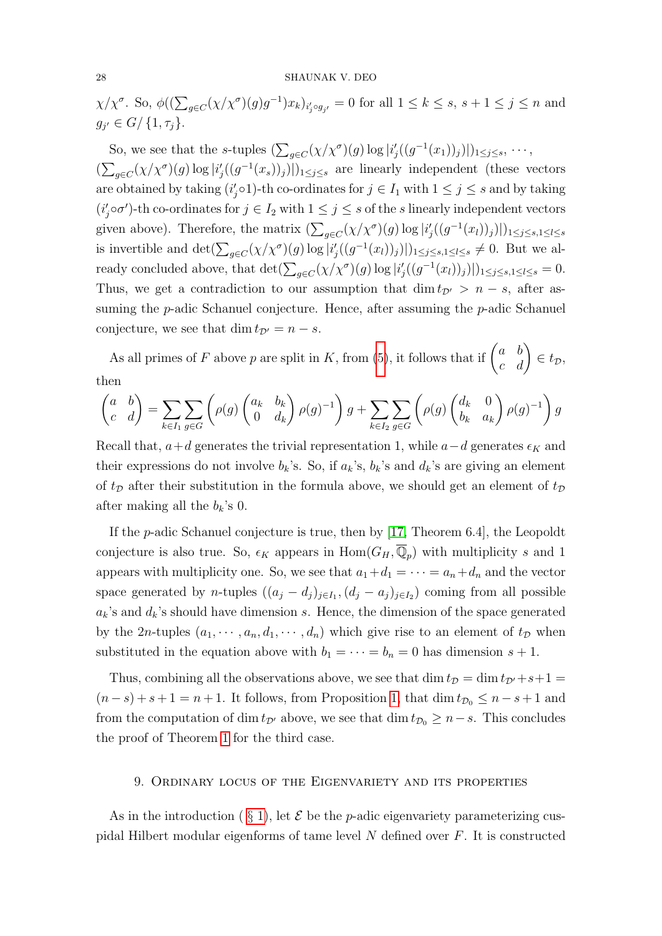#### 28 SHAUNAK V. DEO

 $\chi/\chi^{\sigma}$ . So,  $\phi((\sum_{g\in C}(\chi/\chi^{\sigma})(g)g^{-1})x_k)_{i'_j\circ g_{j'}}=0$  for all  $1\leq k\leq s$ ,  $s+1\leq j\leq n$  and  $g_{j'} \in G/ \{1, \tau_j\}.$ 

So, we see that the s-tuples  $\left(\sum_{g\in C} (\chi/\chi^{\sigma})(g) \log |i'_j((g^{-1}(x_1))_j)|\right)_{1\leq j\leq s}, \dots$  $(\sum_{g \in C} (\chi/\chi^{\sigma})(g) \log |i'_{j}((g^{-1}(x_{s}))_{j})|)_{1 \leq j \leq s}$  are linearly independent (these vectors are obtained by taking  $(i'_j \circ 1)$ -th co-ordinates for  $j \in I_1$  with  $1 \leq j \leq s$  and by taking  $(i'_j \circ \sigma')$ -th co-ordinates for  $j \in I_2$  with  $1 \leq j \leq s$  of the s linearly independent vectors given above). Therefore, the matrix  $(\sum_{g \in C} (\chi/\chi^{\sigma})(g) \log |i'_{j}((g^{-1}(x_{l}))_{j})|)_{1 \leq j \leq s, 1 \leq l \leq s}$ is invertible and  $\det(\sum_{g\in C} (\chi/\chi^{\sigma})(g) \log |i'_j((g^{-1}(x_l))_j)|)_{1\leq j\leq s,1\leq l\leq s} \neq 0$ . But we already concluded above, that  $\det(\sum_{g \in C} (\chi/\chi^{\sigma})(g) \log |i'_{j}((g^{-1}(x_{l}))_{j})|)_{1 \leq j \leq s, 1 \leq l \leq s} = 0.$ Thus, we get a contradiction to our assumption that dim  $t_{\mathcal{D}'} > n - s$ , after assuming the *p*-adic Schanuel conjecture. Hence, after assuming the *p*-adic Schanuel conjecture, we see that dim  $t_{\mathcal{D}'} = n - s$ .

As all primes of F above p are split in K, from [\(5\)](#page-18-0), it follows that if  $\begin{pmatrix} a & b \\ c & d \end{pmatrix} \in t_{\mathcal{D}}$ , then

$$
\begin{pmatrix} a & b \ c & d \end{pmatrix} = \sum_{k \in I_1} \sum_{g \in G} \left( \rho(g) \begin{pmatrix} a_k & b_k \ 0 & d_k \end{pmatrix} \rho(g)^{-1} \right) g + \sum_{k \in I_2} \sum_{g \in G} \left( \rho(g) \begin{pmatrix} d_k & 0 \ b_k & a_k \end{pmatrix} \rho(g)^{-1} \right) g
$$

Recall that,  $a+d$  generates the trivial representation 1, while  $a-d$  generates  $\epsilon_K$  and their expressions do not involve  $b_k$ 's. So, if  $a_k$ 's,  $b_k$ 's and  $d_k$ 's are giving an element of  $t_{\mathcal{D}}$  after their substitution in the formula above, we should get an element of  $t_{\mathcal{D}}$ after making all the  $b_k$ 's 0.

If the p-adic Schanuel conjecture is true, then by [\[17,](#page-31-14) Theorem 6.4], the Leopoldt conjecture is also true. So,  $\epsilon_K$  appears in  $\text{Hom}(G_H, \overline{\mathbb{Q}}_p)$  with multiplicity s and 1 appears with multiplicity one. So, we see that  $a_1+d_1=\cdots=a_n+d_n$  and the vector space generated by *n*-tuples  $((a_j - d_j)_{j \in I_1}, (d_j - a_j)_{j \in I_2})$  coming from all possible  $a_k$ 's and  $d_k$ 's should have dimension s. Hence, the dimension of the space generated by the 2n-tuples  $(a_1, \dots, a_n, d_1, \dots, d_n)$  which give rise to an element of  $t_{\mathcal{D}}$  when substituted in the equation above with  $b_1 = \cdots = b_n = 0$  has dimension  $s + 1$ .

Thus, combining all the observations above, we see that  $\dim t_{\mathcal{D}} = \dim t_{\mathcal{D}'} + s+1 =$  $(n-s)+s+1=n+1$ . It follows, from Proposition [1,](#page-12-2) that  $\dim t_{\mathcal{D}_0} \leq n-s+1$  and from the computation of dim  $t_{\mathcal{D}'}$  above, we see that dim  $t_{\mathcal{D}_0} \geq n-s$ . This concludes the proof of Theorem [1](#page-3-0) for the third case.

# 9. Ordinary locus of the Eigenvariety and its properties

As in the introduction ( $\S$ [1\)](#page-0-0), let  $\mathcal E$  be the *p*-adic eigenvariety parameterizing cuspidal Hilbert modular eigenforms of tame level N defined over F. It is constructed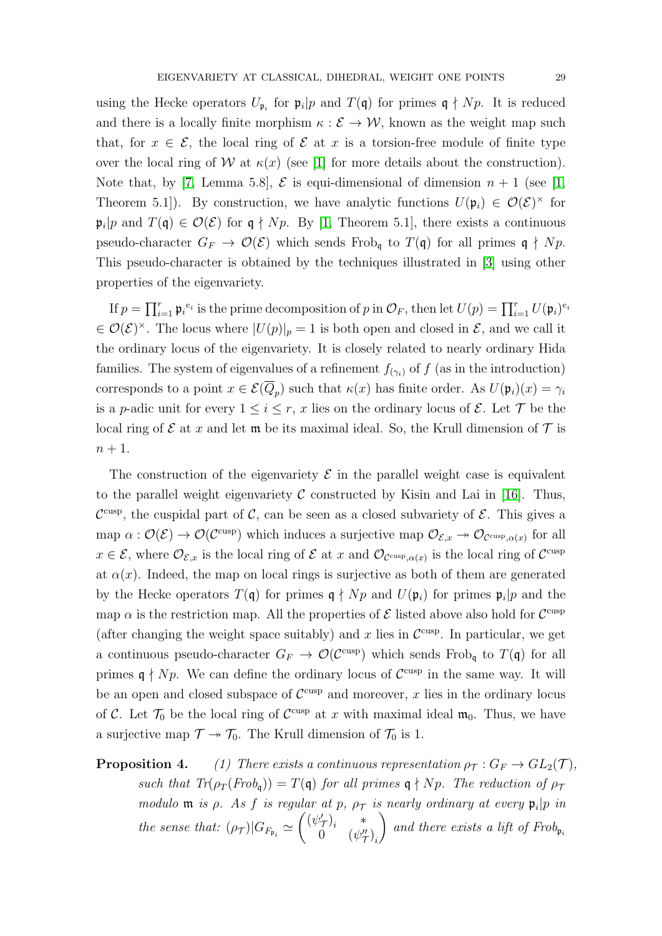using the Hecke operators  $U_{\mathfrak{p}_i}$  for  $\mathfrak{p}_i|p$  and  $T(\mathfrak{q})$  for primes  $\mathfrak{q} \nmid Np$ . It is reduced and there is a locally finite morphism  $\kappa : \mathcal{E} \to \mathcal{W}$ , known as the weight map such that, for  $x \in \mathcal{E}$ , the local ring of  $\mathcal E$  at x is a torsion-free module of finite type over the local ring of W at  $\kappa(x)$  (see [\[1\]](#page-31-1) for more details about the construction). Note that, by [\[7,](#page-31-15) Lemma 5.8],  $\mathcal{E}$  is equi-dimensional of dimension  $n + 1$  (see [\[1,](#page-31-1) Theorem 5.1]). By construction, we have analytic functions  $U(\mathfrak{p}_i) \in \mathcal{O}(\mathcal{E})^{\times}$  for  $\mathfrak{p}_i|p$  and  $T(\mathfrak{q}) \in \mathcal{O}(\mathcal{E})$  for  $\mathfrak{q} \nmid Np$ . By [\[1,](#page-31-1) Theorem 5.1], there exists a continuous pseudo-character  $G_F \to \mathcal{O}(\mathcal{E})$  which sends Frob<sub>q</sub> to  $T(\mathfrak{q})$  for all primes  $\mathfrak{q} \nmid Np$ . This pseudo-character is obtained by the techniques illustrated in [\[3\]](#page-31-16) using other properties of the eigenvariety.

If  $p = \prod_{i=1}^r \mathfrak{p}_i^{e_i}$  is the prime decomposition of p in  $\mathcal{O}_F$ , then let  $U(p) = \prod_{i=1}^r U(\mathfrak{p}_i)^{e_i}$  $\in \mathcal{O}(\mathcal{E})^{\times}$ . The locus where  $|U(p)|_p = 1$  is both open and closed in  $\mathcal{E}$ , and we call it the ordinary locus of the eigenvariety. It is closely related to nearly ordinary Hida families. The system of eigenvalues of a refinement  $f_{(\gamma_i)}$  of f (as in the introduction) corresponds to a point  $x \in \mathcal{E}(Q_p)$  such that  $\kappa(x)$  has finite order. As  $U(\mathfrak{p}_i)(x) = \gamma_i$ is a p-adic unit for every  $1 \leq i \leq r$ , x lies on the ordinary locus of  $\mathcal{E}$ . Let  $\mathcal{T}$  be the local ring of  $\mathcal E$  at x and let  $\mathfrak m$  be its maximal ideal. So, the Krull dimension of  $\mathcal T$  is  $n+1$ .

The construction of the eigenvariety  $\mathcal E$  in the parallel weight case is equivalent to the parallel weight eigenvariety  $\mathcal C$  constructed by Kisin and Lai in [\[16\]](#page-31-4). Thus,  $\mathcal{C}^{\text{cusp}}$ , the cuspidal part of  $\mathcal{C}$ , can be seen as a closed subvariety of  $\mathcal{E}$ . This gives a map  $\alpha: \mathcal{O}(\mathcal{E}) \to \mathcal{O}(\mathcal{C}^{\text{cusp}})$  which induces a surjective map  $\mathcal{O}_{\mathcal{E},x} \to \mathcal{O}_{\mathcal{C}^{\text{cusp}}, \alpha(x)}$  for all  $x \in \mathcal{E}$ , where  $\mathcal{O}_{\mathcal{E},x}$  is the local ring of  $\mathcal{E}$  at x and  $\mathcal{O}_{\mathcal{C}^{\text{cusp}}, \alpha(x)}$  is the local ring of  $\mathcal{C}^{\text{cusp}}$ at  $\alpha(x)$ . Indeed, the map on local rings is surjective as both of them are generated by the Hecke operators  $T(\mathfrak{q})$  for primes  $\mathfrak{q} \nmid Np$  and  $U(\mathfrak{p}_i)$  for primes  $\mathfrak{p}_i|p$  and the map  $\alpha$  is the restriction map. All the properties of  $\mathcal E$  listed above also hold for  $\mathcal C^{\text{cusp}}$ (after changing the weight space suitably) and x lies in  $\mathcal{C}^{\text{cusp}}$ . In particular, we get a continuous pseudo-character  $G_F \to \mathcal{O}(\mathcal{C}^{\text{cusp}})$  which sends Frob<sub>q</sub> to  $T(\mathfrak{q})$  for all primes  $\mathfrak{q} \nmid Np$ . We can define the ordinary locus of  $\mathcal{C}^{\text{cusp}}$  in the same way. It will be an open and closed subspace of  $\mathcal{C}^{\text{cusp}}$  and moreover, x lies in the ordinary locus of C. Let  $\mathcal{T}_0$  be the local ring of  $\mathcal{C}^{\text{cusp}}$  at x with maximal ideal  $\mathfrak{m}_0$ . Thus, we have a surjective map  $\mathcal{T} \rightarrow \mathcal{T}_0$ . The Krull dimension of  $\mathcal{T}_0$  is 1.

**Proposition 4.** (1) There exists a continuous representation  $\rho_{\mathcal{T}} : G_F \to GL_2(\mathcal{T})$ , such that  $Tr(\rho_T(Frob_q)) = T(q)$  for all primes  $q \nmid Np$ . The reduction of  $\rho_T$ modulo **m** is  $\rho$ . As f is regular at p,  $\rho_T$  is nearly ordinary at every  $\mathfrak{p}_i|p$  in the sense that:  $(\rho_{\tau})|G_{F_{\mathfrak{p}_i}} \simeq \begin{pmatrix} (\psi_{\tau}')_i & * \\ 0 & (\psi_{\sigma}'_i)'_i \end{pmatrix}$ 0  $(\psi''_{\mathcal{T}})_{i}$  $\setminus$ and there exists a lift of  $Frob_{\mathfrak{p}_i}$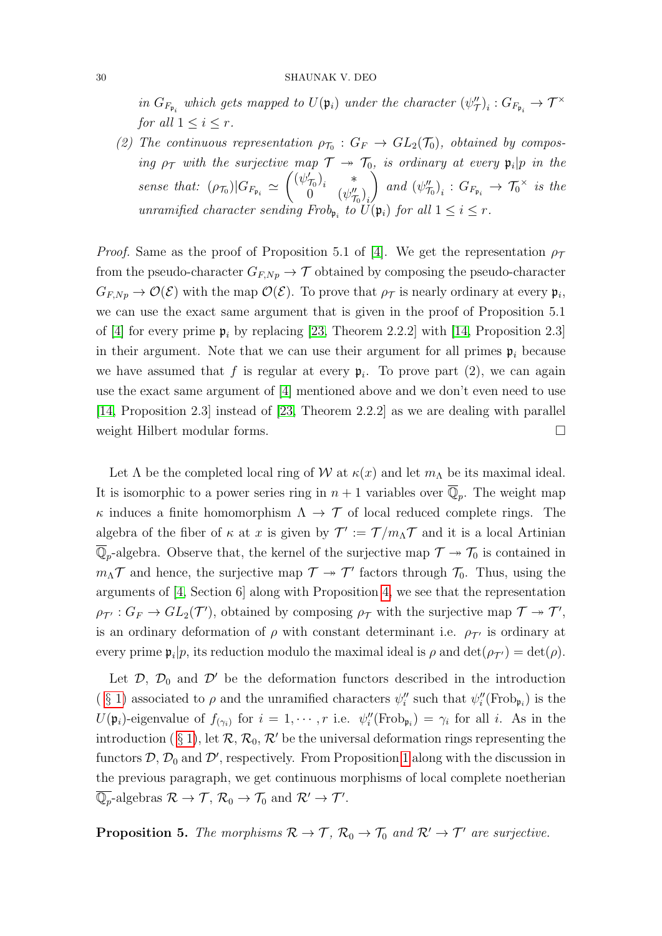#### 30 SHAUNAK V. DEO

in  $G_{F_{\mathfrak{p}_i}}$  which gets mapped to  $U(\mathfrak{p}_i)$  under the character  $(\psi''_{\mathcal{T}})_i : G_{F_{\mathfrak{p}_i}} \to \mathcal{T}^\times$ for all  $1 \leq i \leq r$ .

(2) The continuous representation  $\rho_{\tau_0}: G_F \to GL_2(\mathcal{T}_0)$ , obtained by composing  $\rho_{\mathcal{T}}$  with the surjective map  $\mathcal{T} \to \mathcal{T}_0$ , is ordinary at every  $\mathfrak{p}_i | p$  in the sense that:  $(\rho_{\tau_0})|G_{F_{\mathfrak{p}_i}} \simeq \begin{pmatrix} (\psi_{\tau_0})_i & * \\ 0 & (\psi_{\sigma}^{\mu}) \end{pmatrix}$  $0 \left( \psi_{\mathcal{T}_0}^{\prime \prime} \right)_i$  $\setminus$ and  $(\psi''_{\tau_0})_i : G_{F_{\mathfrak{p}_i}} \to \tau_0^{\times}$  is the unramified character sending  $Frob_{\mathfrak{p}_i}$  to  $U(\mathfrak{p}_i)$  for all  $1 \leq i \leq r$ .

*Proof.* Same as the proof of Proposition 5.1 of [\[4\]](#page-31-0). We get the representation  $\rho_{\mathcal{T}}$ from the pseudo-character  $G_{F,Np} \to \mathcal{T}$  obtained by composing the pseudo-character  $G_{F, Np} \to \mathcal{O}(\mathcal{E})$  with the map  $\mathcal{O}(\mathcal{E})$ . To prove that  $\rho_{\mathcal{T}}$  is nearly ordinary at every  $\mathfrak{p}_i$ , we can use the exact same argument that is given in the proof of Proposition 5.1 of [\[4\]](#page-31-0) for every prime  $\mathfrak{p}_i$  by replacing [\[23,](#page-32-1) Theorem 2.2.2] with [\[14,](#page-31-8) Proposition 2.3] in their argument. Note that we can use their argument for all primes  $p_i$  because we have assumed that f is regular at every  $\mathfrak{p}_i$ . To prove part (2), we can again use the exact same argument of [\[4\]](#page-31-0) mentioned above and we don't even need to use [\[14,](#page-31-8) Proposition 2.3] instead of [\[23,](#page-32-1) Theorem 2.2.2] as we are dealing with parallel weight Hilbert modular forms.

Let  $\Lambda$  be the completed local ring of W at  $\kappa(x)$  and let  $m_{\Lambda}$  be its maximal ideal. It is isomorphic to a power series ring in  $n+1$  variables over  $\overline{\mathbb{Q}}_p$ . The weight map  $\kappa$  induces a finite homomorphism  $\Lambda \to \mathcal{T}$  of local reduced complete rings. The algebra of the fiber of  $\kappa$  at x is given by  $\mathcal{T}' := \mathcal{T}/m_{\Lambda}\mathcal{T}$  and it is a local Artinian  $\overline{\mathbb{Q}}_p$ -algebra. Observe that, the kernel of the surjective map  $\mathcal{T} \twoheadrightarrow \mathcal{T}_0$  is contained in  $m_{\Lambda} \mathcal{T}$  and hence, the surjective map  $\mathcal{T} \to \mathcal{T}'$  factors through  $\mathcal{T}_0$ . Thus, using the arguments of [\[4,](#page-31-0) Section 6] along with Proposition [4,](#page-0-1) we see that the representation  $\rho_{\mathcal{T}'} : G_F \to GL_2(\mathcal{T}'),$  obtained by composing  $\rho_{\mathcal{T}}$  with the surjective map  $\mathcal{T} \to \mathcal{T}',$ is an ordinary deformation of  $\rho$  with constant determinant i.e.  $\rho_{\tau}$  is ordinary at every prime  $\mathfrak{p}_i|p$ , its reduction modulo the maximal ideal is  $\rho$  and  $\det(\rho_{\mathcal{T}'} ) = \det(\rho)$ .

Let  $\mathcal{D}, \mathcal{D}_0$  and  $\mathcal{D}'$  be the deformation functors described in the introduction (§ [1\)](#page-0-0) associated to  $\rho$  and the unramified characters  $\psi''_i$  such that  $\psi''_i$ (Frob<sub>p<sub>i</sub></sub>) is the  $U(\mathfrak{p}_i)$ -eigenvalue of  $f_{(\gamma_i)}$  for  $i=1,\cdots,r$  i.e.  $\psi''_i(\text{Frob}_{\mathfrak{p}_i})=\gamma_i$  for all i. As in the introduction ( § [1\)](#page-0-0), let  $\mathcal{R}, \mathcal{R}_0, \mathcal{R}'$  be the universal deformation rings representing the functors  $\mathcal{D}, \mathcal{D}_0$  and  $\mathcal{D}'$ , respectively. From Proposition [1](#page-12-2) along with the discussion in the previous paragraph, we get continuous morphisms of local complete noetherian  $\overline{\mathbb{Q}_p}$ -algebras  $\mathcal{R} \to \mathcal{T}$ ,  $\mathcal{R}_0 \to \mathcal{T}_0$  and  $\mathcal{R}' \to \mathcal{T}'$ .

<span id="page-29-0"></span>**Proposition 5.** The morphisms  $\mathcal{R} \to \mathcal{T}$ ,  $\mathcal{R}_0 \to \mathcal{T}_0$  and  $\mathcal{R}' \to \mathcal{T}'$  are surjective.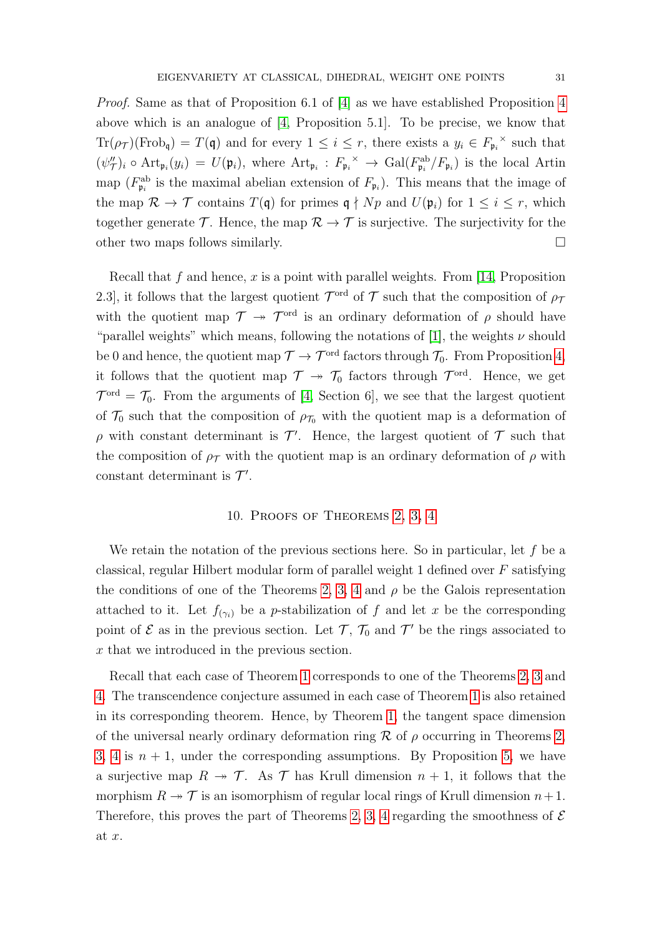Proof. Same as that of Proposition 6.1 of [\[4\]](#page-31-0) as we have established Proposition [4](#page-0-1) above which is an analogue of [\[4,](#page-31-0) Proposition 5.1]. To be precise, we know that  $\text{Tr}(\rho_{\mathcal{T}})(\text{Frob}_{\mathfrak{q}}) = T(\mathfrak{q})$  and for every  $1 \leq i \leq r$ , there exists a  $y_i \in F_{\mathfrak{p}_i}$  such that  $(\psi''_T)_i \circ \text{Art}_{\mathfrak{p}_i}(y_i) = U(\mathfrak{p}_i)$ , where  $\text{Art}_{\mathfrak{p}_i} : F_{\mathfrak{p}_i} \to \text{Gal}(F_{\mathfrak{p}_i}^{\text{ab}}/F_{\mathfrak{p}_i})$  is the local Artin map ( $F_{\mathfrak{p}_i}^{\rm ab}$  is the maximal abelian extension of  $F_{\mathfrak{p}_i}$ ). This means that the image of the map  $\mathcal{R} \to \mathcal{T}$  contains  $T(\mathfrak{q})$  for primes  $\mathfrak{q} \nmid Np$  and  $U(\mathfrak{p}_i)$  for  $1 \leq i \leq r$ , which together generate  $\mathcal T$ . Hence, the map  $\mathcal R \to \mathcal T$  is surjective. The surjectivity for the other two maps follows similarly.

Recall that  $f$  and hence,  $x$  is a point with parallel weights. From [\[14,](#page-31-8) Proposition 2.3, it follows that the largest quotient  $\mathcal{T}^{\text{ord}}$  of  $\mathcal T$  such that the composition of  $\rho_7$ with the quotient map  $\mathcal{T} \rightarrow \mathcal{T}^{\text{ord}}$  is an ordinary deformation of  $\rho$  should have "parallel weights" which means, following the notations of [\[1\]](#page-31-1), the weights  $\nu$  should be 0 and hence, the quotient map  $\mathcal{T} \to \mathcal{T}^{\text{ord}}$  factors through  $\mathcal{T}_0$ . From Proposition [4,](#page-0-1) it follows that the quotient map  $\mathcal{T} \rightarrow \mathcal{T}_0$  factors through  $\mathcal{T}^{\text{ord}}$ . Hence, we get  $\mathcal{T}^{\text{ord}} = \mathcal{T}_0$ . From the arguments of [\[4,](#page-31-0) Section 6], we see that the largest quotient of  $\mathcal{T}_0$  such that the composition of  $\rho_{\mathcal{T}_0}$  with the quotient map is a deformation of  $\rho$  with constant determinant is  $\mathcal{T}'$ . Hence, the largest quotient of  $\mathcal T$  such that the composition of  $\rho_T$  with the quotient map is an ordinary deformation of  $\rho$  with constant determinant is  $\mathcal{T}'$ .

# 10. Proofs of Theorems [2,](#page-5-0) [3,](#page-5-1) [4](#page-5-2)

We retain the notation of the previous sections here. So in particular, let  $f$  be a classical, regular Hilbert modular form of parallel weight 1 defined over  $F$  satisfying the conditions of one of the Theorems [2,](#page-5-0) [3,](#page-5-1) [4](#page-5-2) and  $\rho$  be the Galois representation attached to it. Let  $f_{(\gamma_i)}$  be a *p*-stabilization of f and let x be the corresponding point of  $\mathcal E$  as in the previous section. Let  $\mathcal T$ ,  $\mathcal T_0$  and  $\mathcal T'$  be the rings associated to x that we introduced in the previous section.

Recall that each case of Theorem [1](#page-3-0) corresponds to one of the Theorems [2,](#page-5-0) [3](#page-5-1) and [4.](#page-5-2) The transcendence conjecture assumed in each case of Theorem [1](#page-3-0) is also retained in its corresponding theorem. Hence, by Theorem [1,](#page-3-0) the tangent space dimension of the universal nearly ordinary deformation ring R of  $\rho$  occurring in Theorems [2,](#page-5-0) [3,](#page-5-1) [4](#page-5-2) is  $n + 1$ , under the corresponding assumptions. By Proposition [5,](#page-29-0) we have a surjective map  $R \to \mathcal{T}$ . As  $\mathcal{T}$  has Krull dimension  $n + 1$ , it follows that the morphism  $R \to \mathcal{T}$  is an isomorphism of regular local rings of Krull dimension  $n+1$ . Therefore, this proves the part of Theorems [2,](#page-5-0) [3,](#page-5-1) [4](#page-5-2) regarding the smoothness of  $\mathcal E$ at x.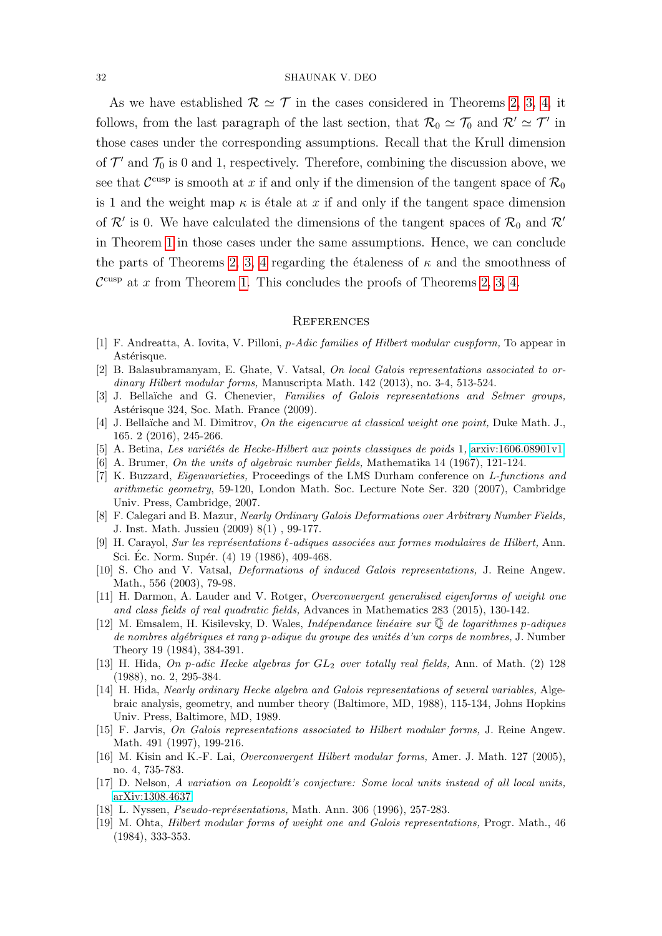#### 32 SHAUNAK V. DEO

As we have established  $\mathcal{R} \simeq \mathcal{T}$  in the cases considered in Theorems [2,](#page-5-0) [3,](#page-5-1) [4,](#page-5-2) it follows, from the last paragraph of the last section, that  $\mathcal{R}_0 \simeq \mathcal{T}_0$  and  $\mathcal{R}' \simeq \mathcal{T}'$  in those cases under the corresponding assumptions. Recall that the Krull dimension of  $\mathcal{T}'$  and  $\mathcal{T}_0$  is 0 and 1, respectively. Therefore, combining the discussion above, we see that  $\mathcal{C}^{\text{cusp}}$  is smooth at x if and only if the dimension of the tangent space of  $\mathcal{R}_0$ is 1 and the weight map  $\kappa$  is étale at x if and only if the tangent space dimension of  $\mathcal{R}'$  is 0. We have calculated the dimensions of the tangent spaces of  $\mathcal{R}_0$  and  $\mathcal{R}'$ in Theorem [1](#page-3-0) in those cases under the same assumptions. Hence, we can conclude the parts of Theorems [2,](#page-5-0) [3,](#page-5-1) [4](#page-5-2) regarding the étaleness of  $\kappa$  and the smoothness of  $\mathcal{C}^{\text{cusp}}$  at x from Theorem [1.](#page-3-0) This concludes the proofs of Theorems [2,](#page-5-0) [3,](#page-5-1) [4.](#page-5-2)

#### **REFERENCES**

- <span id="page-31-1"></span>[1] F. Andreatta, A. Iovita, V. Pilloni, p-Adic families of Hilbert modular cuspform, To appear in Astérisque.
- <span id="page-31-3"></span>[2] B. Balasubramanyam, E. Ghate, V. Vatsal, On local Galois representations associated to ordinary Hilbert modular forms, Manuscripta Math. 142 (2013), no. 3-4, 513-524.
- <span id="page-31-16"></span>[3] J. Bellaïche and G. Chenevier, Families of Galois representations and Selmer groups, Astérisque 324, Soc. Math. France (2009).
- <span id="page-31-0"></span>[4] J. Bellaïche and M. Dimitrov, On the eigencurve at classical weight one point, Duke Math. J., 165. 2 (2016), 245-266.
- <span id="page-31-9"></span> $[5]$  A. Betina, Les variétés de Hecke-Hilbert aux points classiques de poids 1, [arxiv:1606.08901v1](https://arxiv.org/pdf/1606.08901.pdf)
- [6] A. Brumer, On the units of algebraic number fields, Mathematika 14 (1967), 121-124.
- <span id="page-31-15"></span>[7] K. Buzzard, Eigenvarieties, Proceedings of the LMS Durham conference on L-functions and arithmetic geometry, 59-120, London Math. Soc. Lecture Note Ser. 320 (2007), Cambridge Univ. Press, Cambridge, 2007.
- <span id="page-31-6"></span>[8] F. Calegari and B. Mazur, Nearly Ordinary Galois Deformations over Arbitrary Number Fields, J. Inst. Math. Jussieu (2009) 8(1) , 99-177.
- <span id="page-31-10"></span>[9] H. Carayol, Sur les représentations  $\ell$ -adiques associées aux formes modulaires de Hilbert, Ann. Sci. Éc. Norm. Supér. (4) 19 (1986), 409-468.
- <span id="page-31-13"></span>[10] S. Cho and V. Vatsal, Deformations of induced Galois representations, J. Reine Angew. Math., 556 (2003), 79-98.
- <span id="page-31-12"></span>[11] H. Darmon, A. Lauder and V. Rotger, Overconvergent generalised eigenforms of weight one and class fields of real quadratic fields, Advances in Mathematics 283 (2015), 130-142.
- <span id="page-31-7"></span>[12] M. Emsalem, H. Kisilevsky, D. Wales, Ind´ependance lin´eaire sur Q de logarithmes p-adiques de nombres algébriques et rang p-adique du groupe des unités d'un corps de nombres, J. Number Theory 19 (1984), 384-391.
- <span id="page-31-2"></span>[13] H. Hida, On p-adic Hecke algebras for  $GL_2$  over totally real fields, Ann. of Math. (2) 128 (1988), no. 2, 295-384.
- <span id="page-31-8"></span>[14] H. Hida, Nearly ordinary Hecke algebra and Galois representations of several variables, Algebraic analysis, geometry, and number theory (Baltimore, MD, 1988), 115-134, Johns Hopkins Univ. Press, Baltimore, MD, 1989.
- <span id="page-31-11"></span>[15] F. Jarvis, On Galois representations associated to Hilbert modular forms, J. Reine Angew. Math. 491 (1997), 199-216.
- <span id="page-31-4"></span>[16] M. Kisin and K.-F. Lai, Overconvergent Hilbert modular forms, Amer. J. Math. 127 (2005), no. 4, 735-783.
- <span id="page-31-14"></span>[17] D. Nelson, A variation on Leopoldt's conjecture: Some local units instead of all local units, [arXiv:1308.4637](http://arxiv.org/abs/1308.4637)
- [18] L. Nyssen, *Pseudo-représentations*, Math. Ann. 306 (1996), 257-283.
- <span id="page-31-5"></span>[19] M. Ohta, Hilbert modular forms of weight one and Galois representations, Progr. Math., 46 (1984), 333-353.